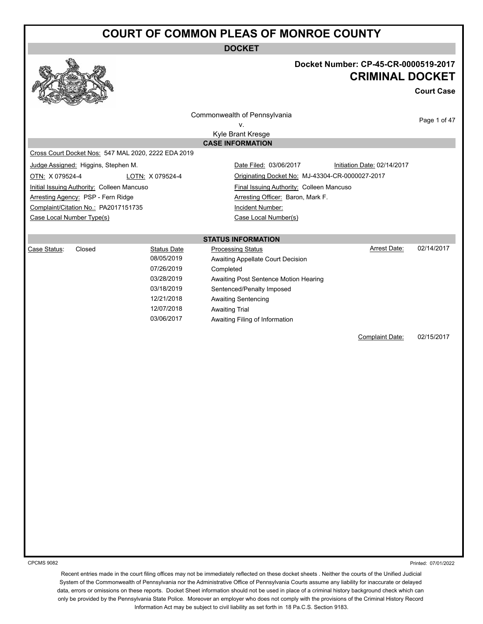**DOCKET**



### **Docket Number: CP-45-CR-0000519-2017 CRIMINAL DOCKET**

**Court Case**

Commonwealth of Pennsylvania

Page 1 of 47

v.

Kyle Brant Kresge **CASE INFORMATION**

Cross Court Docket Nos: 547 MAL 2020, 2222 EDA 2019

Judge Assigned: Higgins, Stephen M. Date Filed: 03/06/2017 Initiation Date: 02/14/2017

OTN: X 079524-4 LOTN: X 079524-4 Originating Docket No: MJ-43304-CR-0000027-2017 Initial Issuing Authority: Colleen Mancuso Final Issuing Authority: Colleen Mancuso Arresting Agency: PSP - Fern Ridge Arresting Officer: Baron, Mark F. Complaint/Citation No.: PA2017151735 Incident Number: Case Local Number Type(s) Case Local Number(s)

#### **STATUS INFORMATION**

| Case Status: | Closed | Status Date | <b>Processing Status</b>              | <b>Arrest Date:</b> | 02/14/2017 |
|--------------|--------|-------------|---------------------------------------|---------------------|------------|
|              |        | 08/05/2019  | Awaiting Appellate Court Decision     |                     |            |
|              |        | 07/26/2019  | Completed                             |                     |            |
|              |        | 03/28/2019  | Awaiting Post Sentence Motion Hearing |                     |            |
|              |        | 03/18/2019  | Sentenced/Penalty Imposed             |                     |            |
|              |        | 12/21/2018  | Awaiting Sentencing                   |                     |            |
|              |        | 12/07/2018  | <b>Awaiting Trial</b>                 |                     |            |
|              |        | 03/06/2017  | Awaiting Filing of Information        |                     |            |
|              |        |             |                                       |                     |            |

Complaint Date: 02/15/2017

CPCMS 9082

Printed: 07/01/2022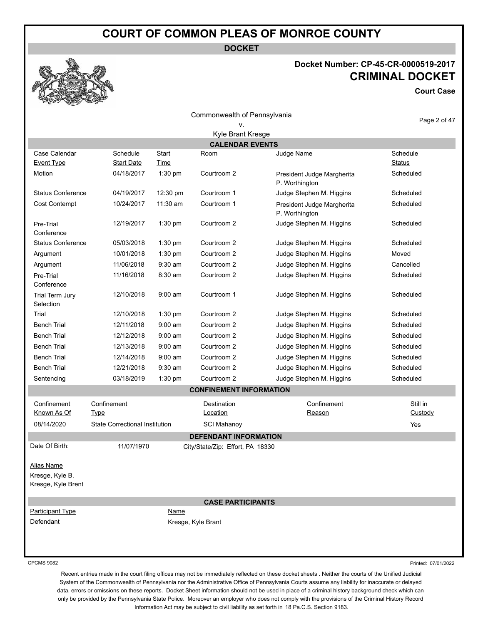**DOCKET**

# **Docket Number: CP-45-CR-0000519-2017 CRIMINAL DOCKET**

**Court Case**

Page 2 of 47

Commonwealth of Pennsylvania

|                                      |                                       |                             | ٧.                               |                                              | $ugc$ $\sim$ $v_1$ $\sim$ $r$ |
|--------------------------------------|---------------------------------------|-----------------------------|----------------------------------|----------------------------------------------|-------------------------------|
|                                      |                                       |                             | Kyle Brant Kresge                |                                              |                               |
|                                      |                                       |                             | <b>CALENDAR EVENTS</b>           |                                              |                               |
| Case Calendar<br><b>Event Type</b>   | Schedule<br><b>Start Date</b>         | <b>Start</b><br><b>Time</b> | Room                             | Judge Name                                   | Schedule<br><b>Status</b>     |
| Motion                               | 04/18/2017                            | 1:30 pm                     | Courtroom 2                      | President Judge Margherita<br>P. Worthington | Scheduled                     |
| <b>Status Conference</b>             | 04/19/2017                            | 12:30 pm                    | Courtroom 1                      | Judge Stephen M. Higgins                     | Scheduled                     |
| Cost Contempt                        | 10/24/2017                            | 11:30 am                    | Courtroom 1                      | President Judge Margherita<br>P. Worthington | Scheduled                     |
| Pre-Trial<br>Conference              | 12/19/2017                            | 1:30 pm                     | Courtroom 2                      | Judge Stephen M. Higgins                     | Scheduled                     |
| <b>Status Conference</b>             | 05/03/2018                            | 1:30 pm                     | Courtroom 2                      | Judge Stephen M. Higgins                     | Scheduled                     |
| Argument                             | 10/01/2018                            | 1:30 pm                     | Courtroom 2                      | Judge Stephen M. Higgins                     | Moved                         |
| Argument                             | 11/06/2018                            | 9:30 am                     | Courtroom 2                      | Judge Stephen M. Higgins                     | Cancelled                     |
| Pre-Trial<br>Conference              | 11/16/2018                            | 8:30 am                     | Courtroom 2                      | Judge Stephen M. Higgins                     | Scheduled                     |
| Trial Term Jury<br>Selection         | 12/10/2018                            | $9:00$ am                   | Courtroom 1                      | Judge Stephen M. Higgins                     | Scheduled                     |
| Trial                                | 12/10/2018                            | 1:30 pm                     | Courtroom 2                      | Judge Stephen M. Higgins                     | Scheduled                     |
| <b>Bench Trial</b>                   | 12/11/2018                            | $9:00$ am                   | Courtroom 2                      | Judge Stephen M. Higgins                     | Scheduled                     |
| <b>Bench Trial</b>                   | 12/12/2018                            | $9:00$ am                   | Courtroom 2                      | Judge Stephen M. Higgins                     | Scheduled                     |
| <b>Bench Trial</b>                   | 12/13/2018                            | $9:00$ am                   | Courtroom 2                      | Judge Stephen M. Higgins                     | Scheduled                     |
| <b>Bench Trial</b>                   | 12/14/2018                            | $9:00$ am                   | Courtroom 2                      | Judge Stephen M. Higgins                     | Scheduled                     |
| <b>Bench Trial</b>                   | 12/21/2018                            | $9:30$ am                   | Courtroom 2                      | Judge Stephen M. Higgins                     | Scheduled                     |
| Sentencing                           | 03/18/2019                            | 1:30 pm                     | Courtroom 2                      | Judge Stephen M. Higgins                     | Scheduled                     |
|                                      |                                       |                             | <b>CONFINEMENT INFORMATION</b>   |                                              |                               |
| Confinement<br>Known As Of           | Confinement<br><b>Type</b>            |                             | Destination<br>Location          | Confinement<br><b>Reason</b>                 | Still in<br>Custody           |
| 08/14/2020                           | <b>State Correctional Institution</b> |                             | <b>SCI Mahanoy</b>               |                                              | Yes                           |
|                                      |                                       |                             | <b>DEFENDANT INFORMATION</b>     |                                              |                               |
| Date Of Birth:                       | 11/07/1970                            |                             | City/State/Zip: Effort, PA 18330 |                                              |                               |
| <u>Alias Name</u><br>Kresge, Kyle B. |                                       |                             |                                  |                                              |                               |
| Kresge, Kyle Brent                   |                                       |                             |                                  |                                              |                               |
|                                      |                                       |                             | <b>CASE PARTICIPANTS</b>         |                                              |                               |
| <b>Participant Type</b>              |                                       | Name                        |                                  |                                              |                               |
| Defendant                            |                                       |                             | Kresge, Kyle Brant               |                                              |                               |
|                                      |                                       |                             |                                  |                                              |                               |
|                                      |                                       |                             |                                  |                                              |                               |
|                                      |                                       |                             |                                  |                                              |                               |

CPCMS 9082

Printed: 07/01/2022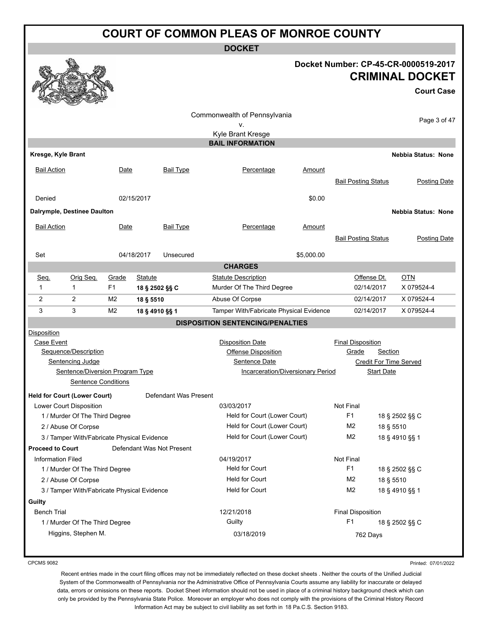**DOCKET**

#### **Docket Number: CP-45-CR-0000519-2017 CRIMINAL DOCKET**

**Court Case**

|                          |                                             |                |                |                           | Commonwealth of Pennsylvania                   |            |                                            |                   |                            |  |
|--------------------------|---------------------------------------------|----------------|----------------|---------------------------|------------------------------------------------|------------|--------------------------------------------|-------------------|----------------------------|--|
|                          |                                             |                |                |                           | ٧.                                             |            |                                            |                   | Page 3 of 47               |  |
|                          |                                             |                |                |                           | Kyle Brant Kresge                              |            |                                            |                   |                            |  |
|                          |                                             |                |                |                           | <b>BAIL INFORMATION</b>                        |            |                                            |                   |                            |  |
| Kresge, Kyle Brant       |                                             |                |                |                           |                                                |            |                                            |                   | <b>Nebbia Status: None</b> |  |
| <b>Bail Action</b>       |                                             | Date           |                | <b>Bail Type</b>          | Percentage                                     | Amount     |                                            |                   |                            |  |
|                          |                                             |                |                |                           |                                                |            | <b>Bail Posting Status</b>                 |                   | <b>Posting Date</b>        |  |
|                          |                                             |                |                |                           |                                                |            |                                            |                   |                            |  |
| Denied                   |                                             |                | 02/15/2017     |                           |                                                | \$0.00     |                                            |                   |                            |  |
|                          | Dalrymple, Destinee Daulton                 |                |                |                           |                                                |            |                                            |                   | <b>Nebbia Status: None</b> |  |
| <b>Bail Action</b>       |                                             | Date           |                | <b>Bail Type</b>          | Percentage                                     | Amount     |                                            |                   |                            |  |
|                          |                                             |                |                |                           |                                                |            |                                            |                   |                            |  |
|                          |                                             |                |                |                           |                                                |            | <b>Bail Posting Status</b>                 |                   | <b>Posting Date</b>        |  |
| Set                      |                                             |                | 04/18/2017     | Unsecured                 |                                                | \$5.000.00 |                                            |                   |                            |  |
|                          |                                             |                |                |                           | <b>CHARGES</b>                                 |            |                                            |                   |                            |  |
| Seq.                     | Orig Seq.                                   | Grade          | Statute        |                           | <b>Statute Description</b>                     |            | Offense Dt.                                |                   | <b>OTN</b>                 |  |
| 1                        | $\mathbf{1}$                                | F <sub>1</sub> | 18 § 2502 §§ C |                           | Murder Of The Third Degree                     |            | 02/14/2017                                 |                   | X 079524-4                 |  |
| 2                        | $\overline{2}$                              | M <sub>2</sub> | 18 § 5510      |                           | Abuse Of Corpse                                |            | 02/14/2017                                 |                   | X 079524-4                 |  |
| 3                        | 3                                           | M <sub>2</sub> | 18 § 4910 §§ 1 |                           | Tamper With/Fabricate Physical Evidence        |            | 02/14/2017                                 |                   | X 079524-4                 |  |
|                          |                                             |                |                |                           | <b>DISPOSITION SENTENCING/PENALTIES</b>        |            |                                            |                   |                            |  |
| Disposition              |                                             |                |                |                           |                                                |            |                                            |                   |                            |  |
| Case Event               |                                             |                |                |                           | <b>Disposition Date</b>                        |            | <b>Final Disposition</b>                   |                   |                            |  |
|                          | Sequence/Description                        |                |                |                           | <b>Offense Disposition</b>                     |            | Grade                                      | <b>Section</b>    |                            |  |
|                          | Sentencing Judge                            |                |                |                           | Sentence Date<br><b>Credit For Time Served</b> |            |                                            |                   |                            |  |
|                          | Sentence/Diversion Program Type             |                |                |                           | Incarceration/Diversionary Period              |            |                                            | <b>Start Date</b> |                            |  |
|                          | <b>Sentence Conditions</b>                  |                |                |                           |                                                |            |                                            |                   |                            |  |
|                          | <b>Held for Court (Lower Court)</b>         |                |                | Defendant Was Present     |                                                |            |                                            |                   |                            |  |
|                          | Lower Court Disposition                     |                |                |                           | 03/03/2017                                     |            | <b>Not Final</b>                           |                   |                            |  |
|                          | 1 / Murder Of The Third Degree              |                |                |                           | Held for Court (Lower Court)                   |            | F <sub>1</sub>                             |                   | 18 § 2502 §§ C             |  |
|                          | 2 / Abuse Of Corpse                         |                |                |                           | Held for Court (Lower Court)                   |            | M <sub>2</sub>                             |                   | 18 § 5510                  |  |
|                          | 3 / Tamper With/Fabricate Physical Evidence |                |                |                           | Held for Court (Lower Court)                   |            | M <sub>2</sub>                             |                   | 18 § 4910 §§ 1             |  |
| <b>Proceed to Court</b>  |                                             |                |                | Defendant Was Not Present |                                                |            |                                            |                   |                            |  |
| <b>Information Filed</b> |                                             |                |                |                           | 04/19/2017                                     |            | Not Final                                  |                   |                            |  |
|                          | 1 / Murder Of The Third Degree              |                |                |                           | <b>Held for Court</b>                          |            | F <sub>1</sub>                             |                   | 18 § 2502 §§ C             |  |
|                          | 2 / Abuse Of Corpse                         |                |                |                           | Held for Court                                 |            | M <sub>2</sub>                             |                   | 18 § 5510                  |  |
|                          | 3 / Tamper With/Fabricate Physical Evidence |                |                |                           | Held for Court                                 |            | M <sub>2</sub>                             |                   | 18 § 4910 §§ 1             |  |
| Guilty                   |                                             |                |                |                           |                                                |            |                                            |                   |                            |  |
| <b>Bench Trial</b>       |                                             |                |                |                           | 12/21/2018<br>Guilty                           |            | <b>Final Disposition</b><br>F <sub>1</sub> |                   |                            |  |
|                          | 1 / Murder Of The Third Degree              |                |                |                           |                                                |            |                                            |                   | 18 § 2502 §§ C             |  |
|                          | Higgins, Stephen M.                         |                |                |                           | 03/18/2019                                     |            | 762 Days                                   |                   |                            |  |

CPCMS 9082

Printed: 07/01/2022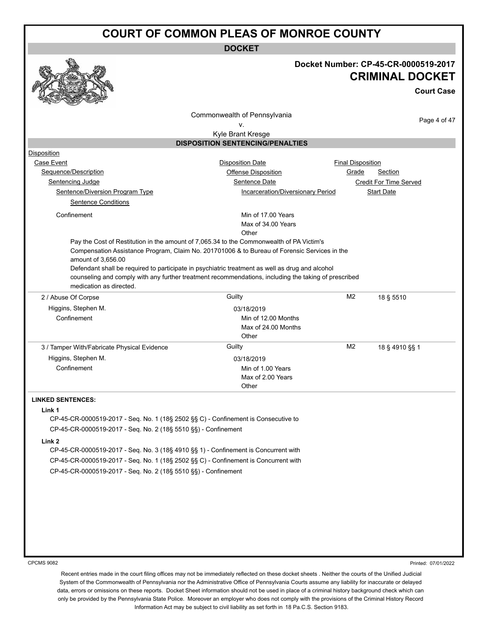**DOCKET**

# **Docket Number: CP-45-CR-0000519-2017**

|                                                                                     |                                                                                                      |                          | <b>CRIMINAL DOCKET</b><br><b>Court Case</b> |
|-------------------------------------------------------------------------------------|------------------------------------------------------------------------------------------------------|--------------------------|---------------------------------------------|
|                                                                                     |                                                                                                      |                          |                                             |
|                                                                                     | Commonwealth of Pennsylvania                                                                         |                          |                                             |
|                                                                                     | ٧.                                                                                                   |                          | Page 4 of 47                                |
|                                                                                     | Kyle Brant Kresge                                                                                    |                          |                                             |
|                                                                                     | <b>DISPOSITION SENTENCING/PENALTIES</b>                                                              |                          |                                             |
| Disposition                                                                         |                                                                                                      |                          |                                             |
| Case Event                                                                          | <b>Disposition Date</b>                                                                              | <b>Final Disposition</b> |                                             |
| Sequence/Description                                                                | Offense Disposition                                                                                  | Grade                    | Section                                     |
| <b>Sentencing Judge</b>                                                             | Sentence Date                                                                                        |                          | Credit For Time Served                      |
| Sentence/Diversion Program Type                                                     | <b>Incarceration/Diversionary Period</b>                                                             |                          | <b>Start Date</b>                           |
| <b>Sentence Conditions</b>                                                          |                                                                                                      |                          |                                             |
| Confinement                                                                         | Min of 17.00 Years                                                                                   |                          |                                             |
|                                                                                     | Max of 34.00 Years                                                                                   |                          |                                             |
|                                                                                     | Other<br>Pay the Cost of Restitution in the amount of 7,065.34 to the Commonwealth of PA Victim's    |                          |                                             |
|                                                                                     | Compensation Assistance Program, Claim No. 201701006 & to Bureau of Forensic Services in the         |                          |                                             |
| amount of 3,656.00                                                                  |                                                                                                      |                          |                                             |
|                                                                                     | Defendant shall be required to participate in psychiatric treatment as well as drug and alcohol      |                          |                                             |
|                                                                                     | counseling and comply with any further treatment recommendations, including the taking of prescribed |                          |                                             |
| medication as directed.                                                             |                                                                                                      |                          |                                             |
| 2 / Abuse Of Corpse                                                                 | Guilty                                                                                               | M <sub>2</sub>           | 18 § 5510                                   |
| Higgins, Stephen M.                                                                 | 03/18/2019                                                                                           |                          |                                             |
| Confinement                                                                         | Min of 12.00 Months                                                                                  |                          |                                             |
|                                                                                     | Max of 24.00 Months                                                                                  |                          |                                             |
|                                                                                     | Other                                                                                                |                          |                                             |
| 3 / Tamper With/Fabricate Physical Evidence                                         | Guilty                                                                                               | M <sub>2</sub>           | 18 § 4910 §§ 1                              |
| Higgins, Stephen M.                                                                 | 03/18/2019                                                                                           |                          |                                             |
| Confinement                                                                         | Min of 1.00 Years                                                                                    |                          |                                             |
|                                                                                     | Max of 2.00 Years                                                                                    |                          |                                             |
|                                                                                     | Other                                                                                                |                          |                                             |
| <b>LINKED SENTENCES:</b>                                                            |                                                                                                      |                          |                                             |
| Link 1                                                                              |                                                                                                      |                          |                                             |
| CP-45-CR-0000519-2017 - Seq. No. 1 (18§ 2502 §§ C) - Confinement is Consecutive to  |                                                                                                      |                          |                                             |
| CP-45-CR-0000519-2017 - Seq. No. 2 (18§ 5510 §§) - Confinement                      |                                                                                                      |                          |                                             |
| Link 2                                                                              |                                                                                                      |                          |                                             |
| CP-45-CR-0000519-2017 - Seq. No. 3 (18§ 4910 §§ 1) - Confinement is Concurrent with |                                                                                                      |                          |                                             |
| CP-45-CR-0000519-2017 - Seq. No. 1 (18§ 2502 §§ C) - Confinement is Concurrent with |                                                                                                      |                          |                                             |
| CP-45-CR-0000519-2017 - Seq. No. 2 (18§ 5510 §§) - Confinement                      |                                                                                                      |                          |                                             |
|                                                                                     |                                                                                                      |                          |                                             |
|                                                                                     |                                                                                                      |                          |                                             |
|                                                                                     |                                                                                                      |                          |                                             |
|                                                                                     |                                                                                                      |                          |                                             |
|                                                                                     |                                                                                                      |                          |                                             |
|                                                                                     |                                                                                                      |                          |                                             |
|                                                                                     |                                                                                                      |                          |                                             |

CPCMS 9082

 $\mathbf{C}$ 

a.<br>Santa di Santa Caraca (na Fara) di Santa di Santa di Santa di Santa di Santa di Santa di Santa di Santa di Sa

Printed: 07/01/2022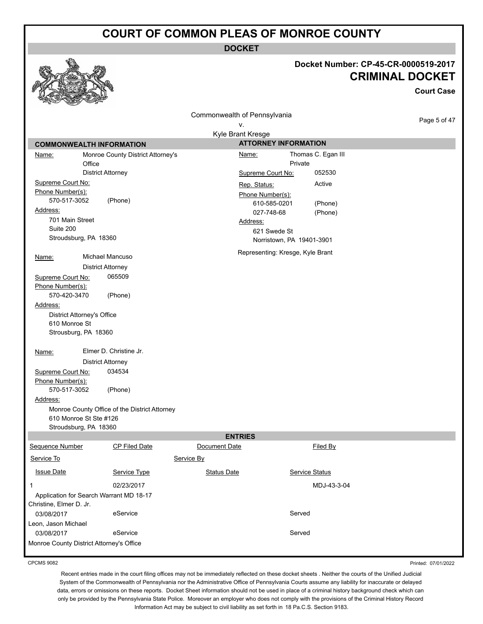**DOCKET**

|                                                                    |                                               |                                    |                                  |                           | Docket Number: CP-45-CR-0000519-2017<br><b>CRIMINAL DOCKET</b><br><b>Court Case</b> |  |
|--------------------------------------------------------------------|-----------------------------------------------|------------------------------------|----------------------------------|---------------------------|-------------------------------------------------------------------------------------|--|
|                                                                    |                                               | Commonwealth of Pennsylvania<br>٧. |                                  |                           | Page 5 of 47                                                                        |  |
|                                                                    |                                               | Kyle Brant Kresge                  |                                  |                           |                                                                                     |  |
| <b>COMMONWEALTH INFORMATION</b>                                    |                                               |                                    | <b>ATTORNEY INFORMATION</b>      |                           |                                                                                     |  |
| <u>Name:</u>                                                       | Monroe County District Attorney's             |                                    | <u>Name:</u>                     | Thomas C. Egan III        |                                                                                     |  |
| Office                                                             |                                               |                                    |                                  | Private                   |                                                                                     |  |
|                                                                    | <b>District Attorney</b>                      |                                    | Supreme Court No:                | 052530                    |                                                                                     |  |
| Supreme Court No:                                                  |                                               |                                    | Rep. Status:                     | Active                    |                                                                                     |  |
| Phone Number(s):                                                   |                                               |                                    | Phone Number(s):                 |                           |                                                                                     |  |
| 570-517-3052                                                       | (Phone)                                       |                                    | 610-585-0201                     | (Phone)                   |                                                                                     |  |
| Address:                                                           |                                               |                                    | 027-748-68                       | (Phone)                   |                                                                                     |  |
| 701 Main Street<br>Suite 200                                       |                                               |                                    | Address:                         |                           |                                                                                     |  |
| Stroudsburg, PA 18360                                              |                                               |                                    | 621 Swede St                     |                           |                                                                                     |  |
|                                                                    |                                               |                                    |                                  | Norristown, PA 19401-3901 |                                                                                     |  |
| <u>Name:</u>                                                       | Michael Mancuso                               |                                    | Representing: Kresge, Kyle Brant |                           |                                                                                     |  |
|                                                                    | <b>District Attorney</b>                      |                                    |                                  |                           |                                                                                     |  |
| Supreme Court No:                                                  | 065509                                        |                                    |                                  |                           |                                                                                     |  |
| Phone Number(s):                                                   |                                               |                                    |                                  |                           |                                                                                     |  |
| 570-420-3470                                                       | (Phone)                                       |                                    |                                  |                           |                                                                                     |  |
| Address:                                                           |                                               |                                    |                                  |                           |                                                                                     |  |
| District Attorney's Office                                         |                                               |                                    |                                  |                           |                                                                                     |  |
| 610 Monroe St                                                      |                                               |                                    |                                  |                           |                                                                                     |  |
| Strousburg, PA 18360                                               |                                               |                                    |                                  |                           |                                                                                     |  |
| <u>Name:</u>                                                       | Elmer D. Christine Jr.                        |                                    |                                  |                           |                                                                                     |  |
|                                                                    | <b>District Attorney</b>                      |                                    |                                  |                           |                                                                                     |  |
| Supreme Court No:                                                  | 034534                                        |                                    |                                  |                           |                                                                                     |  |
| Phone Number(s):                                                   |                                               |                                    |                                  |                           |                                                                                     |  |
| 570-517-3052                                                       | (Phone)                                       |                                    |                                  |                           |                                                                                     |  |
| Address:                                                           |                                               |                                    |                                  |                           |                                                                                     |  |
|                                                                    | Monroe County Office of the District Attorney |                                    |                                  |                           |                                                                                     |  |
| 610 Monroe St Ste #126<br>Stroudsburg, PA 18360                    |                                               |                                    |                                  |                           |                                                                                     |  |
|                                                                    |                                               | <b>ENTRIES</b>                     |                                  |                           |                                                                                     |  |
| Sequence Number                                                    | CP Filed Date                                 | Document Date                      |                                  | Filed By                  |                                                                                     |  |
| Service To                                                         |                                               | Service By                         |                                  |                           |                                                                                     |  |
| <b>Issue Date</b>                                                  | Service Type                                  | <b>Status Date</b>                 |                                  | Service Status            |                                                                                     |  |
|                                                                    |                                               |                                    |                                  |                           |                                                                                     |  |
| $\mathbf{1}$                                                       | 02/23/2017                                    |                                    |                                  | MDJ-43-3-04               |                                                                                     |  |
| Application for Search Warrant MD 18-17<br>Christine, Elmer D. Jr. |                                               |                                    |                                  |                           |                                                                                     |  |
| 03/08/2017                                                         | eService                                      |                                    |                                  | Served                    |                                                                                     |  |
| Leon, Jason Michael                                                |                                               |                                    |                                  |                           |                                                                                     |  |
| 03/08/2017                                                         | eService                                      |                                    |                                  | Served                    |                                                                                     |  |
| Monroe County District Attorney's Office                           |                                               |                                    |                                  |                           |                                                                                     |  |
|                                                                    |                                               |                                    |                                  |                           |                                                                                     |  |

CPCMS 9082

Recent entries made in the court filing offices may not be immediately reflected on these docket sheets . Neither the courts of the Unified Judicial System of the Commonwealth of Pennsylvania nor the Administrative Office of Pennsylvania Courts assume any liability for inaccurate or delayed data, errors or omissions on these reports. Docket Sheet information should not be used in place of a criminal history background check which can only be provided by the Pennsylvania State Police. Moreover an employer who does not comply with the provisions of the Criminal History Record

Information Act may be subject to civil liability as set forth in 18 Pa.C.S. Section 9183.

Printed: 07/01/2022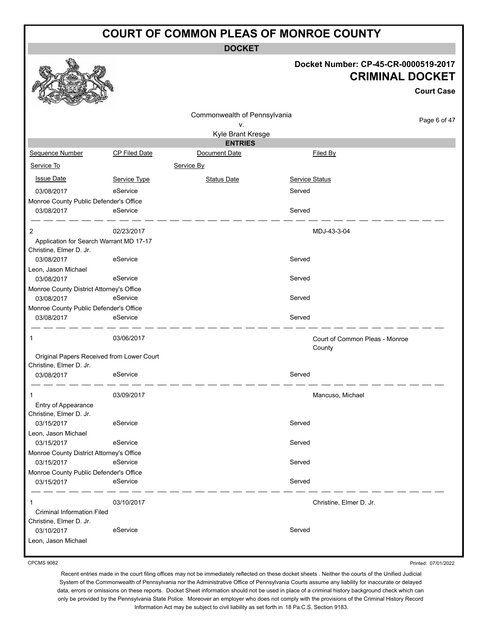**DOCKET**

#### **Docket Number: CP-45-CR-0000519-2017 CRIMINAL DOCKET**

|                                                        |                                           |                              |                       | <b>Court Case</b>              |
|--------------------------------------------------------|-------------------------------------------|------------------------------|-----------------------|--------------------------------|
|                                                        |                                           | Commonwealth of Pennsylvania |                       |                                |
|                                                        |                                           | ٧.                           |                       | Page 6 of 47                   |
|                                                        |                                           | Kyle Brant Kresge            |                       |                                |
|                                                        |                                           | <b>ENTRIES</b>               |                       |                                |
| Sequence Number                                        | <b>CP Filed Date</b>                      | Document Date                | Filed By              |                                |
| Service To                                             |                                           | Service By                   |                       |                                |
| <b>Issue Date</b>                                      | Service Type                              | <b>Status Date</b>           | <b>Service Status</b> |                                |
| 03/08/2017                                             | eService                                  |                              | Served                |                                |
| Monroe County Public Defender's Office                 |                                           |                              |                       |                                |
| 03/08/2017                                             | eService                                  |                              | Served                |                                |
| 2                                                      | 02/23/2017                                |                              |                       | MDJ-43-3-04                    |
| Application for Search Warrant MD 17-17                |                                           |                              |                       |                                |
| Christine, Elmer D. Jr.                                |                                           |                              |                       |                                |
| 03/08/2017                                             | eService                                  |                              | Served                |                                |
| Leon, Jason Michael                                    |                                           |                              |                       |                                |
| 03/08/2017                                             | eService                                  |                              | Served                |                                |
| Monroe County District Attorney's Office<br>03/08/2017 | eService                                  |                              | Served                |                                |
| Monroe County Public Defender's Office                 |                                           |                              |                       |                                |
| 03/08/2017                                             | eService                                  |                              | Served                |                                |
|                                                        |                                           |                              |                       |                                |
| 1                                                      | 03/06/2017                                |                              |                       | Court of Common Pleas - Monroe |
|                                                        | Original Papers Received from Lower Court |                              | County                |                                |
| Christine, Elmer D. Jr.                                |                                           |                              |                       |                                |
| 03/08/2017                                             | eService                                  |                              | Served                |                                |
|                                                        |                                           |                              |                       |                                |
| 1                                                      | 03/09/2017                                |                              |                       | Mancuso, Michael               |
| Entry of Appearance                                    |                                           |                              |                       |                                |
| Christine, Elmer D. Jr.                                |                                           |                              |                       |                                |
| 03/15/2017                                             | eService                                  |                              | Served                |                                |
| Leon, Jason Michael                                    |                                           |                              |                       |                                |
| 03/15/2017                                             | eService                                  |                              | Served                |                                |
| Monroe County District Attorney's Office               | eService                                  |                              | Served                |                                |
| 03/15/2017                                             |                                           |                              |                       |                                |
| Monroe County Public Defender's Office<br>03/15/2017   | eService                                  |                              | Served                |                                |
|                                                        |                                           |                              |                       |                                |
| 1                                                      | 03/10/2017                                |                              |                       | Christine, Elmer D. Jr.        |
| <b>Criminal Information Filed</b>                      |                                           |                              |                       |                                |
| Christine, Elmer D. Jr.<br>03/10/2017                  | eService                                  |                              | Served                |                                |
| Leon, Jason Michael                                    |                                           |                              |                       |                                |
|                                                        |                                           |                              |                       |                                |

CPCMS 9082

Printed: 07/01/2022

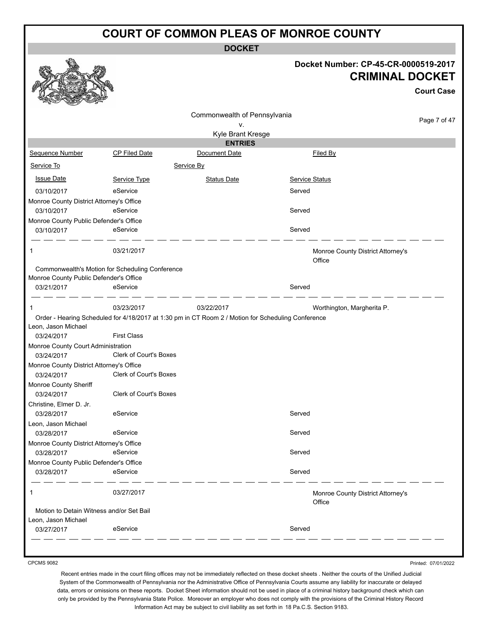**DOCKET**

#### **Docket Number: CP-45-CR-0000519-2017 CRIMINAL DOCKET**

**Court Case** Commonwealth of Pennsylvania Page 7 of 47 v. Kyle Brant Kresge **ENTRIES** Sequence Number CP Filed Date Document Date **Document Date** Filed By Service To Service By **Issue Date Service Type** Service Type Status Date Service Status Date Service Status Service Status **Service Status** 03/10/2017 eService Served Monroe County District Attorney's Office 03/10/2017 eService entertainment of the Served Monroe County Public Defender's Office 03/10/2017 eService Served <u>. 22 22 22 22 22 .</u> \_\_ \_\_ \_\_ \_\_ \_\_ \_\_ \_\_ 1 03/21/2017 Monroe County District Attorney's **Office** Commonwealth's Motion for Scheduling Conference Monroe County Public Defender's Office 03/21/2017 eService Served - - - - - - - - - - - - - - -\_ \_ \_ \_ 1 03/23/2017 03/22/2017 Worthington, Margherita P. Order - Hearing Scheduled for 4/18/2017 at 1:30 pm in CT Room 2 / Motion for Scheduling Conference Leon, Jason Michael 03/24/2017 First Class Monroe County Court Administration 03/24/2017 Clerk of Court's Boxes Monroe County District Attorney's Office 03/24/2017 Clerk of Court's Boxes Monroe County Sheriff 03/24/2017 Clerk of Court's Boxes Christine, Elmer D. Jr. 03/28/2017 eService Served Leon, Jason Michael 03/28/2017 eService Served Monroe County District Attorney's Office 03/28/2017 eService Served Monroe County Public Defender's Office 03/28/2017 eService Served - - - - - - - - - - -1 03/27/2017 Monroe County District Attorney's **Office** Motion to Detain Witness and/or Set Bail Leon, Jason Michael 03/27/2017 eService Served

CPCMS 9082

Printed: 07/01/2022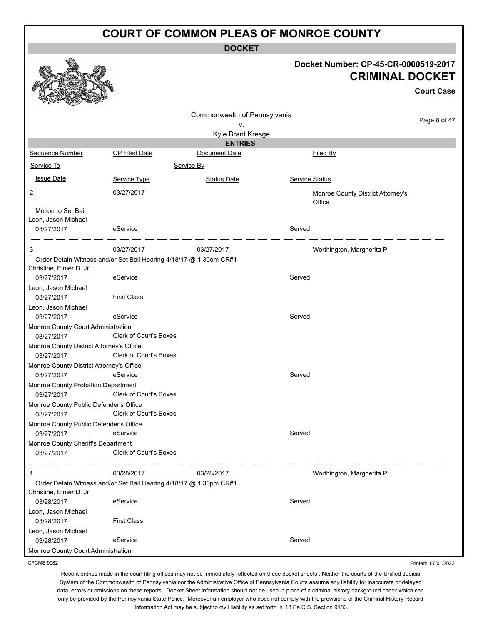**DOCKET**

#### **Docket Number: CP-45-CR-0000519-2017 CRIMINAL DOCKET**

|                                                        |                                                                    |                              |                                             | <b>Court Case</b> |
|--------------------------------------------------------|--------------------------------------------------------------------|------------------------------|---------------------------------------------|-------------------|
|                                                        |                                                                    | Commonwealth of Pennsylvania |                                             | Page 8 of 47      |
|                                                        |                                                                    | ٧.                           |                                             |                   |
|                                                        |                                                                    | Kyle Brant Kresge            |                                             |                   |
|                                                        |                                                                    | <b>ENTRIES</b>               |                                             |                   |
| Sequence Number                                        | <b>CP Filed Date</b>                                               | Document Date                | Filed By                                    |                   |
| Service To                                             |                                                                    | Service By                   |                                             |                   |
| <b>Issue Date</b>                                      | Service Type                                                       | <b>Status Date</b>           | Service Status                              |                   |
| 2                                                      | 03/27/2017                                                         |                              | Monroe County District Attorney's<br>Office |                   |
| Motion to Set Bail                                     |                                                                    |                              |                                             |                   |
| Leon, Jason Michael<br>03/27/2017                      | eService                                                           |                              | Served                                      |                   |
|                                                        |                                                                    |                              |                                             |                   |
| 3                                                      | 03/27/2017                                                         | 03/27/2017                   | Worthington, Margherita P.                  |                   |
|                                                        | Order Detain Witness and/or Set Bail Hearing 4/18/17 @ 1:30om CR#1 |                              |                                             |                   |
| Christine, Elmer D. Jr.                                |                                                                    |                              |                                             |                   |
| 03/27/2017                                             | eService                                                           |                              | Served                                      |                   |
| Leon, Jason Michael                                    |                                                                    |                              |                                             |                   |
| 03/27/2017                                             | <b>First Class</b>                                                 |                              |                                             |                   |
| Leon, Jason Michael                                    |                                                                    |                              |                                             |                   |
| 03/27/2017                                             | eService                                                           |                              | Served                                      |                   |
| Monroe County Court Administration                     |                                                                    |                              |                                             |                   |
| 03/27/2017                                             | Clerk of Court's Boxes                                             |                              |                                             |                   |
| Monroe County District Attorney's Office<br>03/27/2017 | <b>Clerk of Court's Boxes</b>                                      |                              |                                             |                   |
| Monroe County District Attorney's Office               |                                                                    |                              |                                             |                   |
| 03/27/2017                                             | eService                                                           |                              | Served                                      |                   |
| Monroe County Probation Department<br>03/27/2017       | <b>Clerk of Court's Boxes</b>                                      |                              |                                             |                   |
| Monroe County Public Defender's Office                 |                                                                    |                              |                                             |                   |
| 03/27/2017                                             | <b>Clerk of Court's Boxes</b>                                      |                              |                                             |                   |
|                                                        |                                                                    |                              |                                             |                   |
| Monroe County Public Defender's Office<br>03/27/2017   | eService                                                           |                              | Served                                      |                   |
| Monroe County Sheriff's Department                     |                                                                    |                              |                                             |                   |
| 03/27/2017                                             | Clerk of Court's Boxes                                             |                              |                                             |                   |
| 1                                                      | 03/28/2017                                                         | 03/28/2017                   | Worthington, Margherita P.                  |                   |
|                                                        | Order Detain Witness and/or Set Bail Hearing 4/18/17 @ 1:30pm CR#1 |                              |                                             |                   |
| Christine, Elmer D. Jr.<br>03/28/2017                  | eService                                                           |                              | Served                                      |                   |
| Leon, Jason Michael                                    |                                                                    |                              |                                             |                   |
| 03/28/2017                                             | <b>First Class</b>                                                 |                              |                                             |                   |
|                                                        |                                                                    |                              |                                             |                   |
| Leon, Jason Michael<br>03/28/2017                      | eService                                                           |                              | Served                                      |                   |
| Monroe County Court Administration                     |                                                                    |                              |                                             |                   |
|                                                        |                                                                    |                              |                                             |                   |

CPCMS 9082

Printed: 07/01/2022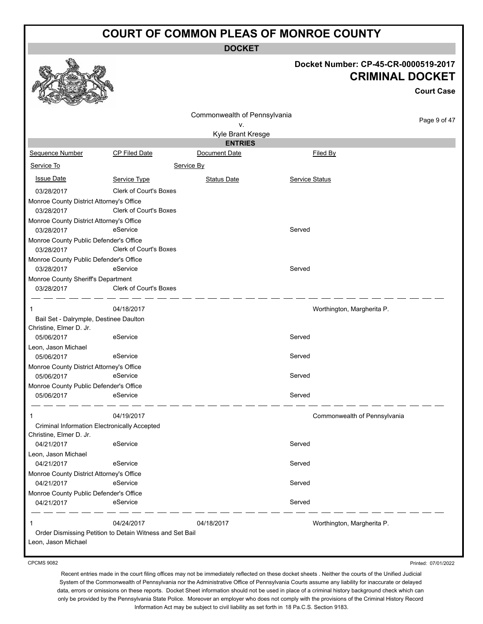**DOCKET**

# **Docket Number: CP-45-CR-0000519-2017**

|                                                      |                                                          |                              |                | <b>CRIMINAL DOCKET</b><br><b>Court Case</b> |
|------------------------------------------------------|----------------------------------------------------------|------------------------------|----------------|---------------------------------------------|
|                                                      |                                                          | Commonwealth of Pennsylvania |                |                                             |
|                                                      |                                                          | ٧.                           |                | Page 9 of 47                                |
|                                                      |                                                          | Kyle Brant Kresge            |                |                                             |
|                                                      |                                                          | <b>ENTRIES</b>               |                |                                             |
| Sequence Number                                      | <b>CP Filed Date</b>                                     | Document Date                | Filed By       |                                             |
| Service To                                           |                                                          | Service By                   |                |                                             |
| <b>Issue Date</b>                                    | Service Type                                             | <b>Status Date</b>           | Service Status |                                             |
| 03/28/2017                                           | <b>Clerk of Court's Boxes</b>                            |                              |                |                                             |
| Monroe County District Attorney's Office             |                                                          |                              |                |                                             |
| 03/28/2017                                           | Clerk of Court's Boxes                                   |                              |                |                                             |
| Monroe County District Attorney's Office             |                                                          |                              |                |                                             |
| 03/28/2017                                           | eService                                                 |                              | Served         |                                             |
| Monroe County Public Defender's Office<br>03/28/2017 | Clerk of Court's Boxes                                   |                              |                |                                             |
| Monroe County Public Defender's Office<br>03/28/2017 | eService                                                 |                              | Served         |                                             |
| Monroe County Sheriff's Department                   |                                                          |                              |                |                                             |
| 03/28/2017                                           | <b>Clerk of Court's Boxes</b>                            |                              |                |                                             |
| 1                                                    | 04/18/2017                                               |                              |                | Worthington, Margherita P.                  |
| Bail Set - Dalrymple, Destinee Daulton               |                                                          |                              |                |                                             |
| Christine, Elmer D. Jr.                              |                                                          |                              |                |                                             |
| 05/06/2017                                           | eService                                                 |                              | Served         |                                             |
| Leon, Jason Michael                                  |                                                          |                              |                |                                             |
| 05/06/2017                                           | eService                                                 |                              | Served         |                                             |
| Monroe County District Attorney's Office             |                                                          |                              |                |                                             |
| 05/06/2017                                           | eService                                                 |                              | Served         |                                             |
| Monroe County Public Defender's Office               |                                                          |                              |                |                                             |
| 05/06/2017                                           | eService                                                 |                              | Served         |                                             |
| 1                                                    | 04/19/2017                                               |                              |                | Commonwealth of Pennsylvania                |
| Criminal Information Electronically Accepted         |                                                          |                              |                |                                             |
| Christine, Elmer D. Jr.                              |                                                          |                              |                |                                             |
| 04/21/2017                                           | eService                                                 |                              | Served         |                                             |
| Leon, Jason Michael                                  |                                                          |                              |                |                                             |
| 04/21/2017                                           | eService                                                 |                              | Served         |                                             |
| Monroe County District Attorney's Office             |                                                          |                              |                |                                             |
| 04/21/2017                                           | eService                                                 |                              | Served         |                                             |
| Monroe County Public Defender's Office               |                                                          |                              |                |                                             |
| 04/21/2017                                           | eService                                                 |                              | Served         |                                             |
| 1                                                    | 04/24/2017                                               | 04/18/2017                   |                | Worthington, Margherita P.                  |
| Leon, Jason Michael                                  | Order Dismissing Petition to Detain Witness and Set Bail |                              |                |                                             |

CPCMS 9082

 $\mathbf{C}$ 

a.<br>Santa di Santa Caraca (na Fara) di Santa di Santa di Santa di Santa di Santa di Santa di Santa di Santa di Sa

Printed: 07/01/2022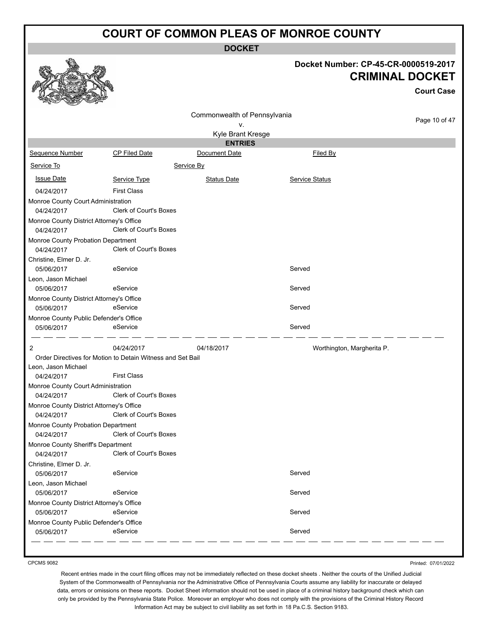**DOCKET**

#### **Docket Number: CP-45-CR-0000519-2017 CRIMINAL DOCKET**

|                                                  |                                                            |                              |                            | <b>Court Case</b> |
|--------------------------------------------------|------------------------------------------------------------|------------------------------|----------------------------|-------------------|
|                                                  |                                                            | Commonwealth of Pennsylvania |                            |                   |
|                                                  |                                                            | ٧.                           |                            | Page 10 of 47     |
|                                                  |                                                            | Kyle Brant Kresge            |                            |                   |
|                                                  |                                                            | <b>ENTRIES</b>               |                            |                   |
| Sequence Number                                  | CP Filed Date                                              | Document Date                | Filed By                   |                   |
| Service To                                       |                                                            | Service By                   |                            |                   |
| <b>Issue Date</b>                                | Service Type                                               | <b>Status Date</b>           | Service Status             |                   |
| 04/24/2017                                       | <b>First Class</b>                                         |                              |                            |                   |
| Monroe County Court Administration               |                                                            |                              |                            |                   |
| 04/24/2017                                       | <b>Clerk of Court's Boxes</b>                              |                              |                            |                   |
| Monroe County District Attorney's Office         |                                                            |                              |                            |                   |
| 04/24/2017                                       | <b>Clerk of Court's Boxes</b>                              |                              |                            |                   |
| Monroe County Probation Department<br>04/24/2017 | <b>Clerk of Court's Boxes</b>                              |                              |                            |                   |
| Christine, Elmer D. Jr.                          |                                                            |                              |                            |                   |
| 05/06/2017                                       | eService                                                   |                              | Served                     |                   |
| Leon, Jason Michael<br>05/06/2017                | eService                                                   |                              | Served                     |                   |
| Monroe County District Attorney's Office         |                                                            |                              |                            |                   |
| 05/06/2017                                       | eService                                                   |                              | Served                     |                   |
| Monroe County Public Defender's Office           |                                                            |                              |                            |                   |
| 05/06/2017                                       | eService                                                   |                              | Served                     |                   |
| 2                                                | 04/24/2017                                                 | 04/18/2017                   | Worthington, Margherita P. |                   |
|                                                  | Order Directives for Motion to Detain Witness and Set Bail |                              |                            |                   |
| Leon, Jason Michael                              |                                                            |                              |                            |                   |
| 04/24/2017                                       | <b>First Class</b>                                         |                              |                            |                   |
| Monroe County Court Administration<br>04/24/2017 | <b>Clerk of Court's Boxes</b>                              |                              |                            |                   |
| Monroe County District Attorney's Office         |                                                            |                              |                            |                   |
| 04/24/2017                                       | <b>Clerk of Court's Boxes</b>                              |                              |                            |                   |
| Monroe County Probation Department               |                                                            |                              |                            |                   |
| 04/24/2017                                       | Clerk of Court's Boxes                                     |                              |                            |                   |
| Monroe County Sheriff's Department               |                                                            |                              |                            |                   |
| 04/24/2017                                       | <b>Clerk of Court's Boxes</b>                              |                              |                            |                   |
| Christine, Elmer D. Jr.                          |                                                            |                              |                            |                   |
| 05/06/2017                                       | eService                                                   |                              | Served                     |                   |
| Leon, Jason Michael                              |                                                            |                              |                            |                   |
| 05/06/2017                                       | eService                                                   |                              | Served                     |                   |
| Monroe County District Attorney's Office         |                                                            |                              |                            |                   |
| 05/06/2017                                       | eService                                                   |                              | Served                     |                   |
| Monroe County Public Defender's Office           |                                                            |                              |                            |                   |
| 05/06/2017                                       | eService                                                   |                              | Served                     |                   |

CPCMS 9082

RA

Printed: 07/01/2022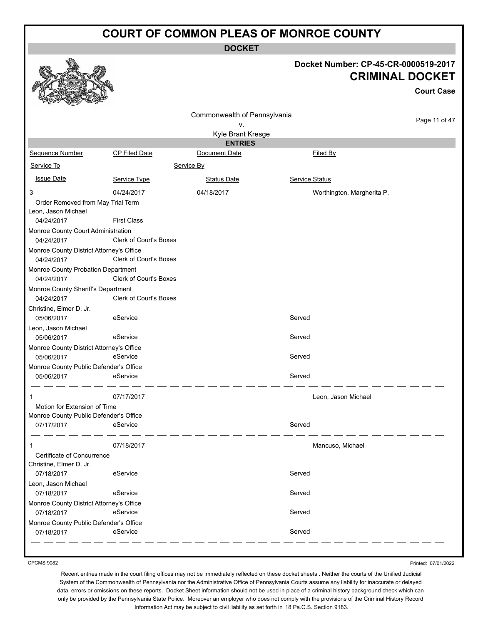**DOCKET**

### **Docket Number: CP-45-CR-0000519-2017 CRIMINAL DOCKET**

**Court Case**

| Commonwealth of Pennsylvania<br>۷.                       |                        |                    | Page 11 of 47              |  |
|----------------------------------------------------------|------------------------|--------------------|----------------------------|--|
| Kyle Brant Kresge                                        |                        |                    |                            |  |
|                                                          |                        | <b>ENTRIES</b>     |                            |  |
| Sequence Number                                          | CP Filed Date          | Document Date      | Filed By                   |  |
| Service To                                               |                        | Service By         |                            |  |
| <b>Issue Date</b>                                        | Service Type           | <b>Status Date</b> | <b>Service Status</b>      |  |
| 3                                                        | 04/24/2017             | 04/18/2017         | Worthington, Margherita P. |  |
| Order Removed from May Trial Term<br>Leon, Jason Michael |                        |                    |                            |  |
| 04/24/2017                                               | <b>First Class</b>     |                    |                            |  |
| Monroe County Court Administration                       |                        |                    |                            |  |
| 04/24/2017                                               | Clerk of Court's Boxes |                    |                            |  |
| Monroe County District Attorney's Office<br>04/24/2017   | Clerk of Court's Boxes |                    |                            |  |
| Monroe County Probation Department<br>04/24/2017         | Clerk of Court's Boxes |                    |                            |  |
| Monroe County Sheriff's Department<br>04/24/2017         | Clerk of Court's Boxes |                    |                            |  |
| Christine, Elmer D. Jr.                                  |                        |                    |                            |  |
| 05/06/2017                                               | eService               |                    | Served                     |  |
| Leon, Jason Michael                                      |                        |                    |                            |  |
| 05/06/2017                                               | eService               |                    | Served                     |  |
| Monroe County District Attorney's Office                 |                        |                    |                            |  |
| 05/06/2017                                               | eService               |                    | Served                     |  |
| Monroe County Public Defender's Office                   |                        |                    |                            |  |
| 05/06/2017                                               | eService               |                    | Served                     |  |
| 1                                                        | 07/17/2017             |                    | Leon, Jason Michael        |  |
| Motion for Extension of Time                             |                        |                    |                            |  |
| Monroe County Public Defender's Office                   |                        |                    |                            |  |
| 07/17/2017                                               | eService               |                    | Served                     |  |
|                                                          | 07/18/2017             |                    | Mancuso, Michael           |  |
| Certificate of Concurrence<br>Christine, Elmer D. Jr.    |                        |                    |                            |  |
| 07/18/2017                                               | eService               |                    | Served                     |  |
| Leon, Jason Michael                                      |                        |                    |                            |  |
| 07/18/2017                                               | eService               |                    | Served                     |  |
| Monroe County District Attorney's Office                 |                        |                    |                            |  |
| 07/18/2017                                               | eService               |                    | Served                     |  |
| Monroe County Public Defender's Office                   |                        |                    |                            |  |
| 07/18/2017                                               | eService               |                    | Served                     |  |

CPCMS 9082

Printed: 07/01/2022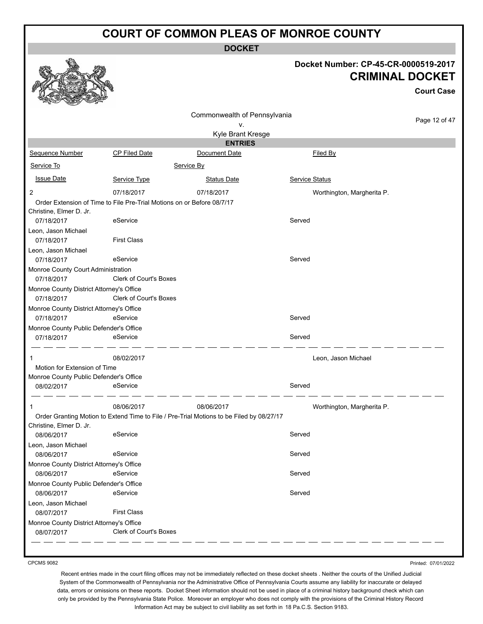**DOCKET**

#### **9-2017 CKET**

**Court Case**

12 of 47

|                                                  |                                                                        |                                                                                          | Docket Number: CP-45-CR-000051 | <b>CRIMINAL DOC</b> |
|--------------------------------------------------|------------------------------------------------------------------------|------------------------------------------------------------------------------------------|--------------------------------|---------------------|
|                                                  |                                                                        |                                                                                          |                                | Cou                 |
|                                                  |                                                                        | Commonwealth of Pennsylvania                                                             |                                |                     |
|                                                  |                                                                        | v.                                                                                       |                                | Page                |
|                                                  |                                                                        | Kyle Brant Kresge                                                                        |                                |                     |
|                                                  |                                                                        | <b>ENTRIES</b>                                                                           |                                |                     |
| Sequence Number                                  | <b>CP Filed Date</b>                                                   | Document Date                                                                            | Filed By                       |                     |
| Service To                                       |                                                                        | Service By                                                                               |                                |                     |
| <b>Issue Date</b>                                | Service Type                                                           | <b>Status Date</b>                                                                       | <b>Service Status</b>          |                     |
| 2                                                | 07/18/2017                                                             | 07/18/2017                                                                               | Worthington, Margherita P.     |                     |
| Christine, Elmer D. Jr.                          | Order Extension of Time to File Pre-Trial Motions on or Before 08/7/17 |                                                                                          |                                |                     |
| 07/18/2017                                       | eService                                                               |                                                                                          | Served                         |                     |
| Leon, Jason Michael                              |                                                                        |                                                                                          |                                |                     |
| 07/18/2017                                       | <b>First Class</b>                                                     |                                                                                          |                                |                     |
| Leon, Jason Michael<br>07/18/2017                | eService                                                               |                                                                                          | Served                         |                     |
|                                                  |                                                                        |                                                                                          |                                |                     |
| Monroe County Court Administration<br>07/18/2017 | <b>Clerk of Court's Boxes</b>                                          |                                                                                          |                                |                     |
| Monroe County District Attorney's Office         |                                                                        |                                                                                          |                                |                     |
| 07/18/2017                                       | <b>Clerk of Court's Boxes</b>                                          |                                                                                          |                                |                     |
| Monroe County District Attorney's Office         |                                                                        |                                                                                          |                                |                     |
| 07/18/2017                                       | eService                                                               |                                                                                          | Served                         |                     |
| Monroe County Public Defender's Office           |                                                                        |                                                                                          |                                |                     |
| 07/18/2017                                       | eService                                                               |                                                                                          | Served                         |                     |
| 1                                                | 08/02/2017                                                             |                                                                                          | Leon, Jason Michael            |                     |
| Motion for Extension of Time                     |                                                                        |                                                                                          |                                |                     |
| Monroe County Public Defender's Office           |                                                                        |                                                                                          |                                |                     |
| 08/02/2017                                       | eService                                                               |                                                                                          | Served                         |                     |
|                                                  | 08/06/2017                                                             | 08/06/2017                                                                               | Worthington, Margherita P      |                     |
|                                                  |                                                                        | Order Granting Motion to Extend Time to File / Pre-Trial Motions to be Filed by 08/27/17 |                                |                     |
| Christine, Elmer D. Jr.<br>08/06/2017            | eService                                                               |                                                                                          | Served                         |                     |
| Leon, Jason Michael<br>08/06/2017                | eService                                                               |                                                                                          | Served                         |                     |
| Monroe County District Attorney's Office         |                                                                        |                                                                                          |                                |                     |
| 08/06/2017                                       | eService                                                               |                                                                                          | Served                         |                     |
| Monroe County Public Defender's Office           |                                                                        |                                                                                          |                                |                     |
| 08/06/2017                                       | eService                                                               |                                                                                          | Served                         |                     |
| Leon, Jason Michael                              |                                                                        |                                                                                          |                                |                     |
| 08/07/2017                                       | <b>First Class</b>                                                     |                                                                                          |                                |                     |
| Monroe County District Attorney's Office         |                                                                        |                                                                                          |                                |                     |
| 08/07/2017                                       | Clerk of Court's Boxes                                                 |                                                                                          |                                |                     |

CPCMS 9082

Printed: 07/01/2022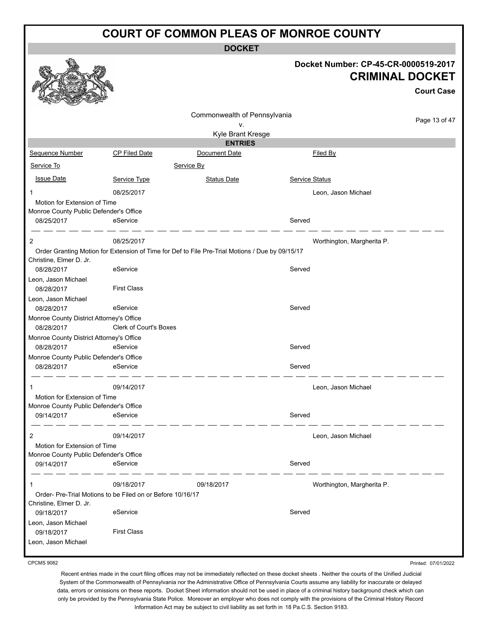**DOCKET**

|                                                                        |                                                           | <b>DOCKET</b>                                                                                   |                |                                                                                     |
|------------------------------------------------------------------------|-----------------------------------------------------------|-------------------------------------------------------------------------------------------------|----------------|-------------------------------------------------------------------------------------|
|                                                                        |                                                           |                                                                                                 |                | Docket Number: CP-45-CR-0000519-2017<br><b>CRIMINAL DOCKET</b><br><b>Court Case</b> |
|                                                                        |                                                           |                                                                                                 |                |                                                                                     |
|                                                                        |                                                           |                                                                                                 |                |                                                                                     |
|                                                                        |                                                           | Commonwealth of Pennsylvania                                                                    |                | Page 13 of 47                                                                       |
|                                                                        |                                                           | ٧.<br>Kyle Brant Kresge                                                                         |                |                                                                                     |
|                                                                        |                                                           | <b>ENTRIES</b>                                                                                  |                |                                                                                     |
| Sequence Number                                                        | <b>CP Filed Date</b>                                      | Document Date                                                                                   |                | Filed By                                                                            |
| Service To                                                             |                                                           | Service By                                                                                      |                |                                                                                     |
|                                                                        |                                                           |                                                                                                 |                |                                                                                     |
| <b>Issue Date</b>                                                      | Service Type                                              | <b>Status Date</b>                                                                              | Service Status |                                                                                     |
| 1                                                                      | 08/25/2017                                                |                                                                                                 |                | Leon, Jason Michael                                                                 |
| Motion for Extension of Time                                           |                                                           |                                                                                                 |                |                                                                                     |
| Monroe County Public Defender's Office<br>08/25/2017                   | eService                                                  |                                                                                                 | Served         |                                                                                     |
|                                                                        |                                                           |                                                                                                 |                |                                                                                     |
| 2                                                                      | 08/25/2017                                                |                                                                                                 |                | Worthington, Margherita P.                                                          |
|                                                                        |                                                           | Order Granting Motion for Extension of Time for Def to File Pre-Trial Motions / Due by 09/15/17 |                |                                                                                     |
| Christine, Elmer D. Jr.                                                |                                                           |                                                                                                 |                |                                                                                     |
| 08/28/2017                                                             | eService                                                  |                                                                                                 | Served         |                                                                                     |
| Leon, Jason Michael                                                    |                                                           |                                                                                                 |                |                                                                                     |
| 08/28/2017                                                             | <b>First Class</b>                                        |                                                                                                 |                |                                                                                     |
| Leon, Jason Michael                                                    |                                                           |                                                                                                 |                |                                                                                     |
| 08/28/2017                                                             | eService                                                  |                                                                                                 | Served         |                                                                                     |
| Monroe County District Attorney's Office                               |                                                           |                                                                                                 |                |                                                                                     |
| 08/28/2017                                                             | Clerk of Court's Boxes                                    |                                                                                                 |                |                                                                                     |
| Monroe County District Attorney's Office<br>08/28/2017                 | eService                                                  |                                                                                                 | Served         |                                                                                     |
| Monroe County Public Defender's Office                                 |                                                           |                                                                                                 |                |                                                                                     |
| 08/28/2017                                                             | eService                                                  |                                                                                                 | Served         |                                                                                     |
|                                                                        |                                                           |                                                                                                 |                |                                                                                     |
| 1                                                                      | 09/14/2017                                                |                                                                                                 |                | Leon, Jason Michael                                                                 |
| Motion for Extension of Time                                           |                                                           |                                                                                                 |                |                                                                                     |
| Monroe County Public Defender's Office                                 |                                                           |                                                                                                 |                |                                                                                     |
| 09/14/2017                                                             | eService                                                  |                                                                                                 | Served         |                                                                                     |
|                                                                        |                                                           |                                                                                                 |                |                                                                                     |
| 2                                                                      | 09/14/2017                                                |                                                                                                 |                | Leon, Jason Michael                                                                 |
| Motion for Extension of Time<br>Monroe County Public Defender's Office |                                                           |                                                                                                 |                |                                                                                     |
| 09/14/2017                                                             | eService                                                  |                                                                                                 | Served         |                                                                                     |
|                                                                        |                                                           |                                                                                                 |                |                                                                                     |
| 1                                                                      | 09/18/2017                                                | 09/18/2017                                                                                      |                | Worthington, Margherita P.                                                          |
|                                                                        | Order-Pre-Trial Motions to be Filed on or Before 10/16/17 |                                                                                                 |                |                                                                                     |
| Christine, Elmer D. Jr.                                                |                                                           |                                                                                                 |                |                                                                                     |
| 09/18/2017                                                             | eService                                                  |                                                                                                 | Served         |                                                                                     |
| Leon, Jason Michael                                                    |                                                           |                                                                                                 |                |                                                                                     |
| 09/18/2017                                                             | <b>First Class</b>                                        |                                                                                                 |                |                                                                                     |
| Leon, Jason Michael                                                    |                                                           |                                                                                                 |                |                                                                                     |
|                                                                        |                                                           |                                                                                                 |                |                                                                                     |

CPCMS 9082

Recent entries made in the court filing offices may not be immediately reflected on these docket sheets . Neither the courts of the Unified Judicial System of the Commonwealth of Pennsylvania nor the Administrative Office of Pennsylvania Courts assume any liability for inaccurate or delayed data, errors or omissions on these reports. Docket Sheet information should not be used in place of a criminal history background check which can only be provided by the Pennsylvania State Police. Moreover an employer who does not comply with the provisions of the Criminal History Record Information Act may be subject to civil liability as set forth in 18 Pa.C.S. Section 9183.

Printed: 07/01/2022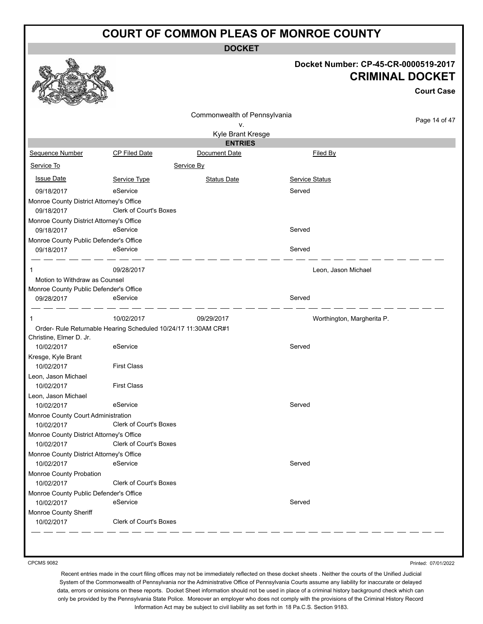**DOCKET**

#### **Docket Number: CP-45-CR-0000519-2017 CRIMINAL DOCKET**

**Court Case**

|                                          |                                                                | Commonwealth of Pennsylvania<br>٧. |                            | Page 14 of 47 |
|------------------------------------------|----------------------------------------------------------------|------------------------------------|----------------------------|---------------|
|                                          |                                                                | Kyle Brant Kresge                  |                            |               |
|                                          |                                                                | <b>ENTRIES</b>                     |                            |               |
| Sequence Number                          | <b>CP Filed Date</b>                                           | Document Date                      | Filed By                   |               |
| Service To                               |                                                                | Service By                         |                            |               |
| <b>Issue Date</b>                        | Service Type                                                   | <b>Status Date</b>                 | Service Status             |               |
| 09/18/2017                               | eService                                                       |                                    | Served                     |               |
| Monroe County District Attorney's Office |                                                                |                                    |                            |               |
| 09/18/2017                               | Clerk of Court's Boxes                                         |                                    |                            |               |
| Monroe County District Attorney's Office |                                                                |                                    |                            |               |
| 09/18/2017                               | eService                                                       |                                    | Served                     |               |
| Monroe County Public Defender's Office   |                                                                |                                    |                            |               |
| 09/18/2017                               | eService                                                       |                                    | Served                     |               |
| 1                                        | 09/28/2017                                                     |                                    | Leon, Jason Michael        |               |
| Motion to Withdraw as Counsel            |                                                                |                                    |                            |               |
| Monroe County Public Defender's Office   |                                                                |                                    |                            |               |
| 09/28/2017                               | eService                                                       |                                    | Served                     |               |
| 1                                        | 10/02/2017                                                     | 09/29/2017                         | Worthington, Margherita P. |               |
|                                          | Order- Rule Returnable Hearing Scheduled 10/24/17 11:30AM CR#1 |                                    |                            |               |
| Christine, Elmer D. Jr.                  |                                                                |                                    |                            |               |
| 10/02/2017                               | eService                                                       |                                    | Served                     |               |
| Kresge, Kyle Brant                       |                                                                |                                    |                            |               |
| 10/02/2017                               | <b>First Class</b>                                             |                                    |                            |               |
| Leon, Jason Michael                      |                                                                |                                    |                            |               |
| 10/02/2017                               | <b>First Class</b>                                             |                                    |                            |               |
| Leon, Jason Michael                      |                                                                |                                    |                            |               |
| 10/02/2017                               | eService                                                       |                                    | Served                     |               |
| Monroe County Court Administration       |                                                                |                                    |                            |               |
| 10/02/2017                               | Clerk of Court's Boxes                                         |                                    |                            |               |
| Monroe County District Attorney's Office |                                                                |                                    |                            |               |
|                                          | 10/02/2017 Clerk of Court's Boxes                              |                                    |                            |               |
| Monroe County District Attorney's Office |                                                                |                                    |                            |               |
| 10/02/2017                               | eService                                                       |                                    | Served                     |               |
| Monroe County Probation                  |                                                                |                                    |                            |               |
| 10/02/2017                               | Clerk of Court's Boxes                                         |                                    |                            |               |
| Monroe County Public Defender's Office   |                                                                |                                    |                            |               |
| 10/02/2017                               | eService                                                       |                                    | Served                     |               |
| Monroe County Sheriff                    |                                                                |                                    |                            |               |
| 10/02/2017                               | <b>Clerk of Court's Boxes</b>                                  |                                    |                            |               |

CPCMS 9082

Printed: 07/01/2022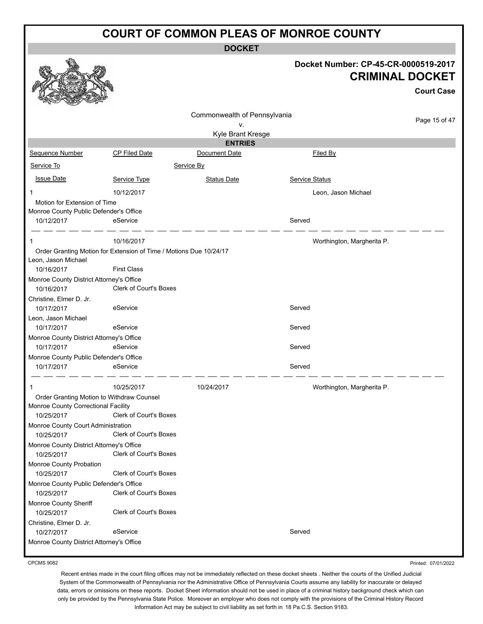**DOCKET**

|                                                                                                |                                                                    | DUUNEI                       |                                                                |  |
|------------------------------------------------------------------------------------------------|--------------------------------------------------------------------|------------------------------|----------------------------------------------------------------|--|
|                                                                                                |                                                                    |                              | Docket Number: CP-45-CR-0000519-2017<br><b>CRIMINAL DOCKET</b> |  |
|                                                                                                |                                                                    |                              | <b>Court Case</b>                                              |  |
|                                                                                                |                                                                    |                              |                                                                |  |
|                                                                                                |                                                                    | Commonwealth of Pennsylvania | Page 15 of 47                                                  |  |
|                                                                                                |                                                                    | ٧.<br>Kyle Brant Kresge      |                                                                |  |
|                                                                                                |                                                                    | <b>ENTRIES</b>               |                                                                |  |
| Sequence Number                                                                                | CP Filed Date                                                      | Document Date                | Filed By                                                       |  |
| Service To                                                                                     |                                                                    | Service By                   |                                                                |  |
| <b>Issue Date</b>                                                                              | Service Type                                                       | <b>Status Date</b>           | <b>Service Status</b>                                          |  |
| 1                                                                                              | 10/12/2017                                                         |                              | Leon, Jason Michael                                            |  |
| Motion for Extension of Time                                                                   |                                                                    |                              |                                                                |  |
| Monroe County Public Defender's Office                                                         |                                                                    |                              |                                                                |  |
| 10/12/2017                                                                                     | eService                                                           |                              | Served                                                         |  |
| 1                                                                                              | 10/16/2017                                                         |                              | Worthington, Margherita P.                                     |  |
|                                                                                                | Order Granting Motion for Extension of Time / Motions Due 10/24/17 |                              |                                                                |  |
| Leon, Jason Michael                                                                            |                                                                    |                              |                                                                |  |
| 10/16/2017                                                                                     | <b>First Class</b>                                                 |                              |                                                                |  |
| Monroe County District Attorney's Office<br>10/16/2017                                         | Clerk of Court's Boxes                                             |                              |                                                                |  |
| Christine, Elmer D. Jr.                                                                        |                                                                    |                              | Served                                                         |  |
| 10/17/2017<br>Leon, Jason Michael                                                              | eService                                                           |                              |                                                                |  |
| 10/17/2017                                                                                     | eService                                                           |                              | Served                                                         |  |
| Monroe County District Attorney's Office                                                       |                                                                    |                              |                                                                |  |
| 10/17/2017                                                                                     | eService                                                           |                              | Served                                                         |  |
| Monroe County Public Defender's Office                                                         |                                                                    |                              |                                                                |  |
| 10/17/2017                                                                                     | eService                                                           |                              | Served                                                         |  |
|                                                                                                | 10/25/2017                                                         | 10/24/2017                   | Worthington, Margherita P.                                     |  |
| Order Granting Motion to Withdraw Counsel<br>Monroe County Correctional Facility<br>10/25/2017 | Clerk of Court's Boxes                                             |                              |                                                                |  |
| Monroe County Court Administration                                                             |                                                                    |                              |                                                                |  |
| 10/25/2017                                                                                     | Clerk of Court's Boxes                                             |                              |                                                                |  |
| Monroe County District Attorney's Office<br>10/25/2017                                         | Clerk of Court's Boxes                                             |                              |                                                                |  |
| Monroe County Probation                                                                        |                                                                    |                              |                                                                |  |
| 10/25/2017                                                                                     | Clerk of Court's Boxes                                             |                              |                                                                |  |
| Monroe County Public Defender's Office                                                         |                                                                    |                              |                                                                |  |
| 10/25/2017                                                                                     | Clerk of Court's Boxes                                             |                              |                                                                |  |
| Monroe County Sheriff<br>10/25/2017                                                            | Clerk of Court's Boxes                                             |                              |                                                                |  |
| Christine, Elmer D. Jr.                                                                        |                                                                    |                              |                                                                |  |
| 10/27/2017                                                                                     | eService                                                           |                              | Served                                                         |  |
| Monroe County District Attorney's Office                                                       |                                                                    |                              |                                                                |  |

CPCMS 9082

Printed: 07/01/2022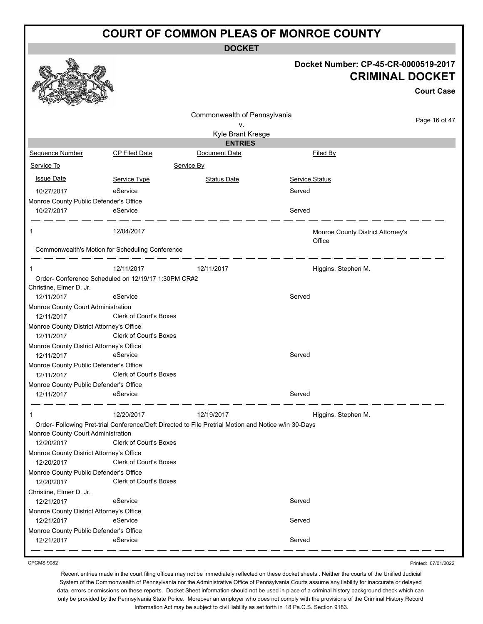**DOCKET**

#### **Docket Number: CP-45-CR-0000519-2017 CRIMINAL DOCKET**

|                                                        |                                                                                                      |                                    |                       |                                             | <b>Court Case</b> |
|--------------------------------------------------------|------------------------------------------------------------------------------------------------------|------------------------------------|-----------------------|---------------------------------------------|-------------------|
|                                                        |                                                                                                      | Commonwealth of Pennsylvania<br>٧. |                       |                                             | Page 16 of 47     |
|                                                        |                                                                                                      | Kyle Brant Kresge                  |                       |                                             |                   |
|                                                        |                                                                                                      | <b>ENTRIES</b>                     |                       |                                             |                   |
| Sequence Number                                        | <b>CP Filed Date</b>                                                                                 | Document Date                      |                       | Filed By                                    |                   |
| Service To                                             |                                                                                                      | Service By                         |                       |                                             |                   |
| <b>Issue Date</b>                                      | Service Type                                                                                         | <b>Status Date</b>                 | <b>Service Status</b> |                                             |                   |
| 10/27/2017                                             | eService                                                                                             |                                    | Served                |                                             |                   |
| Monroe County Public Defender's Office                 |                                                                                                      |                                    |                       |                                             |                   |
| 10/27/2017                                             | eService                                                                                             |                                    | Served                |                                             |                   |
| 1                                                      | 12/04/2017                                                                                           |                                    |                       | Monroe County District Attorney's<br>Office |                   |
|                                                        | Commonwealth's Motion for Scheduling Conference                                                      |                                    |                       |                                             |                   |
| 1                                                      | 12/11/2017                                                                                           | 12/11/2017                         |                       | Higgins, Stephen M.                         |                   |
|                                                        | Order- Conference Scheduled on 12/19/17 1:30PM CR#2                                                  |                                    |                       |                                             |                   |
| Christine, Elmer D. Jr.                                |                                                                                                      |                                    |                       |                                             |                   |
| 12/11/2017                                             | eService                                                                                             |                                    | Served                |                                             |                   |
| Monroe County Court Administration<br>12/11/2017       | Clerk of Court's Boxes                                                                               |                                    |                       |                                             |                   |
| Monroe County District Attorney's Office<br>12/11/2017 | Clerk of Court's Boxes                                                                               |                                    |                       |                                             |                   |
| Monroe County District Attorney's Office<br>12/11/2017 | eService                                                                                             |                                    | Served                |                                             |                   |
| Monroe County Public Defender's Office<br>12/11/2017   | Clerk of Court's Boxes                                                                               |                                    |                       |                                             |                   |
| Monroe County Public Defender's Office<br>12/11/2017   | eService                                                                                             |                                    | Served                |                                             |                   |
|                                                        | 12/20/2017                                                                                           | 12/19/2017                         |                       | Higgins, Stephen M.                         |                   |
|                                                        | Order- Following Pret-trial Conference/Deft Directed to File Pretrial Motion and Notice w/in 30-Days |                                    |                       |                                             |                   |
| Monroe County Court Administration                     |                                                                                                      |                                    |                       |                                             |                   |
| 12/20/2017                                             | Clerk of Court's Boxes                                                                               |                                    |                       |                                             |                   |
| Monroe County District Attorney's Office<br>12/20/2017 | <b>Clerk of Court's Boxes</b>                                                                        |                                    |                       |                                             |                   |
| Monroe County Public Defender's Office<br>12/20/2017   | <b>Clerk of Court's Boxes</b>                                                                        |                                    |                       |                                             |                   |
| Christine, Elmer D. Jr.                                |                                                                                                      |                                    |                       |                                             |                   |
| 12/21/2017                                             | eService                                                                                             |                                    | Served                |                                             |                   |
| Monroe County District Attorney's Office               |                                                                                                      |                                    |                       |                                             |                   |
| 12/21/2017                                             | eService                                                                                             |                                    | Served                |                                             |                   |
| Monroe County Public Defender's Office                 |                                                                                                      |                                    |                       |                                             |                   |
| 12/21/2017                                             | eService                                                                                             |                                    | Served                |                                             |                   |

CPCMS 9082

Printed: 07/01/2022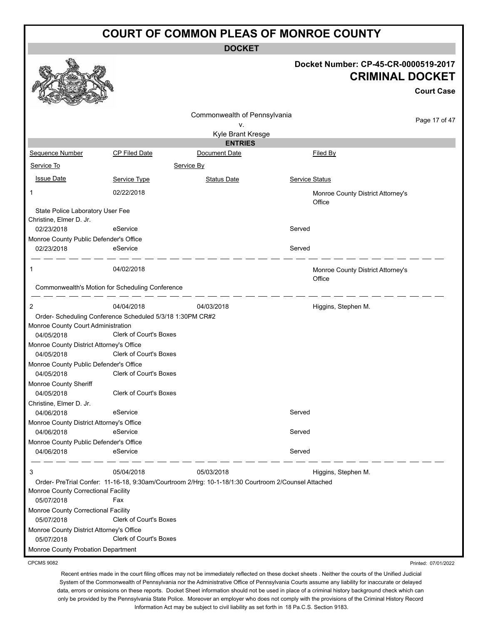**DOCKET**

#### **Docket Number: CP-45-CR-0000519-2017 CRIMINAL DOCKET**

Printed: 07/01/2022

|                                                             |                                                           |                                                                                                     |                |                                             | <b>Court Case</b> |
|-------------------------------------------------------------|-----------------------------------------------------------|-----------------------------------------------------------------------------------------------------|----------------|---------------------------------------------|-------------------|
|                                                             |                                                           | Commonwealth of Pennsylvania<br>v.                                                                  |                |                                             | Page 17 of 47     |
|                                                             |                                                           | Kyle Brant Kresge                                                                                   |                |                                             |                   |
|                                                             |                                                           | <b>ENTRIES</b>                                                                                      |                |                                             |                   |
| <b>Sequence Number</b>                                      | CP Filed Date                                             | Document Date                                                                                       |                | <b>Filed By</b>                             |                   |
| Service To                                                  |                                                           | Service By                                                                                          |                |                                             |                   |
| <b>Issue Date</b>                                           | Service Type                                              | <b>Status Date</b>                                                                                  | Service Status |                                             |                   |
| 1                                                           | 02/22/2018                                                |                                                                                                     |                | Monroe County District Attorney's<br>Office |                   |
| State Police Laboratory User Fee<br>Christine, Elmer D. Jr. |                                                           |                                                                                                     |                |                                             |                   |
| 02/23/2018                                                  | eService                                                  |                                                                                                     | Served         |                                             |                   |
| Monroe County Public Defender's Office                      |                                                           |                                                                                                     |                |                                             |                   |
| 02/23/2018                                                  | eService                                                  |                                                                                                     | Served         |                                             |                   |
| 1                                                           | 04/02/2018                                                |                                                                                                     |                | Monroe County District Attorney's<br>Office |                   |
|                                                             | Commonwealth's Motion for Scheduling Conference           |                                                                                                     |                |                                             |                   |
| 2                                                           | 04/04/2018                                                | 04/03/2018                                                                                          |                | Higgins, Stephen M.                         |                   |
|                                                             | Order- Scheduling Conference Scheduled 5/3/18 1:30PM CR#2 |                                                                                                     |                |                                             |                   |
| Monroe County Court Administration<br>04/05/2018            | Clerk of Court's Boxes                                    |                                                                                                     |                |                                             |                   |
| Monroe County District Attorney's Office                    |                                                           |                                                                                                     |                |                                             |                   |
| 04/05/2018                                                  | Clerk of Court's Boxes                                    |                                                                                                     |                |                                             |                   |
| Monroe County Public Defender's Office                      |                                                           |                                                                                                     |                |                                             |                   |
| 04/05/2018                                                  | Clerk of Court's Boxes                                    |                                                                                                     |                |                                             |                   |
| Monroe County Sheriff                                       |                                                           |                                                                                                     |                |                                             |                   |
| 04/05/2018                                                  | <b>Clerk of Court's Boxes</b>                             |                                                                                                     |                |                                             |                   |
| Christine, Elmer D. Jr.                                     |                                                           |                                                                                                     |                |                                             |                   |
| 04/06/2018                                                  | eService                                                  |                                                                                                     | Served         |                                             |                   |
| Monroe County District Attorney's Office<br>04/06/2018      | eService                                                  |                                                                                                     | Served         |                                             |                   |
| Monroe County Public Defender's Office                      |                                                           |                                                                                                     |                |                                             |                   |
| 04/06/2018                                                  | eService                                                  |                                                                                                     | Served         |                                             |                   |
| 3                                                           | 05/04/2018                                                | 05/03/2018                                                                                          |                | Higgins, Stephen M.                         |                   |
|                                                             |                                                           | Order- PreTrial Confer: 11-16-18, 9:30am/Courtroom 2/Hrg: 10-1-18/1:30 Courtroom 2/Counsel Attached |                |                                             |                   |
| Monroe County Correctional Facility<br>05/07/2018           | Fax                                                       |                                                                                                     |                |                                             |                   |
| Monroe County Correctional Facility                         |                                                           |                                                                                                     |                |                                             |                   |
| 05/07/2018                                                  | Clerk of Court's Boxes                                    |                                                                                                     |                |                                             |                   |
| Monroe County District Attorney's Office                    |                                                           |                                                                                                     |                |                                             |                   |
| 05/07/2018                                                  | Clerk of Court's Boxes                                    |                                                                                                     |                |                                             |                   |
| Monroe County Probation Department                          |                                                           |                                                                                                     |                |                                             |                   |

CPCMS 9082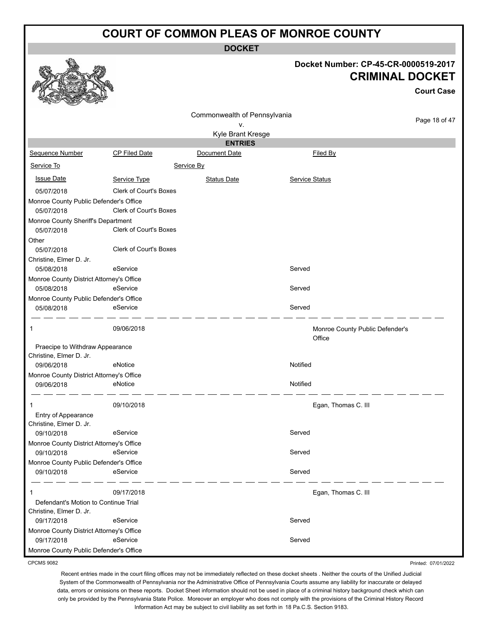**DOCKET**



#### **Docket Number: CP-45-CR-0000519-2017 CRIMINAL DOCKET**

**Court Case**

| R<br><b>SERIES</b><br><b>REPARTS</b>                       |                               |                              |                                           |               |
|------------------------------------------------------------|-------------------------------|------------------------------|-------------------------------------------|---------------|
|                                                            |                               | Commonwealth of Pennsylvania |                                           |               |
|                                                            |                               | ۷.                           |                                           | Page 18 of 47 |
|                                                            |                               | Kyle Brant Kresge            |                                           |               |
|                                                            |                               | <b>ENTRIES</b>               |                                           |               |
| Sequence Number                                            | <b>CP Filed Date</b>          | Document Date                | Filed By                                  |               |
| Service To                                                 |                               | Service By                   |                                           |               |
| <b>Issue Date</b>                                          | Service Type                  | <b>Status Date</b>           | Service Status                            |               |
| 05/07/2018                                                 | <b>Clerk of Court's Boxes</b> |                              |                                           |               |
| Monroe County Public Defender's Office                     |                               |                              |                                           |               |
| 05/07/2018                                                 | Clerk of Court's Boxes        |                              |                                           |               |
| Monroe County Sheriff's Department                         |                               |                              |                                           |               |
| 05/07/2018                                                 | Clerk of Court's Boxes        |                              |                                           |               |
| Other                                                      |                               |                              |                                           |               |
| 05/07/2018                                                 | Clerk of Court's Boxes        |                              |                                           |               |
| Christine, Elmer D. Jr.<br>05/08/2018                      | eService                      |                              | Served                                    |               |
| Monroe County District Attorney's Office<br>05/08/2018     | eService                      |                              | Served                                    |               |
| Monroe County Public Defender's Office<br>05/08/2018       | eService                      |                              | Served                                    |               |
| 1                                                          | 09/06/2018                    |                              | Monroe County Public Defender's<br>Office |               |
| Praecipe to Withdraw Appearance<br>Christine, Elmer D. Jr. |                               |                              |                                           |               |
| 09/06/2018                                                 | eNotice                       |                              | Notified                                  |               |
| Monroe County District Attorney's Office                   |                               |                              |                                           |               |
| 09/06/2018                                                 | eNotice                       |                              | Notified                                  |               |
| 1                                                          | 09/10/2018                    |                              | Egan, Thomas C. III                       |               |
| Entry of Appearance                                        |                               |                              |                                           |               |
| Christine, Elmer D. Jr.                                    |                               |                              |                                           |               |
| 09/10/2018                                                 | eService                      |                              | Served                                    |               |
| Monroe County District Attorney's Office                   |                               |                              |                                           |               |
| 09/10/2018                                                 | eService                      |                              | Served                                    |               |
| Monroe County Public Defender's Office                     |                               |                              |                                           |               |
| 09/10/2018                                                 | eService                      |                              | Served                                    |               |
| -1                                                         | 09/17/2018                    |                              | Egan, Thomas C. III                       |               |
| Defendant's Motion to Continue Trial                       |                               |                              |                                           |               |
| Christine, Elmer D. Jr.                                    |                               |                              |                                           |               |
| 09/17/2018                                                 | eService                      |                              | Served                                    |               |
| Monroe County District Attorney's Office                   |                               |                              |                                           |               |
| 09/17/2018                                                 | eService                      |                              | Served                                    |               |
| Monroe County Public Defender's Office                     |                               |                              |                                           |               |

CPCMS 9082

Printed: 07/01/2022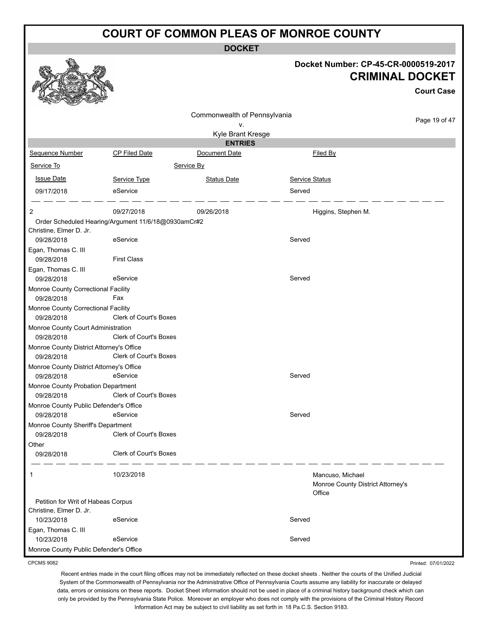**DOCKET**

|                                                               |                                                     | <b>DOCKET</b>                   |                                                                 |                   |
|---------------------------------------------------------------|-----------------------------------------------------|---------------------------------|-----------------------------------------------------------------|-------------------|
|                                                               |                                                     |                                 | Docket Number: CP-45-CR-0000519-2017<br><b>CRIMINAL DOCKET</b>  | <b>Court Case</b> |
|                                                               |                                                     | Commonwealth of Pennsylvania    |                                                                 |                   |
|                                                               |                                                     | v.                              |                                                                 | Page 19 of 47     |
|                                                               |                                                     | Kyle Brant Kresge               |                                                                 |                   |
| Sequence Number                                               | CP Filed Date                                       | <b>ENTRIES</b><br>Document Date | Filed By                                                        |                   |
|                                                               |                                                     |                                 |                                                                 |                   |
| Service To                                                    |                                                     | Service By                      |                                                                 |                   |
| <b>Issue Date</b>                                             | Service Type                                        | <b>Status Date</b>              | Service Status                                                  |                   |
| 09/17/2018                                                    | eService                                            |                                 | Served                                                          |                   |
| 2                                                             | 09/27/2018                                          | 09/26/2018                      | Higgins, Stephen M.                                             |                   |
|                                                               | Order Scheduled Hearing/Argument 11/6/18@0930amCr#2 |                                 |                                                                 |                   |
| Christine, Elmer D. Jr.<br>09/28/2018                         | eService                                            |                                 | Served                                                          |                   |
| Egan, Thomas C. III                                           |                                                     |                                 |                                                                 |                   |
| 09/28/2018                                                    | <b>First Class</b>                                  |                                 |                                                                 |                   |
| Egan, Thomas C. III                                           |                                                     |                                 |                                                                 |                   |
| 09/28/2018                                                    | eService                                            |                                 | Served                                                          |                   |
| Monroe County Correctional Facility                           |                                                     |                                 |                                                                 |                   |
| 09/28/2018                                                    | Fax                                                 |                                 |                                                                 |                   |
| Monroe County Correctional Facility<br>09/28/2018             | Clerk of Court's Boxes                              |                                 |                                                                 |                   |
| Monroe County Court Administration                            |                                                     |                                 |                                                                 |                   |
| 09/28/2018                                                    | Clerk of Court's Boxes                              |                                 |                                                                 |                   |
| Monroe County District Attorney's Office<br>09/28/2018        | <b>Clerk of Court's Boxes</b>                       |                                 |                                                                 |                   |
| Monroe County District Attorney's Office                      |                                                     |                                 |                                                                 |                   |
| 09/28/2018                                                    | eService                                            |                                 | Served                                                          |                   |
| Monroe County Probation Department                            |                                                     |                                 |                                                                 |                   |
| 09/28/2018                                                    | <b>Clerk of Court's Boxes</b>                       |                                 |                                                                 |                   |
| Monroe County Public Defender's Office                        |                                                     |                                 |                                                                 |                   |
| 09/28/2018                                                    | eService                                            |                                 | Served                                                          |                   |
| Monroe County Sheriff's Department<br>09/28/2018              | Clerk of Court's Boxes                              |                                 |                                                                 |                   |
| Other                                                         |                                                     |                                 |                                                                 |                   |
| 09/28/2018                                                    | Clerk of Court's Boxes                              |                                 |                                                                 |                   |
|                                                               | 10/23/2018                                          |                                 | Mancuso, Michael<br>Monroe County District Attorney's<br>Office |                   |
| Petition for Writ of Habeas Corpus<br>Christine, Elmer D. Jr. |                                                     |                                 |                                                                 |                   |
| 10/23/2018                                                    | eService                                            |                                 | Served                                                          |                   |
| Egan, Thomas C. III                                           |                                                     |                                 |                                                                 |                   |
| 10/23/2018                                                    | eService                                            |                                 | Served                                                          |                   |
| Monroe County Public Defender's Office                        |                                                     |                                 |                                                                 |                   |

CPCMS 9082

Recent entries made in the court filing offices may not be immediately reflected on these docket sheets . Neither the courts of the Unified Judicial System of the Commonwealth of Pennsylvania nor the Administrative Office of Pennsylvania Courts assume any liability for inaccurate or delayed data, errors or omissions on these reports. Docket Sheet information should not be used in place of a criminal history background check which can only be provided by the Pennsylvania State Police. Moreover an employer who does not comply with the provisions of the Criminal History Record Information Act may be subject to civil liability as set forth in 18 Pa.C.S. Section 9183.

Printed: 07/01/2022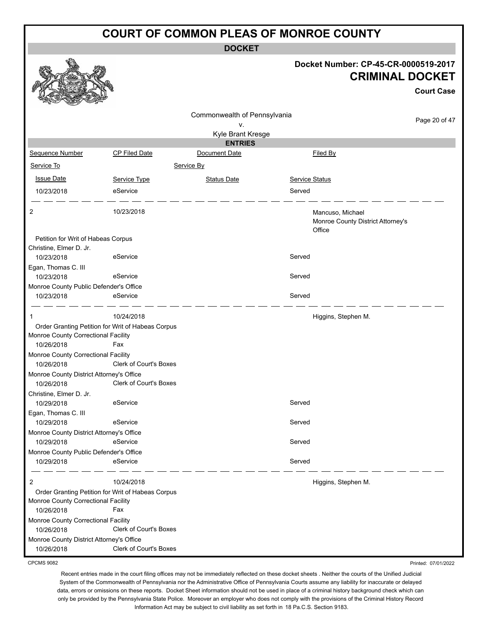**DOCKET**

#### **Docket Number: CP-45-CR-0000519-2017 CRIMINAL DOCKET**

**Court Case**

Printed: 07/01/2022

Commonwealth of Pennsylvania Page 20 of 47 v. Kyle Brant Kresge **ENTRIES** Sequence Number CP Filed Date Document Date **Document Date** Filed By Service To Service By **Issue Date Service Type** Service Type Status Date Service Status Date Service Status Service Status Date Service Status 10/23/2018 eService entertainment of the Served 2 10/23/2018 Mancuso, Michael Monroe County District Attorney's **Office** Petition for Writ of Habeas Corpus Christine, Elmer D. Jr. 10/23/2018 eService entertainment of the Served Egan, Thomas C. III 10/23/2018 eService entertainment of the Served Monroe County Public Defender's Office 10/23/2018 eService entertainment of the Served 1 10/24/2018 **10/24/2018 10/24/2018 Higgins, Stephen M.** Order Granting Petition for Writ of Habeas Corpus Monroe County Correctional Facility 10/26/2018 Fax Monroe County Correctional Facility 10/26/2018 Clerk of Court's Boxes Monroe County District Attorney's Office 10/26/2018 Clerk of Court's Boxes Christine, Elmer D. Jr. 10/29/2018 eService entertainment of the Served Egan, Thomas C. III 10/29/2018 eService exercises and the Served Served Monroe County District Attorney's Office 10/29/2018 eService eService Served Monroe County Public Defender's Office 10/29/2018 eService exercises and the Served Served 2 10/24/2018 **10/24/2018 10/24/2018 Higgins, Stephen M.** Order Granting Petition for Writ of Habeas Corpus Monroe County Correctional Facility 10/26/2018 Fax Monroe County Correctional Facility 10/26/2018 Clerk of Court's Boxes Monroe County District Attorney's Office 10/26/2018 Clerk of Court's Boxes

CPCMS 9082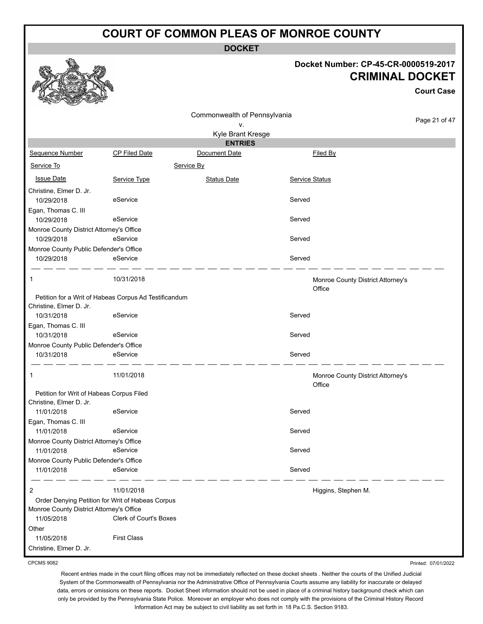**DOCKET**

Commonwealth of Pennsylvania

#### **Docket Number: CP-45-CR-0000519-2017 CRIMINAL DOCKET**

**Court Case**

Page 21 of 47

| Sequence Number | <b>CP Filed Date</b> |
|-----------------|----------------------|

|                                                      |                                                       | V.                 |                |                                   | $u \vee u$ $\vdash$ $u \dashv$ |
|------------------------------------------------------|-------------------------------------------------------|--------------------|----------------|-----------------------------------|--------------------------------|
|                                                      |                                                       | Kyle Brant Kresge  |                |                                   |                                |
|                                                      |                                                       | <b>ENTRIES</b>     |                |                                   |                                |
| Sequence Number                                      | CP Filed Date                                         | Document Date      |                | Filed By                          |                                |
| Service To                                           |                                                       | Service By         |                |                                   |                                |
| <b>Issue Date</b>                                    | Service Type                                          | <b>Status Date</b> | Service Status |                                   |                                |
| Christine, Elmer D. Jr.                              |                                                       |                    |                |                                   |                                |
| 10/29/2018                                           | eService                                              |                    | Served         |                                   |                                |
| Egan, Thomas C. III                                  |                                                       |                    |                |                                   |                                |
| 10/29/2018                                           | eService                                              |                    | Served         |                                   |                                |
| Monroe County District Attorney's Office             | eService                                              |                    | Served         |                                   |                                |
| 10/29/2018                                           |                                                       |                    |                |                                   |                                |
| Monroe County Public Defender's Office<br>10/29/2018 | eService                                              |                    | Served         |                                   |                                |
|                                                      |                                                       |                    |                |                                   |                                |
| 1                                                    | 10/31/2018                                            |                    |                | Monroe County District Attorney's |                                |
|                                                      |                                                       |                    |                | Office                            |                                |
|                                                      | Petition for a Writ of Habeas Corpus Ad Testificandum |                    |                |                                   |                                |
| Christine, Elmer D. Jr.                              |                                                       |                    |                |                                   |                                |
| 10/31/2018                                           | eService                                              |                    | Served         |                                   |                                |
| Egan, Thomas C. III                                  |                                                       |                    |                |                                   |                                |
| 10/31/2018                                           | eService                                              |                    | Served         |                                   |                                |
| Monroe County Public Defender's Office               |                                                       |                    |                |                                   |                                |
| 10/31/2018                                           | eService                                              |                    | Served         |                                   |                                |
| 1                                                    | 11/01/2018                                            |                    |                | Monroe County District Attorney's |                                |
|                                                      |                                                       |                    |                | Office                            |                                |
| Petition for Writ of Habeas Corpus Filed             |                                                       |                    |                |                                   |                                |
| Christine, Elmer D. Jr.                              | eService                                              |                    | Served         |                                   |                                |
| 11/01/2018                                           |                                                       |                    |                |                                   |                                |
| Egan, Thomas C. III<br>11/01/2018                    | eService                                              |                    | Served         |                                   |                                |
| Monroe County District Attorney's Office             |                                                       |                    |                |                                   |                                |
| 11/01/2018                                           | eService                                              |                    | Served         |                                   |                                |
| Monroe County Public Defender's Office               |                                                       |                    |                |                                   |                                |
| 11/01/2018                                           | eService                                              |                    | Served         |                                   |                                |
|                                                      |                                                       |                    |                |                                   |                                |
| $\overline{2}$                                       | 11/01/2018                                            |                    |                | Higgins, Stephen M.               |                                |
|                                                      | Order Denying Petition for Writ of Habeas Corpus      |                    |                |                                   |                                |
| Monroe County District Attorney's Office             |                                                       |                    |                |                                   |                                |
| 11/05/2018                                           | Clerk of Court's Boxes                                |                    |                |                                   |                                |
| Other                                                |                                                       |                    |                |                                   |                                |
| 11/05/2018                                           | <b>First Class</b>                                    |                    |                |                                   |                                |
| Christine, Elmer D. Jr.                              |                                                       |                    |                |                                   |                                |

CPCMS 9082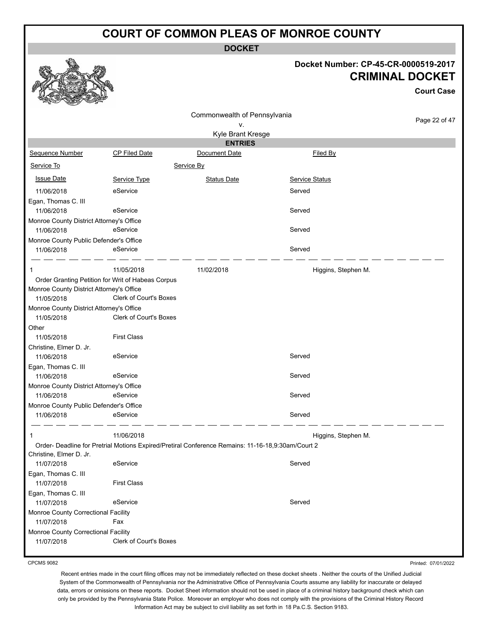**DOCKET**

#### **Docket Number: CP-45-CR-0000519-2017 CRIMINAL DOCKET**

**Court Case**

|                                                        |                                                                                    |                                                                                                   |                       | Court Case    |
|--------------------------------------------------------|------------------------------------------------------------------------------------|---------------------------------------------------------------------------------------------------|-----------------------|---------------|
|                                                        |                                                                                    | Commonwealth of Pennsylvania<br>٧.                                                                |                       | Page 22 of 47 |
|                                                        |                                                                                    | Kyle Brant Kresge                                                                                 |                       |               |
| Sequence Number                                        | <b>CP Filed Date</b>                                                               | <b>ENTRIES</b><br>Document Date                                                                   | Filed By              |               |
| Service To                                             |                                                                                    | Service By                                                                                        |                       |               |
|                                                        |                                                                                    |                                                                                                   |                       |               |
| <b>Issue Date</b>                                      | Service Type                                                                       | <b>Status Date</b>                                                                                | <b>Service Status</b> |               |
| 11/06/2018                                             | eService                                                                           |                                                                                                   | Served                |               |
| Egan, Thomas C. III                                    |                                                                                    |                                                                                                   |                       |               |
| 11/06/2018                                             | eService                                                                           |                                                                                                   | Served                |               |
| Monroe County District Attorney's Office               |                                                                                    |                                                                                                   |                       |               |
| 11/06/2018                                             | eService                                                                           |                                                                                                   | Served                |               |
| Monroe County Public Defender's Office                 |                                                                                    |                                                                                                   |                       |               |
| 11/06/2018                                             | eService                                                                           |                                                                                                   | Served                |               |
| 1                                                      | 11/05/2018                                                                         | 11/02/2018                                                                                        | Higgins, Stephen M.   |               |
| Monroe County District Attorney's Office<br>11/05/2018 | Order Granting Petition for Writ of Habeas Corpus<br><b>Clerk of Court's Boxes</b> |                                                                                                   |                       |               |
| Monroe County District Attorney's Office               |                                                                                    |                                                                                                   |                       |               |
| 11/05/2018                                             | Clerk of Court's Boxes                                                             |                                                                                                   |                       |               |
| Other                                                  |                                                                                    |                                                                                                   |                       |               |
| 11/05/2018                                             | <b>First Class</b>                                                                 |                                                                                                   |                       |               |
| Christine, Elmer D. Jr.                                |                                                                                    |                                                                                                   |                       |               |
| 11/06/2018                                             | eService                                                                           |                                                                                                   | Served                |               |
| Egan, Thomas C. III                                    |                                                                                    |                                                                                                   |                       |               |
| 11/06/2018                                             | eService                                                                           |                                                                                                   | Served                |               |
| Monroe County District Attorney's Office               |                                                                                    |                                                                                                   |                       |               |
| 11/06/2018                                             | eService                                                                           |                                                                                                   | Served                |               |
| Monroe County Public Defender's Office                 |                                                                                    |                                                                                                   |                       |               |
| 11/06/2018                                             | eService                                                                           |                                                                                                   | Served                |               |
|                                                        | 11/06/2018                                                                         |                                                                                                   | Higgins, Stephen M.   |               |
|                                                        |                                                                                    | Order- Deadline for Pretrial Motions Expired/Pretiral Conference Remains: 11-16-18,9:30am/Court 2 |                       |               |
| Christine, Elmer D. Jr.                                |                                                                                    |                                                                                                   |                       |               |
| 11/07/2018                                             | eService                                                                           |                                                                                                   | Served                |               |
| Egan, Thomas C. III                                    |                                                                                    |                                                                                                   |                       |               |
| 11/07/2018                                             | <b>First Class</b>                                                                 |                                                                                                   |                       |               |
| Egan, Thomas C. III                                    |                                                                                    |                                                                                                   |                       |               |
| 11/07/2018                                             | eService                                                                           |                                                                                                   | Served                |               |
| Monroe County Correctional Facility                    |                                                                                    |                                                                                                   |                       |               |
| 11/07/2018                                             | Fax                                                                                |                                                                                                   |                       |               |
| Monroe County Correctional Facility<br>11/07/2018      | Clerk of Court's Boxes                                                             |                                                                                                   |                       |               |

CPCMS 9082

Printed: 07/01/2022

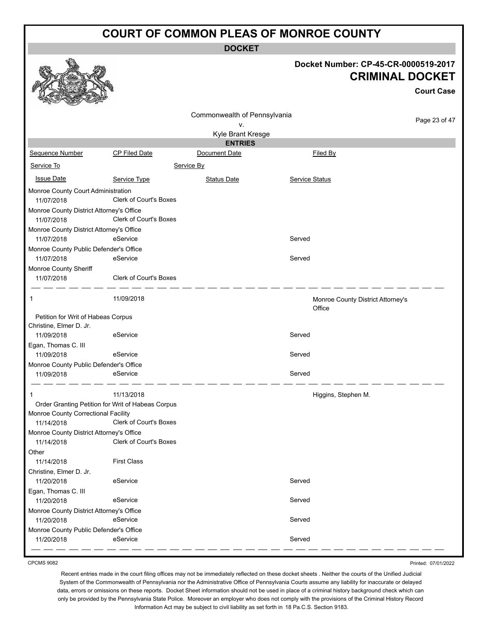**DOCKET**

|                                                   |                               |                                 |                                             | Docket Number: CP-45-CR-0000519-2017<br><b>CRIMINAL DOCKET</b> |  |  |
|---------------------------------------------------|-------------------------------|---------------------------------|---------------------------------------------|----------------------------------------------------------------|--|--|
|                                                   |                               |                                 |                                             | <b>Court Case</b>                                              |  |  |
|                                                   |                               | Commonwealth of Pennsylvania    |                                             | Page 23 of 47                                                  |  |  |
|                                                   |                               | ۷.                              |                                             |                                                                |  |  |
|                                                   |                               | Kyle Brant Kresge               |                                             |                                                                |  |  |
| Sequence Number                                   | <b>CP Filed Date</b>          | <b>ENTRIES</b><br>Document Date | Filed By                                    |                                                                |  |  |
| Service To                                        |                               | Service By                      |                                             |                                                                |  |  |
| <b>Issue Date</b>                                 | Service Type                  | <b>Status Date</b>              | Service Status                              |                                                                |  |  |
|                                                   |                               |                                 |                                             |                                                                |  |  |
| Monroe County Court Administration<br>11/07/2018  | <b>Clerk of Court's Boxes</b> |                                 |                                             |                                                                |  |  |
| Monroe County District Attorney's Office          |                               |                                 |                                             |                                                                |  |  |
| 11/07/2018                                        | Clerk of Court's Boxes        |                                 |                                             |                                                                |  |  |
| Monroe County District Attorney's Office          |                               |                                 |                                             |                                                                |  |  |
| 11/07/2018                                        | eService                      |                                 | Served                                      |                                                                |  |  |
| Monroe County Public Defender's Office            |                               |                                 |                                             |                                                                |  |  |
| 11/07/2018                                        | eService                      |                                 | Served                                      |                                                                |  |  |
| Monroe County Sheriff                             |                               |                                 |                                             |                                                                |  |  |
| 11/07/2018                                        | Clerk of Court's Boxes        |                                 |                                             |                                                                |  |  |
| 1                                                 | 11/09/2018                    |                                 | Monroe County District Attorney's<br>Office |                                                                |  |  |
| Petition for Writ of Habeas Corpus                |                               |                                 |                                             |                                                                |  |  |
| Christine, Elmer D. Jr.                           |                               |                                 |                                             |                                                                |  |  |
| 11/09/2018                                        | eService                      |                                 | Served                                      |                                                                |  |  |
| Egan, Thomas C. III                               |                               |                                 |                                             |                                                                |  |  |
| 11/09/2018                                        | eService                      |                                 | Served                                      |                                                                |  |  |
| Monroe County Public Defender's Office            |                               |                                 |                                             |                                                                |  |  |
| 11/09/2018                                        | eService                      |                                 | Served                                      |                                                                |  |  |
|                                                   | 11/13/2018                    |                                 | Higgins, Stephen M.                         |                                                                |  |  |
| Order Granting Petition for Writ of Habeas Corpus |                               |                                 |                                             |                                                                |  |  |
| Monroe County Correctional Facility               |                               |                                 |                                             |                                                                |  |  |
| 11/14/2018                                        | <b>Clerk of Court's Boxes</b> |                                 |                                             |                                                                |  |  |
| Monroe County District Attorney's Office          |                               |                                 |                                             |                                                                |  |  |
| 11/14/2018                                        | Clerk of Court's Boxes        |                                 |                                             |                                                                |  |  |
| Other                                             |                               |                                 |                                             |                                                                |  |  |
| 11/14/2018                                        | <b>First Class</b>            |                                 |                                             |                                                                |  |  |
| Christine, Elmer D. Jr.                           |                               |                                 |                                             |                                                                |  |  |
| 11/20/2018                                        | eService                      |                                 | Served                                      |                                                                |  |  |
| Egan, Thomas C. III                               |                               |                                 |                                             |                                                                |  |  |
| 11/20/2018                                        | eService                      |                                 | Served                                      |                                                                |  |  |
| Monroe County District Attorney's Office          |                               |                                 |                                             |                                                                |  |  |
| 11/20/2018                                        | eService                      |                                 | Served                                      |                                                                |  |  |
| Monroe County Public Defender's Office            |                               |                                 |                                             |                                                                |  |  |
| 11/20/2018                                        | eService                      |                                 | Served                                      |                                                                |  |  |
|                                                   |                               |                                 |                                             |                                                                |  |  |

CPCMS 9082

Recent entries made in the court filing offices may not be immediately reflected on these docket sheets . Neither the courts of the Unified Judicial System of the Commonwealth of Pennsylvania nor the Administrative Office of Pennsylvania Courts assume any liability for inaccurate or delayed data, errors or omissions on these reports. Docket Sheet information should not be used in place of a criminal history background check which can only be provided by the Pennsylvania State Police. Moreover an employer who does not comply with the provisions of the Criminal History Record Information Act may be subject to civil liability as set forth in 18 Pa.C.S. Section 9183.

Printed: 07/01/2022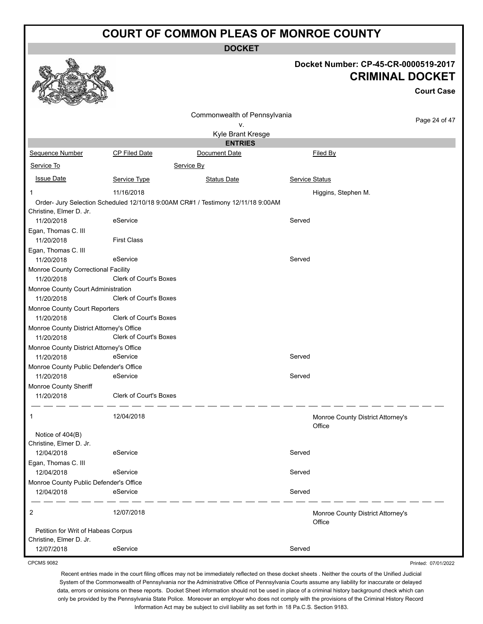**DOCKET**

#### **Docket Number: CP-45-CR-0000519-2017 CRIMINAL DOCKET**

**Court Case**

|                                                      |                        |                                                                                  |        |                                             | <b>Court Case</b> |
|------------------------------------------------------|------------------------|----------------------------------------------------------------------------------|--------|---------------------------------------------|-------------------|
|                                                      |                        | Commonwealth of Pennsylvania                                                     |        |                                             | Page 24 of 47     |
|                                                      |                        | ۷.                                                                               |        |                                             |                   |
|                                                      |                        | Kyle Brant Kresge                                                                |        |                                             |                   |
|                                                      |                        | <b>ENTRIES</b>                                                                   |        |                                             |                   |
| Sequence Number                                      | <b>CP Filed Date</b>   | Document Date                                                                    |        | Filed By                                    |                   |
| Service To                                           |                        | Service By                                                                       |        |                                             |                   |
| <b>Issue Date</b>                                    | Service Type           | <b>Status Date</b>                                                               |        | <b>Service Status</b>                       |                   |
| 1                                                    | 11/16/2018             |                                                                                  |        | Higgins, Stephen M.                         |                   |
| Christine, Elmer D. Jr.                              |                        | Order- Jury Selection Scheduled 12/10/18 9:00AM CR#1 / Testimony 12/11/18 9:00AM |        |                                             |                   |
| 11/20/2018                                           | eService               |                                                                                  | Served |                                             |                   |
| Egan, Thomas C. III<br>11/20/2018                    | <b>First Class</b>     |                                                                                  |        |                                             |                   |
| Egan, Thomas C. III<br>11/20/2018                    | eService               |                                                                                  | Served |                                             |                   |
| Monroe County Correctional Facility                  |                        |                                                                                  |        |                                             |                   |
| 11/20/2018                                           | Clerk of Court's Boxes |                                                                                  |        |                                             |                   |
| Monroe County Court Administration                   |                        |                                                                                  |        |                                             |                   |
| 11/20/2018                                           | Clerk of Court's Boxes |                                                                                  |        |                                             |                   |
| Monroe County Court Reporters                        |                        |                                                                                  |        |                                             |                   |
| 11/20/2018                                           | Clerk of Court's Boxes |                                                                                  |        |                                             |                   |
| Monroe County District Attorney's Office             | Clerk of Court's Boxes |                                                                                  |        |                                             |                   |
| 11/20/2018                                           |                        |                                                                                  |        |                                             |                   |
| Monroe County District Attorney's Office             | eService               |                                                                                  | Served |                                             |                   |
| 11/20/2018<br>Monroe County Public Defender's Office |                        |                                                                                  |        |                                             |                   |
| 11/20/2018                                           | eService               |                                                                                  | Served |                                             |                   |
| Monroe County Sheriff                                |                        |                                                                                  |        |                                             |                   |
| 11/20/2018                                           | Clerk of Court's Boxes |                                                                                  |        |                                             |                   |
|                                                      |                        |                                                                                  |        |                                             |                   |
| 1                                                    | 12/04/2018             |                                                                                  |        | Monroe County District Attorney's<br>Office |                   |
| Notice of $404(B)$                                   |                        |                                                                                  |        |                                             |                   |
| Christine, Elmer D. Jr.                              |                        |                                                                                  |        |                                             |                   |
| 12/04/2018                                           | eService               |                                                                                  | Served |                                             |                   |
| Egan, Thomas C. III                                  |                        |                                                                                  |        |                                             |                   |
| 12/04/2018                                           | eService               |                                                                                  | Served |                                             |                   |
| Monroe County Public Defender's Office               | eService               |                                                                                  | Served |                                             |                   |
| 12/04/2018                                           |                        |                                                                                  |        |                                             |                   |
| 2                                                    | 12/07/2018             |                                                                                  |        | Monroe County District Attorney's<br>Office |                   |
| Petition for Writ of Habeas Corpus                   |                        |                                                                                  |        |                                             |                   |
| Christine, Elmer D. Jr.                              |                        |                                                                                  |        |                                             |                   |
| 12/07/2018                                           | eService               |                                                                                  | Served |                                             |                   |

CPCMS 9082

Recent entries made in the court filing offices may not be immediately reflected on these docket sheets . Neither the courts of the Unified Judicial System of the Commonwealth of Pennsylvania nor the Administrative Office of Pennsylvania Courts assume any liability for inaccurate or delayed data, errors or omissions on these reports. Docket Sheet information should not be used in place of a criminal history background check which can only be provided by the Pennsylvania State Police. Moreover an employer who does not comply with the provisions of the Criminal History Record Information Act may be subject to civil liability as set forth in 18 Pa.C.S. Section 9183.

Printed: 07/01/2022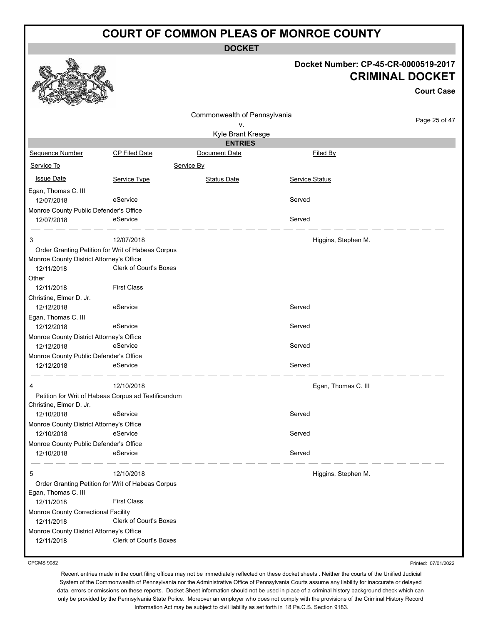**DOCKET**

#### **Docket Number: CP-45-CR-0000519-2017 CRIMINAL DOCKET**

|                                                                          |                                                     |                                    |                       |                     | <b>Court Case</b> |
|--------------------------------------------------------------------------|-----------------------------------------------------|------------------------------------|-----------------------|---------------------|-------------------|
|                                                                          |                                                     | Commonwealth of Pennsylvania<br>۷. |                       |                     | Page 25 of 47     |
|                                                                          |                                                     | Kyle Brant Kresge                  |                       |                     |                   |
|                                                                          |                                                     | <b>ENTRIES</b>                     |                       |                     |                   |
| Sequence Number                                                          | CP Filed Date                                       | Document Date                      | Filed By              |                     |                   |
| Service To                                                               |                                                     | Service By                         |                       |                     |                   |
| <b>Issue Date</b>                                                        | Service Type                                        | <b>Status Date</b>                 | <b>Service Status</b> |                     |                   |
| Egan, Thomas C. III<br>12/07/2018                                        | eService                                            |                                    | Served                |                     |                   |
| Monroe County Public Defender's Office                                   |                                                     |                                    |                       |                     |                   |
| 12/07/2018                                                               | eService                                            |                                    | Served                |                     |                   |
| 3                                                                        | 12/07/2018                                          |                                    |                       | Higgins, Stephen M. |                   |
| Order Granting Petition for Writ of Habeas Corpus                        |                                                     |                                    |                       |                     |                   |
| Monroe County District Attorney's Office<br>12/11/2018                   | <b>Clerk of Court's Boxes</b>                       |                                    |                       |                     |                   |
| Other                                                                    |                                                     |                                    |                       |                     |                   |
| 12/11/2018                                                               | <b>First Class</b>                                  |                                    |                       |                     |                   |
| Christine, Elmer D. Jr.<br>12/12/2018                                    | eService                                            |                                    | Served                |                     |                   |
| Egan, Thomas C. III<br>12/12/2018                                        | eService                                            |                                    | Served                |                     |                   |
| Monroe County District Attorney's Office<br>12/12/2018                   | eService                                            |                                    | Served                |                     |                   |
| Monroe County Public Defender's Office                                   |                                                     |                                    |                       |                     |                   |
| 12/12/2018                                                               | eService                                            |                                    | Served                |                     |                   |
| 4                                                                        | 12/10/2018                                          |                                    |                       | Egan, Thomas C. III |                   |
| Christine, Elmer D. Jr.                                                  | Petition for Writ of Habeas Corpus ad Testificandum |                                    |                       |                     |                   |
| 12/10/2018                                                               | eService                                            |                                    | Served                |                     |                   |
| Monroe County District Attorney's Office<br>12/10/2018                   | eService                                            |                                    | Served                |                     |                   |
| Monroe County Public Defender's Office                                   |                                                     |                                    |                       |                     |                   |
| 12/10/2018                                                               | eService                                            |                                    | Served                |                     |                   |
| 5                                                                        | 12/10/2018                                          |                                    |                       | Higgins, Stephen M. |                   |
| Order Granting Petition for Writ of Habeas Corpus<br>Egan, Thomas C. III |                                                     |                                    |                       |                     |                   |
| 12/11/2018                                                               | <b>First Class</b>                                  |                                    |                       |                     |                   |
| Monroe County Correctional Facility<br>12/11/2018                        | Clerk of Court's Boxes                              |                                    |                       |                     |                   |
| Monroe County District Attorney's Office                                 |                                                     |                                    |                       |                     |                   |
| 12/11/2018                                                               | Clerk of Court's Boxes                              |                                    |                       |                     |                   |
|                                                                          |                                                     |                                    |                       |                     |                   |

CPCMS 9082

Printed: 07/01/2022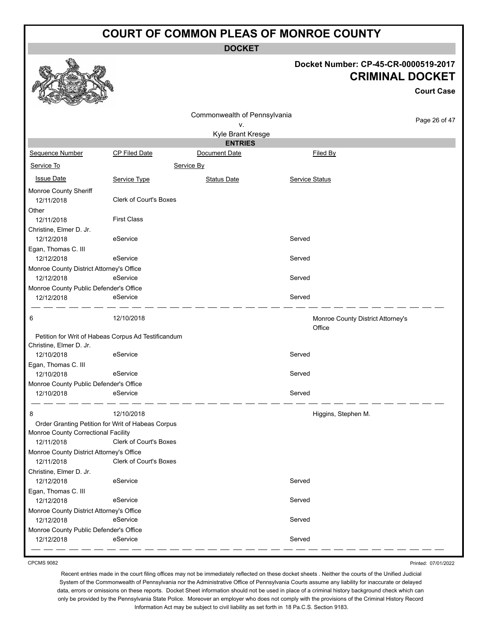**DOCKET**

#### **Docket Number: CP-45-CR-0000519-2017 CRIMINAL DOCKET**

**Court Case**

|                                                        |                                                     |                              |                |                                   | UUUI LUQSU    |
|--------------------------------------------------------|-----------------------------------------------------|------------------------------|----------------|-----------------------------------|---------------|
|                                                        |                                                     | Commonwealth of Pennsylvania |                |                                   |               |
|                                                        |                                                     | ٧.                           |                |                                   | Page 26 of 47 |
|                                                        |                                                     | Kyle Brant Kresge            |                |                                   |               |
|                                                        |                                                     | <b>ENTRIES</b>               |                |                                   |               |
| Sequence Number                                        | <b>CP Filed Date</b>                                | Document Date                |                | Filed By                          |               |
| Service To                                             |                                                     | Service By                   |                |                                   |               |
| <b>Issue Date</b>                                      | Service Type                                        | <b>Status Date</b>           | Service Status |                                   |               |
| Monroe County Sheriff                                  |                                                     |                              |                |                                   |               |
| 12/11/2018                                             | <b>Clerk of Court's Boxes</b>                       |                              |                |                                   |               |
| Other                                                  |                                                     |                              |                |                                   |               |
| 12/11/2018                                             | <b>First Class</b>                                  |                              |                |                                   |               |
| Christine, Elmer D. Jr.                                |                                                     |                              |                |                                   |               |
| 12/12/2018                                             | eService                                            |                              | Served         |                                   |               |
| Egan, Thomas C. III                                    |                                                     |                              |                |                                   |               |
| 12/12/2018                                             | eService                                            |                              | Served         |                                   |               |
| Monroe County District Attorney's Office               |                                                     |                              |                |                                   |               |
| 12/12/2018                                             | eService                                            |                              | Served         |                                   |               |
|                                                        |                                                     |                              |                |                                   |               |
| Monroe County Public Defender's Office                 |                                                     |                              |                |                                   |               |
| 12/12/2018                                             | eService                                            |                              | Served         |                                   |               |
| 6                                                      | 12/10/2018                                          |                              |                | Monroe County District Attorney's |               |
|                                                        |                                                     |                              |                | Office                            |               |
|                                                        | Petition for Writ of Habeas Corpus Ad Testificandum |                              |                |                                   |               |
| Christine, Elmer D. Jr.                                |                                                     |                              |                |                                   |               |
| 12/10/2018                                             | eService                                            |                              | Served         |                                   |               |
| Egan, Thomas C. III                                    |                                                     |                              |                |                                   |               |
| 12/10/2018                                             | eService                                            |                              | Served         |                                   |               |
| Monroe County Public Defender's Office                 |                                                     |                              |                |                                   |               |
| 12/10/2018                                             | eService                                            |                              | Served         |                                   |               |
| 8                                                      | 12/10/2018                                          |                              |                | Higgins, Stephen M.               |               |
|                                                        | Order Granting Petition for Writ of Habeas Corpus   |                              |                |                                   |               |
| Monroe County Correctional Facility                    |                                                     |                              |                |                                   |               |
| 12/11/2018                                             | <b>Clerk of Court's Boxes</b>                       |                              |                |                                   |               |
|                                                        |                                                     |                              |                |                                   |               |
| Monroe County District Attorney's Office<br>12/11/2018 | Clerk of Court's Boxes                              |                              |                |                                   |               |
|                                                        |                                                     |                              |                |                                   |               |
| Christine, Elmer D. Jr.                                |                                                     |                              |                |                                   |               |
| 12/12/2018                                             | eService                                            |                              | Served         |                                   |               |
| Egan, Thomas C. III                                    |                                                     |                              |                |                                   |               |
| 12/12/2018                                             | eService                                            |                              | Served         |                                   |               |
| Monroe County District Attorney's Office               |                                                     |                              |                |                                   |               |
| 12/12/2018                                             | eService                                            |                              | Served         |                                   |               |
| Monroe County Public Defender's Office                 |                                                     |                              |                |                                   |               |
| 12/12/2018                                             | eService                                            |                              | Served         |                                   |               |
|                                                        |                                                     |                              |                |                                   |               |

CPCMS 9082

Recent entries made in the court filing offices may not be immediately reflected on these docket sheets . Neither the courts of the Unified Judicial

Printed: 07/01/2022

System of the Commonwealth of Pennsylvania nor the Administrative Office of Pennsylvania Courts assume any liability for inaccurate or delayed data, errors or omissions on these reports. Docket Sheet information should not be used in place of a criminal history background check which can only be provided by the Pennsylvania State Police. Moreover an employer who does not comply with the provisions of the Criminal History Record Information Act may be subject to civil liability as set forth in 18 Pa.C.S. Section 9183.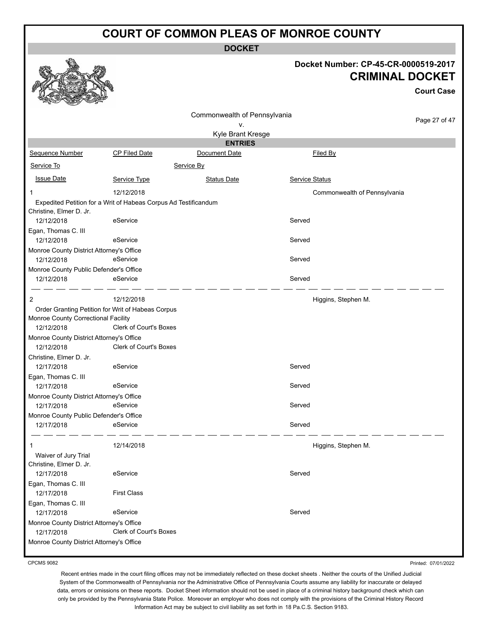**DOCKET**

#### **Docket Number: CP-45-CR-0000519-2017 CRIMINAL DOCKET**

|                                          |                                                                 |                              |                              | <b>Court Case</b> |
|------------------------------------------|-----------------------------------------------------------------|------------------------------|------------------------------|-------------------|
|                                          |                                                                 | Commonwealth of Pennsylvania |                              | Page 27 of 47     |
|                                          |                                                                 | ٧.                           |                              |                   |
|                                          |                                                                 | Kyle Brant Kresge            |                              |                   |
|                                          |                                                                 | <b>ENTRIES</b>               |                              |                   |
| Sequence Number                          | <b>CP Filed Date</b>                                            | Document Date                | <b>Filed By</b>              |                   |
| Service To                               |                                                                 | Service By                   |                              |                   |
| <b>Issue Date</b>                        | Service Type                                                    | <b>Status Date</b>           | <b>Service Status</b>        |                   |
| 1                                        | 12/12/2018                                                      |                              | Commonwealth of Pennsylvania |                   |
|                                          | Expedited Petition for a Writ of Habeas Corpus Ad Testificandum |                              |                              |                   |
| Christine, Elmer D. Jr.                  |                                                                 |                              |                              |                   |
| 12/12/2018                               | eService                                                        |                              | Served                       |                   |
| Egan, Thomas C. III                      |                                                                 |                              |                              |                   |
| 12/12/2018                               | eService                                                        |                              | Served                       |                   |
| Monroe County District Attorney's Office |                                                                 |                              |                              |                   |
| 12/12/2018                               | eService                                                        |                              | Served                       |                   |
| Monroe County Public Defender's Office   |                                                                 |                              |                              |                   |
| 12/12/2018                               | eService                                                        |                              | Served                       |                   |
| 2                                        | 12/12/2018                                                      |                              | Higgins, Stephen M.          |                   |
|                                          | Order Granting Petition for Writ of Habeas Corpus               |                              |                              |                   |
| Monroe County Correctional Facility      |                                                                 |                              |                              |                   |
| 12/12/2018                               | Clerk of Court's Boxes                                          |                              |                              |                   |
| Monroe County District Attorney's Office |                                                                 |                              |                              |                   |
| 12/12/2018                               | <b>Clerk of Court's Boxes</b>                                   |                              |                              |                   |
| Christine, Elmer D. Jr.                  |                                                                 |                              |                              |                   |
| 12/17/2018                               | eService                                                        |                              | Served                       |                   |
| Egan, Thomas C. III                      |                                                                 |                              |                              |                   |
| 12/17/2018                               | eService                                                        |                              | Served                       |                   |
| Monroe County District Attorney's Office |                                                                 |                              |                              |                   |
| 12/17/2018                               | eService                                                        |                              | Served                       |                   |
| Monroe County Public Defender's Office   | eService                                                        |                              | Served                       |                   |
| 12/17/2018                               |                                                                 |                              |                              |                   |
| 1                                        | 12/14/2018                                                      |                              | Higgins, Stephen M.          |                   |
| Waiver of Jury Trial                     |                                                                 |                              |                              |                   |
| Christine, Elmer D. Jr.                  |                                                                 |                              |                              |                   |
| 12/17/2018                               | eService                                                        |                              | Served                       |                   |
| Egan, Thomas C. III                      |                                                                 |                              |                              |                   |
| 12/17/2018                               | <b>First Class</b>                                              |                              |                              |                   |
| Egan, Thomas C. III                      |                                                                 |                              |                              |                   |
| 12/17/2018                               | eService                                                        |                              | Served                       |                   |
| Monroe County District Attorney's Office |                                                                 |                              |                              |                   |
| 12/17/2018                               | Clerk of Court's Boxes                                          |                              |                              |                   |
| Monroe County District Attorney's Office |                                                                 |                              |                              |                   |

CPCMS 9082

Printed: 07/01/2022

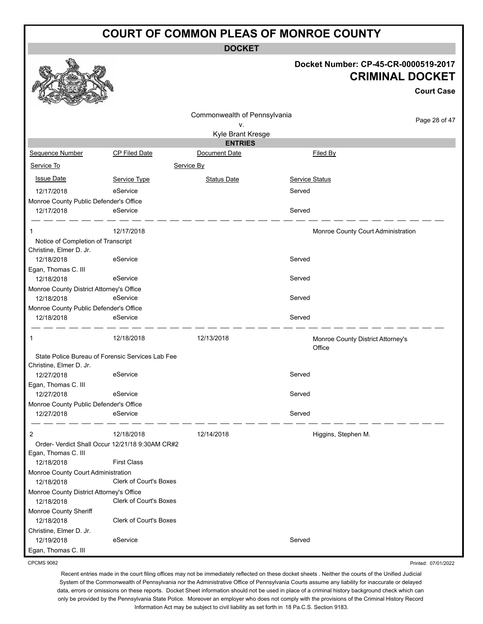**DOCKET**

### **Docket Number: CP-45-CR-0000519-2017 CRIMINAL DOCKET**

|                                                        |                                                  |                              |                |                                             | <b>Court Case</b> |
|--------------------------------------------------------|--------------------------------------------------|------------------------------|----------------|---------------------------------------------|-------------------|
|                                                        |                                                  | Commonwealth of Pennsylvania |                |                                             |                   |
|                                                        |                                                  | ٧.                           |                |                                             | Page 28 of 47     |
|                                                        |                                                  | Kyle Brant Kresge            |                |                                             |                   |
|                                                        |                                                  | <b>ENTRIES</b>               |                |                                             |                   |
| Sequence Number                                        | <b>CP Filed Date</b>                             | Document Date                |                | Filed By                                    |                   |
| Service To                                             |                                                  | Service By                   |                |                                             |                   |
| <b>Issue Date</b>                                      | Service Type                                     | <b>Status Date</b>           | Service Status |                                             |                   |
| 12/17/2018                                             | eService                                         |                              | Served         |                                             |                   |
| Monroe County Public Defender's Office                 |                                                  |                              |                |                                             |                   |
| 12/17/2018                                             | eService                                         |                              | Served         |                                             |                   |
| 1                                                      | 12/17/2018                                       |                              |                | Monroe County Court Administration          |                   |
| Notice of Completion of Transcript                     |                                                  |                              |                |                                             |                   |
| Christine, Elmer D. Jr.<br>12/18/2018                  | eService                                         |                              | Served         |                                             |                   |
| Egan, Thomas C. III                                    |                                                  |                              |                |                                             |                   |
| 12/18/2018                                             | eService                                         |                              | Served         |                                             |                   |
| Monroe County District Attorney's Office<br>12/18/2018 | eService                                         |                              | Served         |                                             |                   |
| Monroe County Public Defender's Office                 |                                                  |                              |                |                                             |                   |
| 12/18/2018                                             | eService                                         |                              | Served         |                                             |                   |
| 1                                                      | 12/18/2018                                       | 12/13/2018                   |                | Monroe County District Attorney's<br>Office |                   |
|                                                        | State Police Bureau of Forensic Services Lab Fee |                              |                |                                             |                   |
| Christine, Elmer D. Jr.                                |                                                  |                              |                |                                             |                   |
| 12/27/2018<br>Egan, Thomas C. III                      | eService                                         |                              | Served         |                                             |                   |
| 12/27/2018                                             | eService                                         |                              | Served         |                                             |                   |
| Monroe County Public Defender's Office                 |                                                  |                              |                |                                             |                   |
| 12/27/2018                                             | eService                                         |                              | Served         |                                             |                   |
| z                                                      | 12/18/2018                                       | 12/14/2018                   |                | Higgins, Stephen M.                         |                   |
|                                                        | Order- Verdict Shall Occur 12/21/18 9:30AM CR#2  |                              |                |                                             |                   |
| Egan, Thomas C. III                                    |                                                  |                              |                |                                             |                   |
| 12/18/2018                                             | <b>First Class</b>                               |                              |                |                                             |                   |
| Monroe County Court Administration                     |                                                  |                              |                |                                             |                   |
| 12/18/2018                                             | Clerk of Court's Boxes                           |                              |                |                                             |                   |
| Monroe County District Attorney's Office<br>12/18/2018 | Clerk of Court's Boxes                           |                              |                |                                             |                   |
| Monroe County Sheriff                                  |                                                  |                              |                |                                             |                   |
| 12/18/2018                                             | <b>Clerk of Court's Boxes</b>                    |                              |                |                                             |                   |
| Christine, Elmer D. Jr.                                |                                                  |                              |                |                                             |                   |
| 12/19/2018                                             | eService                                         |                              | Served         |                                             |                   |
| Egan, Thomas C. III                                    |                                                  |                              |                |                                             |                   |

CPCMS 9082

œ.

Printed: 07/01/2022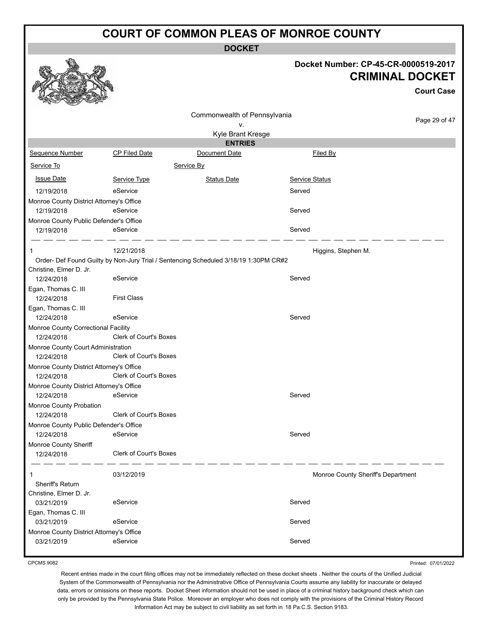**DOCKET**

#### **Docket Number: CP-45-CR-0000519-2017 CRIMINAL DOCKET**

**Court Case**

|                                          |                                                                                      | Commonwealth of Pennsylvania |                       |                                    |
|------------------------------------------|--------------------------------------------------------------------------------------|------------------------------|-----------------------|------------------------------------|
|                                          |                                                                                      | ۷.                           |                       | Page 29 of 47                      |
|                                          |                                                                                      | Kyle Brant Kresge            |                       |                                    |
|                                          |                                                                                      | <b>ENTRIES</b>               |                       |                                    |
| <b>Sequence Number</b>                   | CP Filed Date                                                                        | Document Date                | <b>Filed By</b>       |                                    |
| Service To                               |                                                                                      | Service By                   |                       |                                    |
| <b>Issue Date</b>                        | Service Type                                                                         | <b>Status Date</b>           | <b>Service Status</b> |                                    |
| 12/19/2018                               | eService                                                                             |                              | Served                |                                    |
| Monroe County District Attorney's Office |                                                                                      |                              |                       |                                    |
| 12/19/2018                               | eService                                                                             |                              | Served                |                                    |
| Monroe County Public Defender's Office   |                                                                                      |                              |                       |                                    |
| 12/19/2018                               | eService                                                                             |                              | Served                |                                    |
|                                          | 12/21/2018                                                                           |                              | Higgins, Stephen M.   |                                    |
|                                          | Order- Def Found Guilty by Non-Jury Trial / Sentencing Scheduled 3/18/19 1:30PM CR#2 |                              |                       |                                    |
| Christine, Elmer D. Jr.                  |                                                                                      |                              |                       |                                    |
| 12/24/2018                               | eService                                                                             |                              | Served                |                                    |
| Egan, Thomas C. III                      |                                                                                      |                              |                       |                                    |
| 12/24/2018                               | <b>First Class</b>                                                                   |                              |                       |                                    |
| Egan, Thomas C. III                      |                                                                                      |                              |                       |                                    |
| 12/24/2018                               | eService                                                                             |                              | Served                |                                    |
| Monroe County Correctional Facility      |                                                                                      |                              |                       |                                    |
| 12/24/2018                               | <b>Clerk of Court's Boxes</b>                                                        |                              |                       |                                    |
| Monroe County Court Administration       |                                                                                      |                              |                       |                                    |
| 12/24/2018                               | <b>Clerk of Court's Boxes</b>                                                        |                              |                       |                                    |
| Monroe County District Attorney's Office |                                                                                      |                              |                       |                                    |
| 12/24/2018                               | Clerk of Court's Boxes                                                               |                              |                       |                                    |
| Monroe County District Attorney's Office |                                                                                      |                              |                       |                                    |
| 12/24/2018                               | eService                                                                             |                              | Served                |                                    |
| Monroe County Probation                  |                                                                                      |                              |                       |                                    |
| 12/24/2018                               | Clerk of Court's Boxes                                                               |                              |                       |                                    |
| Monroe County Public Defender's Office   |                                                                                      |                              |                       |                                    |
| 12/24/2018                               | eService                                                                             |                              | Served                |                                    |
| Monroe County Sheriff                    |                                                                                      |                              |                       |                                    |
| 12/24/2018                               | <b>Clerk of Court's Boxes</b>                                                        |                              |                       |                                    |
| $\mathbf 1$                              | 03/12/2019                                                                           |                              |                       | Monroe County Sheriff's Department |
| Sheriff's Return                         |                                                                                      |                              |                       |                                    |
| Christine, Elmer D. Jr.                  |                                                                                      |                              |                       |                                    |
| 03/21/2019                               | eService                                                                             |                              | Served                |                                    |
| Egan, Thomas C. III                      |                                                                                      |                              |                       |                                    |
| 03/21/2019                               | eService                                                                             |                              | Served                |                                    |
| Monroe County District Attorney's Office |                                                                                      |                              |                       |                                    |
| 03/21/2019                               | eService                                                                             |                              | Served                |                                    |
|                                          |                                                                                      |                              |                       |                                    |

CPCMS 9082

Printed: 07/01/2022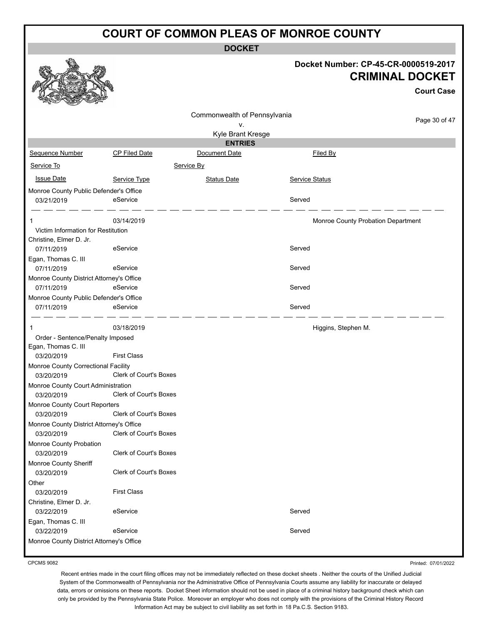**DOCKET**

| Docket Number: CP-45-CR-0000519-2017 |
|--------------------------------------|
| <b>CRIMINAL DOCKET</b>               |

**Court Case**

|                                                               |                               |                              |                     | <b>Court Case</b>                  |
|---------------------------------------------------------------|-------------------------------|------------------------------|---------------------|------------------------------------|
|                                                               |                               | Commonwealth of Pennsylvania |                     |                                    |
|                                                               |                               | ۷.                           |                     | Page 30 of 47                      |
|                                                               |                               | Kyle Brant Kresge            |                     |                                    |
|                                                               |                               | <b>ENTRIES</b>               |                     |                                    |
| Sequence Number                                               | <b>CP Filed Date</b>          | Document Date                | <b>Filed By</b>     |                                    |
| Service To                                                    |                               | Service By                   |                     |                                    |
| <b>Issue Date</b>                                             | Service Type                  | <b>Status Date</b>           | Service Status      |                                    |
| Monroe County Public Defender's Office                        |                               |                              |                     |                                    |
| 03/21/2019                                                    | eService                      |                              | Served              |                                    |
|                                                               | 03/14/2019                    |                              |                     | Monroe County Probation Department |
| Victim Information for Restitution<br>Christine, Elmer D. Jr. |                               |                              |                     |                                    |
| 07/11/2019                                                    | eService                      |                              | Served              |                                    |
| Egan, Thomas C. III                                           |                               |                              |                     |                                    |
| 07/11/2019                                                    | eService                      |                              | Served              |                                    |
| Monroe County District Attorney's Office                      | eService                      |                              |                     |                                    |
| 07/11/2019                                                    |                               |                              | Served              |                                    |
| Monroe County Public Defender's Office<br>07/11/2019          | eService                      |                              | Served              |                                    |
|                                                               |                               |                              |                     |                                    |
| 1                                                             | 03/18/2019                    |                              | Higgins, Stephen M. |                                    |
| Order - Sentence/Penalty Imposed                              |                               |                              |                     |                                    |
| Egan, Thomas C. III                                           | <b>First Class</b>            |                              |                     |                                    |
| 03/20/2019<br>Monroe County Correctional Facility             |                               |                              |                     |                                    |
| 03/20/2019                                                    | Clerk of Court's Boxes        |                              |                     |                                    |
| Monroe County Court Administration                            |                               |                              |                     |                                    |
| 03/20/2019                                                    | Clerk of Court's Boxes        |                              |                     |                                    |
| Monroe County Court Reporters                                 |                               |                              |                     |                                    |
| 03/20/2019                                                    | Clerk of Court's Boxes        |                              |                     |                                    |
| Monroe County District Attorney's Office                      |                               |                              |                     |                                    |
| 03/20/2019                                                    | <b>Clerk of Court's Boxes</b> |                              |                     |                                    |
| Monroe County Probation                                       |                               |                              |                     |                                    |
| 03/20/2019                                                    | Clerk of Court's Boxes        |                              |                     |                                    |
| Monroe County Sheriff                                         |                               |                              |                     |                                    |
| 03/20/2019                                                    | Clerk of Court's Boxes        |                              |                     |                                    |
| Other                                                         |                               |                              |                     |                                    |
| 03/20/2019                                                    | <b>First Class</b>            |                              |                     |                                    |
| Christine, Elmer D. Jr.<br>03/22/2019                         | eService                      |                              | Served              |                                    |
| Egan, Thomas C. III                                           |                               |                              |                     |                                    |
| 03/22/2019                                                    | eService                      |                              | Served              |                                    |
| Monroe County District Attorney's Office                      |                               |                              |                     |                                    |

CPCMS 9082

Printed: 07/01/2022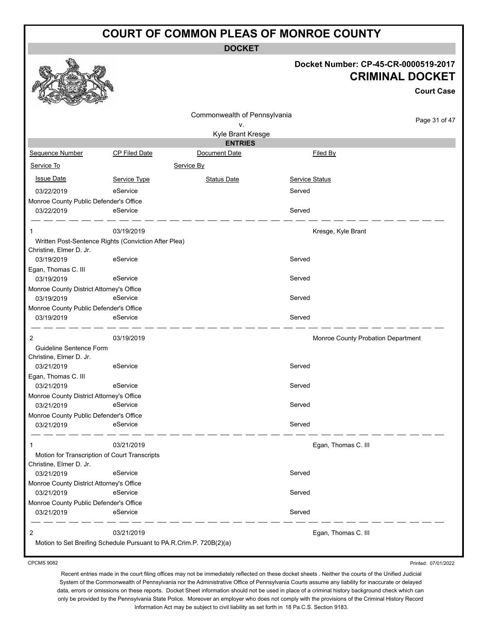**DOCKET**

#### **Docket Number: CP-45-CR-0000519-2017 CRIMINAL DOCKET**

**Court Case**

Commonwealth of Pennsylvania Page 31 of 47 v. Kyle Brant Kresge **ENTRIES** Sequence Number CP Filed Date Document Date **Document Date** Filed By Service To Service By **Issue Date Service Type** Service Type Status Date Service Status Date Service Status Service Status **Service Status** 03/22/2019 eService Served Monroe County Public Defender's Office 03/22/2019 eService Served 1 03/19/2019 Kresge, Kyle Brant Written Post-Sentence Rights (Conviction After Plea) Christine, Elmer D. Jr. 03/19/2019 eService Served Egan, Thomas C. III 03/19/2019 eService Served Monroe County District Attorney's Office 03/19/2019 eService Served Monroe County Public Defender's Office 03/19/2019 eService Served 2 03/19/2019 Monroe County Probation Department Guideline Sentence Form Christine, Elmer D. Jr. 03/21/2019 eService eService and the Served Egan, Thomas C. III 03/21/2019 eService Served Monroe County District Attorney's Office 03/21/2019 eService Served Monroe County Public Defender's Office 03/21/2019 eService entertainment of the Served 1 03/21/2019 Egan, Thomas C. III Motion for Transcription of Court Transcripts Christine, Elmer D. Jr. 03/21/2019 eService Served Monroe County District Attorney's Office 03/21/2019 eService Served Monroe County Public Defender's Office 03/21/2019 eService Served 2 03/21/2019 Egan, Thomas C. III Motion to Set Breifing Schedule Pursuant to PA.R.Crim.P. 720B(2)(a)

CPCMS 9082

Recent entries made in the court filing offices may not be immediately reflected on these docket sheets . Neither the courts of the Unified Judicial System of the Commonwealth of Pennsylvania nor the Administrative Office of Pennsylvania Courts assume any liability for inaccurate or delayed data, errors or omissions on these reports. Docket Sheet information should not be used in place of a criminal history background check which can only be provided by the Pennsylvania State Police. Moreover an employer who does not comply with the provisions of the Criminal History Record Information Act may be subject to civil liability as set forth in 18 Pa.C.S. Section 9183.

Printed: 07/01/2022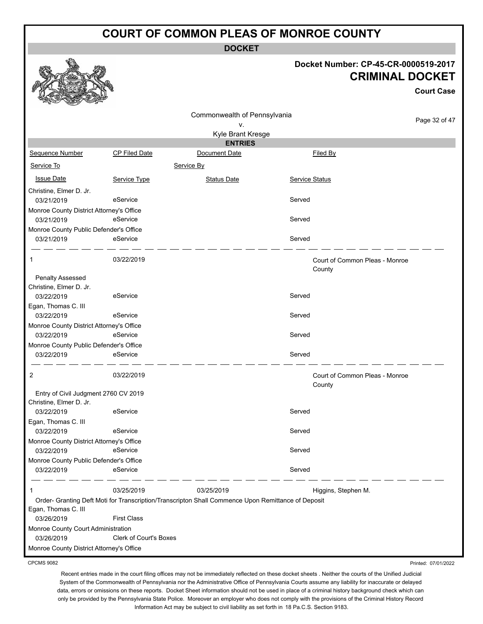**DOCKET**

# **Docket Number: CP-45-CR-0000519-2017**

 $47$ 

|                                                      |                        |                                                                                                    | <b>CRIMINAL DOCKET</b>                   |                   |  |
|------------------------------------------------------|------------------------|----------------------------------------------------------------------------------------------------|------------------------------------------|-------------------|--|
|                                                      |                        |                                                                                                    |                                          | <b>Court Case</b> |  |
|                                                      |                        | Commonwealth of Pennsylvania                                                                       |                                          | Page 32 of 47     |  |
|                                                      |                        | ٧.                                                                                                 |                                          |                   |  |
|                                                      |                        | Kyle Brant Kresge<br><b>ENTRIES</b>                                                                |                                          |                   |  |
| Sequence Number                                      | CP Filed Date          | Document Date                                                                                      | Filed By                                 |                   |  |
| Service To                                           |                        | Service By                                                                                         |                                          |                   |  |
| <b>Issue Date</b>                                    | Service Type           | <b>Status Date</b>                                                                                 | <b>Service Status</b>                    |                   |  |
| Christine, Elmer D. Jr.                              |                        |                                                                                                    |                                          |                   |  |
| 03/21/2019                                           | eService               |                                                                                                    | Served                                   |                   |  |
| Monroe County District Attorney's Office             |                        |                                                                                                    |                                          |                   |  |
| 03/21/2019                                           | eService               |                                                                                                    | Served                                   |                   |  |
| Monroe County Public Defender's Office               |                        |                                                                                                    |                                          |                   |  |
| 03/21/2019                                           | eService               |                                                                                                    | Served                                   |                   |  |
|                                                      |                        |                                                                                                    |                                          |                   |  |
| 1                                                    | 03/22/2019             |                                                                                                    | Court of Common Pleas - Monroe<br>County |                   |  |
| Penalty Assessed                                     |                        |                                                                                                    |                                          |                   |  |
| Christine, Elmer D. Jr.                              |                        |                                                                                                    |                                          |                   |  |
| 03/22/2019                                           | eService               |                                                                                                    | Served                                   |                   |  |
| Egan, Thomas C. III                                  |                        |                                                                                                    |                                          |                   |  |
| 03/22/2019                                           | eService               |                                                                                                    | Served                                   |                   |  |
| Monroe County District Attorney's Office             |                        |                                                                                                    |                                          |                   |  |
| 03/22/2019                                           | eService               |                                                                                                    | Served                                   |                   |  |
| Monroe County Public Defender's Office               |                        |                                                                                                    |                                          |                   |  |
| 03/22/2019                                           | eService               |                                                                                                    | Served                                   |                   |  |
| 2                                                    | 03/22/2019             |                                                                                                    | Court of Common Pleas - Monroe<br>County |                   |  |
| Entry of Civil Judgment 2760 CV 2019                 |                        |                                                                                                    |                                          |                   |  |
| Christine, Elmer D. Jr.                              |                        |                                                                                                    |                                          |                   |  |
| 03/22/2019                                           | eService               |                                                                                                    | Served                                   |                   |  |
| Egan, Thomas C. III                                  |                        |                                                                                                    |                                          |                   |  |
| 03/22/2019                                           | eService               |                                                                                                    | Served                                   |                   |  |
| Monroe County District Attorney's Office             |                        |                                                                                                    |                                          |                   |  |
| 03/22/2019                                           | eService               |                                                                                                    | Served                                   |                   |  |
| Monroe County Public Defender's Office<br>03/22/2019 | eService               |                                                                                                    | Served                                   |                   |  |
| 1                                                    | 03/25/2019             | 03/25/2019                                                                                         | Higgins, Stephen M.                      |                   |  |
|                                                      |                        | Order- Granting Deft Moti for Transcription/Transcripton Shall Commence Upon Remittance of Deposit |                                          |                   |  |
| Egan, Thomas C. III                                  |                        |                                                                                                    |                                          |                   |  |
| 03/26/2019                                           | <b>First Class</b>     |                                                                                                    |                                          |                   |  |
| Monroe County Court Administration                   |                        |                                                                                                    |                                          |                   |  |
| 03/26/2019                                           | Clerk of Court's Boxes |                                                                                                    |                                          |                   |  |
| Monroe County District Attorney's Office             |                        |                                                                                                    |                                          |                   |  |

CPCMS 9082

**CP** 

Printed: 07/01/2022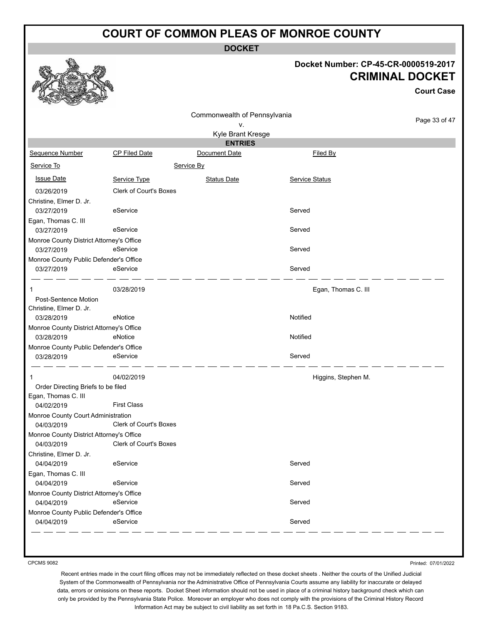**DOCKET**

#### **Docket Number: CP-45-CR-0000519-2017 CRIMINAL DOCKET**

**Court Case**

|                                          |                               | Commonwealth of Pennsylvania |                     |               |
|------------------------------------------|-------------------------------|------------------------------|---------------------|---------------|
|                                          |                               | ٧.                           |                     | Page 33 of 47 |
|                                          |                               | Kyle Brant Kresge            |                     |               |
|                                          |                               | <b>ENTRIES</b>               |                     |               |
| Sequence Number                          | CP Filed Date                 | Document Date                | Filed By            |               |
| Service To                               |                               | Service By                   |                     |               |
| <b>Issue Date</b>                        | Service Type                  | <b>Status Date</b>           | Service Status      |               |
| 03/26/2019                               | <b>Clerk of Court's Boxes</b> |                              |                     |               |
| Christine, Elmer D. Jr.                  |                               |                              |                     |               |
| 03/27/2019                               | eService                      |                              | Served              |               |
| Egan, Thomas C. III                      |                               |                              |                     |               |
| 03/27/2019                               | eService                      |                              | Served              |               |
| Monroe County District Attorney's Office |                               |                              |                     |               |
| 03/27/2019                               | eService                      |                              | Served              |               |
| Monroe County Public Defender's Office   |                               |                              |                     |               |
| 03/27/2019                               | eService                      |                              | Served              |               |
|                                          | 03/28/2019                    |                              | Egan, Thomas C. III |               |
| Post-Sentence Motion                     |                               |                              |                     |               |
| Christine, Elmer D. Jr.                  |                               |                              |                     |               |
| 03/28/2019                               | eNotice                       |                              | Notified            |               |
| Monroe County District Attorney's Office |                               |                              |                     |               |
| 03/28/2019                               | eNotice                       |                              | Notified            |               |
| Monroe County Public Defender's Office   |                               |                              |                     |               |
| 03/28/2019                               | eService                      |                              | Served              |               |
| 1                                        | 04/02/2019                    |                              | Higgins, Stephen M. |               |
| Order Directing Briefs to be filed       |                               |                              |                     |               |
| Egan, Thomas C. III                      |                               |                              |                     |               |
| 04/02/2019                               | <b>First Class</b>            |                              |                     |               |
| Monroe County Court Administration       |                               |                              |                     |               |
| 04/03/2019                               | <b>Clerk of Court's Boxes</b> |                              |                     |               |
| Monroe County District Attorney's Office |                               |                              |                     |               |
| 04/03/2019                               | <b>Clerk of Court's Boxes</b> |                              |                     |               |
| Christine, Elmer D. Jr.                  |                               |                              |                     |               |
| 04/04/2019                               | eService                      |                              | Served              |               |
| Egan, Thomas C. III                      |                               |                              |                     |               |
| 04/04/2019                               | eService                      |                              | Served              |               |
| Monroe County District Attorney's Office |                               |                              |                     |               |
| 04/04/2019                               | eService                      |                              | Served              |               |
| Monroe County Public Defender's Office   |                               |                              |                     |               |
| 04/04/2019                               | eService                      |                              | Served              |               |
|                                          |                               |                              |                     |               |

CPCMS 9082

Printed: 07/01/2022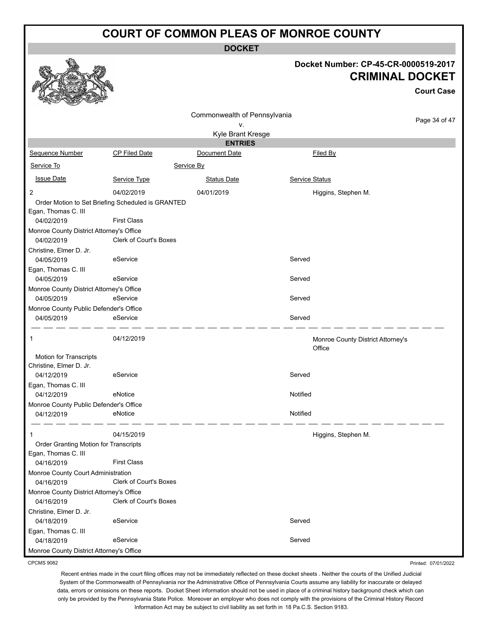**DOCKET**

#### **Docket Number: CP-45-CR-0000519-2017 CRIMINAL DOCKET**

Printed: 07/01/2022

|                                                        |                               |                              |                |                                   | <b>Court Case</b> |  |
|--------------------------------------------------------|-------------------------------|------------------------------|----------------|-----------------------------------|-------------------|--|
|                                                        |                               | Commonwealth of Pennsylvania |                |                                   |                   |  |
|                                                        |                               | ν.                           |                |                                   | Page 34 of 47     |  |
|                                                        |                               | Kyle Brant Kresge            |                |                                   |                   |  |
|                                                        |                               | <b>ENTRIES</b>               |                |                                   |                   |  |
| Sequence Number                                        | <b>CP Filed Date</b>          | Document Date                | Filed By       |                                   |                   |  |
| Service To                                             |                               | Service By                   |                |                                   |                   |  |
| <b>Issue Date</b>                                      | Service Type                  | <b>Status Date</b>           | Service Status |                                   |                   |  |
| $\overline{2}$                                         | 04/02/2019                    | 04/01/2019                   |                | Higgins, Stephen M.               |                   |  |
| Order Motion to Set Briefing Scheduled is GRANTED      |                               |                              |                |                                   |                   |  |
| Egan, Thomas C. III                                    |                               |                              |                |                                   |                   |  |
| 04/02/2019                                             | <b>First Class</b>            |                              |                |                                   |                   |  |
| Monroe County District Attorney's Office<br>04/02/2019 | Clerk of Court's Boxes        |                              |                |                                   |                   |  |
| Christine, Elmer D. Jr.<br>04/05/2019                  | eService                      |                              | Served         |                                   |                   |  |
| Egan, Thomas C. III<br>04/05/2019                      | eService                      |                              | Served         |                                   |                   |  |
| Monroe County District Attorney's Office<br>04/05/2019 | eService                      |                              | Served         |                                   |                   |  |
| Monroe County Public Defender's Office                 |                               |                              |                |                                   |                   |  |
| 04/05/2019                                             | eService                      |                              | Served         |                                   |                   |  |
| 1                                                      | 04/12/2019                    |                              | Office         | Monroe County District Attorney's |                   |  |
| Motion for Transcripts                                 |                               |                              |                |                                   |                   |  |
| Christine, Elmer D. Jr.                                |                               |                              |                |                                   |                   |  |
| 04/12/2019                                             | eService                      |                              | Served         |                                   |                   |  |
| Egan, Thomas C. III                                    | eNotice                       |                              | Notified       |                                   |                   |  |
| 04/12/2019<br>Monroe County Public Defender's Office   |                               |                              |                |                                   |                   |  |
| 04/12/2019                                             | eNotice                       |                              | Notified       |                                   |                   |  |
|                                                        |                               |                              |                |                                   |                   |  |
|                                                        | 04/15/2019                    |                              |                | Higgins, Stephen M.               |                   |  |
| Order Granting Motion for Transcripts                  |                               |                              |                |                                   |                   |  |
| Egan, Thomas C. III                                    |                               |                              |                |                                   |                   |  |
| 04/16/2019                                             | <b>First Class</b>            |                              |                |                                   |                   |  |
| Monroe County Court Administration                     | Clerk of Court's Boxes        |                              |                |                                   |                   |  |
| 04/16/2019<br>Monroe County District Attorney's Office |                               |                              |                |                                   |                   |  |
| 04/16/2019                                             | <b>Clerk of Court's Boxes</b> |                              |                |                                   |                   |  |
| Christine, Elmer D. Jr.                                |                               |                              |                |                                   |                   |  |
| 04/18/2019                                             | eService                      |                              | Served         |                                   |                   |  |
| Egan, Thomas C. III                                    |                               |                              |                |                                   |                   |  |
| 04/18/2019                                             | eService                      |                              | Served         |                                   |                   |  |
| Monroe County District Attorney's Office               |                               |                              |                |                                   |                   |  |

CPCMS 9082

燚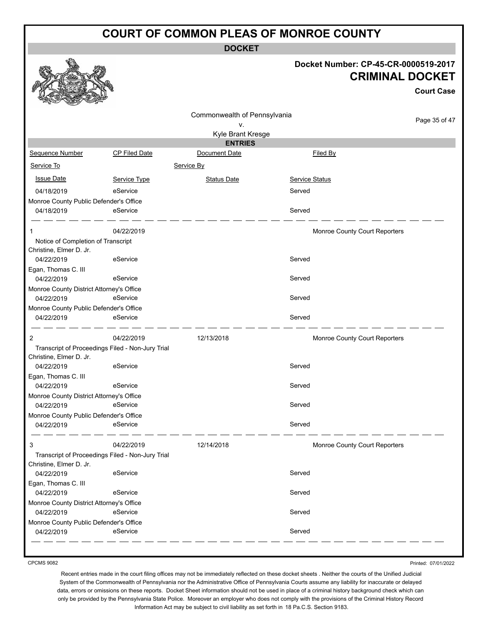**DOCKET**

#### **Docket Number: CP-45-CR-0000519-2017 CRIMINAL DOCKET**

|                                          |                                                  |                              |                               | <b>Court Case</b> |
|------------------------------------------|--------------------------------------------------|------------------------------|-------------------------------|-------------------|
|                                          |                                                  | Commonwealth of Pennsylvania |                               |                   |
|                                          |                                                  | ν.                           |                               | Page 35 of 47     |
|                                          |                                                  | Kyle Brant Kresge            |                               |                   |
|                                          |                                                  | <b>ENTRIES</b>               |                               |                   |
| Sequence Number                          | CP Filed Date                                    | Document Date                | Filed By                      |                   |
| Service To                               |                                                  | Service By                   |                               |                   |
| <b>Issue Date</b>                        | Service Type                                     | <b>Status Date</b>           | Service Status                |                   |
| 04/18/2019                               | eService                                         |                              | Served                        |                   |
| Monroe County Public Defender's Office   |                                                  |                              |                               |                   |
| 04/18/2019                               | eService                                         |                              | Served                        |                   |
|                                          | 04/22/2019                                       |                              | Monroe County Court Reporters |                   |
| Notice of Completion of Transcript       |                                                  |                              |                               |                   |
| Christine, Elmer D. Jr.                  |                                                  |                              |                               |                   |
| 04/22/2019                               | eService                                         |                              | Served                        |                   |
| Egan, Thomas C. III                      |                                                  |                              |                               |                   |
| 04/22/2019                               | eService                                         |                              | Served                        |                   |
| Monroe County District Attorney's Office |                                                  |                              |                               |                   |
| 04/22/2019                               | eService                                         |                              | Served                        |                   |
| Monroe County Public Defender's Office   |                                                  |                              |                               |                   |
| 04/22/2019                               | eService                                         |                              | Served                        |                   |
| 2                                        | 04/22/2019                                       | 12/13/2018                   | Monroe County Court Reporters |                   |
| Christine, Elmer D. Jr.                  | Transcript of Proceedings Filed - Non-Jury Trial |                              |                               |                   |
| 04/22/2019                               | eService                                         |                              | Served                        |                   |
| Egan, Thomas C. III                      |                                                  |                              |                               |                   |
| 04/22/2019                               | eService                                         |                              | Served                        |                   |
| Monroe County District Attorney's Office |                                                  |                              |                               |                   |
| 04/22/2019                               | eService                                         |                              | Served                        |                   |
| Monroe County Public Defender's Office   |                                                  |                              |                               |                   |
| 04/22/2019                               | eService                                         |                              | Served                        |                   |
| 3                                        | 04/22/2019                                       | 12/14/2018                   | Monroe County Court Reporters |                   |
|                                          | Transcript of Proceedings Filed - Non-Jury Trial |                              |                               |                   |
| Christine, Elmer D. Jr.                  |                                                  |                              |                               |                   |
| 04/22/2019                               | eService                                         |                              | Served                        |                   |
| Egan, Thomas C. III                      |                                                  |                              |                               |                   |
| 04/22/2019                               | eService                                         |                              | Served                        |                   |
| Monroe County District Attorney's Office |                                                  |                              |                               |                   |
| 04/22/2019                               | eService                                         |                              | Served                        |                   |
| Monroe County Public Defender's Office   |                                                  |                              |                               |                   |
| 04/22/2019                               | eService                                         |                              | Served                        |                   |

CPCMS 9082

Printed: 07/01/2022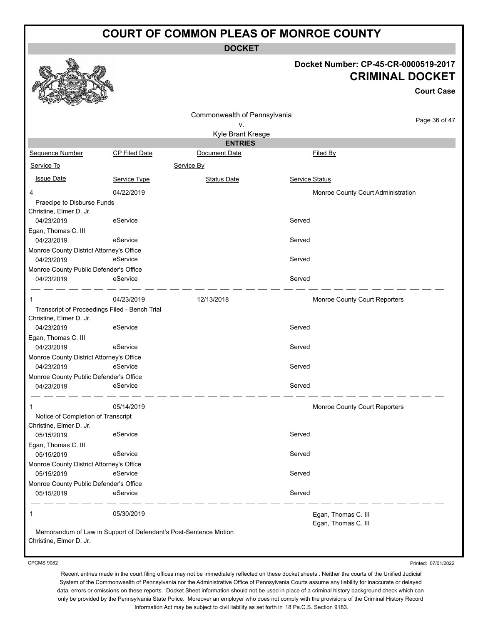**DOCKET**

#### **Docket Number: CP-45-CR-0000519-2017 CRIMINAL DOCKET**

**Court Case**

|                                          |                                                                  | Commonwealth of Pennsylvania |                                    |               |
|------------------------------------------|------------------------------------------------------------------|------------------------------|------------------------------------|---------------|
|                                          |                                                                  | ٧.                           |                                    | Page 36 of 47 |
|                                          |                                                                  | Kyle Brant Kresge            |                                    |               |
|                                          |                                                                  | <b>ENTRIES</b>               |                                    |               |
| Sequence Number                          | <b>CP Filed Date</b>                                             | Document Date                | Filed By                           |               |
| Service To                               |                                                                  | Service By                   |                                    |               |
| <b>Issue Date</b>                        | Service Type                                                     | <b>Status Date</b>           | Service Status                     |               |
| 4                                        | 04/22/2019                                                       |                              | Monroe County Court Administration |               |
| Praecipe to Disburse Funds               |                                                                  |                              |                                    |               |
| Christine, Elmer D. Jr.                  |                                                                  |                              |                                    |               |
| 04/23/2019                               | eService                                                         |                              | Served                             |               |
| Egan, Thomas C. III                      |                                                                  |                              |                                    |               |
| 04/23/2019                               | eService                                                         |                              | Served                             |               |
| Monroe County District Attorney's Office |                                                                  |                              |                                    |               |
| 04/23/2019                               | eService                                                         |                              | Served                             |               |
| Monroe County Public Defender's Office   |                                                                  |                              |                                    |               |
| 04/23/2019                               | eService                                                         |                              | Served                             |               |
| 1                                        | 04/23/2019                                                       | 12/13/2018                   | Monroe County Court Reporters      |               |
|                                          | Transcript of Proceedings Filed - Bench Trial                    |                              |                                    |               |
| Christine, Elmer D. Jr.                  |                                                                  |                              |                                    |               |
| 04/23/2019                               | eService                                                         |                              | Served                             |               |
| Egan, Thomas C. III                      |                                                                  |                              |                                    |               |
| 04/23/2019                               | eService                                                         |                              | Served                             |               |
| Monroe County District Attorney's Office |                                                                  |                              |                                    |               |
| 04/23/2019                               | eService                                                         |                              | Served                             |               |
| Monroe County Public Defender's Office   |                                                                  |                              |                                    |               |
| 04/23/2019                               | eService                                                         |                              | Served                             |               |
| 1                                        | 05/14/2019                                                       |                              | Monroe County Court Reporters      |               |
| Notice of Completion of Transcript       |                                                                  |                              |                                    |               |
| Christine, Elmer D. Jr.                  |                                                                  |                              |                                    |               |
| 05/15/2019                               | eService                                                         |                              | Served                             |               |
| Egan, Thomas C. III                      |                                                                  |                              |                                    |               |
| 05/15/2019                               | eService                                                         |                              | Served                             |               |
| Monroe County District Attorney's Office |                                                                  |                              |                                    |               |
| 05/15/2019                               | eService                                                         |                              | Served                             |               |
| Monroe County Public Defender's Office   |                                                                  |                              |                                    |               |
| 05/15/2019                               | eService                                                         |                              | Served                             |               |
| 1                                        | 05/30/2019                                                       |                              | Egan, Thomas C. III                |               |
|                                          |                                                                  |                              | Egan, Thomas C. III                |               |
| Christine, Elmer D. Jr.                  | Memorandum of Law in Support of Defendant's Post-Sentence Motion |                              |                                    |               |

CPCMS 9082

Printed: 07/01/2022

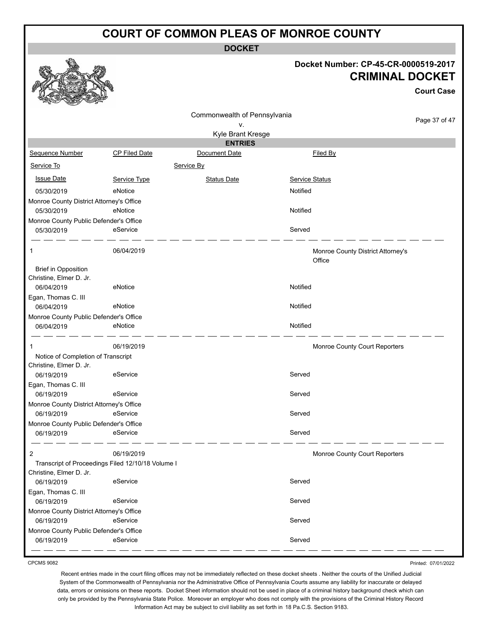**DOCKET**

#### **Docket Number: CP-45-CR-0000519-2017 CRIMINAL DOCKET**

**Court Case**

|                                                               |                                                   | Commonwealth of Pennsylvania |                                             |               |
|---------------------------------------------------------------|---------------------------------------------------|------------------------------|---------------------------------------------|---------------|
|                                                               |                                                   | ٧.                           |                                             | Page 37 of 47 |
|                                                               |                                                   | Kyle Brant Kresge            |                                             |               |
|                                                               |                                                   | <b>ENTRIES</b>               |                                             |               |
| Sequence Number                                               | CP Filed Date                                     | Document Date                | Filed By                                    |               |
| Service To                                                    |                                                   | Service By                   |                                             |               |
| <b>Issue Date</b>                                             | Service Type                                      | <b>Status Date</b>           | <b>Service Status</b>                       |               |
| 05/30/2019                                                    | eNotice                                           |                              | Notified                                    |               |
| Monroe County District Attorney's Office                      |                                                   |                              |                                             |               |
| 05/30/2019                                                    | eNotice                                           |                              | Notified                                    |               |
| Monroe County Public Defender's Office                        |                                                   |                              |                                             |               |
| 05/30/2019                                                    | eService                                          |                              | Served                                      |               |
| 1                                                             | 06/04/2019                                        |                              | Monroe County District Attorney's<br>Office |               |
| <b>Brief in Opposition</b>                                    |                                                   |                              |                                             |               |
| Christine, Elmer D. Jr.                                       |                                                   |                              |                                             |               |
| 06/04/2019                                                    | eNotice                                           |                              | Notified                                    |               |
| Egan, Thomas C. III                                           |                                                   |                              |                                             |               |
| 06/04/2019                                                    | eNotice                                           |                              | Notified                                    |               |
| Monroe County Public Defender's Office                        |                                                   |                              |                                             |               |
| 06/04/2019                                                    | eNotice                                           |                              | Notified                                    |               |
| 1                                                             | 06/19/2019                                        |                              | Monroe County Court Reporters               |               |
| Notice of Completion of Transcript<br>Christine, Elmer D. Jr. |                                                   |                              |                                             |               |
| 06/19/2019                                                    | eService                                          |                              | Served                                      |               |
| Egan, Thomas C. III                                           |                                                   |                              |                                             |               |
| 06/19/2019                                                    | eService                                          |                              | Served                                      |               |
| Monroe County District Attorney's Office                      |                                                   |                              |                                             |               |
| 06/19/2019                                                    | eService                                          |                              | Served                                      |               |
| Monroe County Public Defender's Office                        |                                                   |                              |                                             |               |
| 06/19/2019                                                    | eService                                          |                              | Served                                      |               |
| 2                                                             | 06/19/2019                                        |                              | Monroe County Court Reporters               |               |
|                                                               | Transcript of Proceedings Filed 12/10/18 Volume I |                              |                                             |               |
| Christine, Elmer D. Jr.                                       |                                                   |                              |                                             |               |
| 06/19/2019                                                    | eService                                          |                              | Served                                      |               |
| Egan, Thomas C. III                                           |                                                   |                              |                                             |               |
| 06/19/2019                                                    | eService                                          |                              | Served                                      |               |
| Monroe County District Attorney's Office                      | eService                                          |                              |                                             |               |
| 06/19/2019                                                    |                                                   |                              | Served                                      |               |
| Monroe County Public Defender's Office<br>06/19/2019          | eService                                          |                              | Served                                      |               |
|                                                               |                                                   |                              |                                             |               |

CPCMS 9082

Printed: 07/01/2022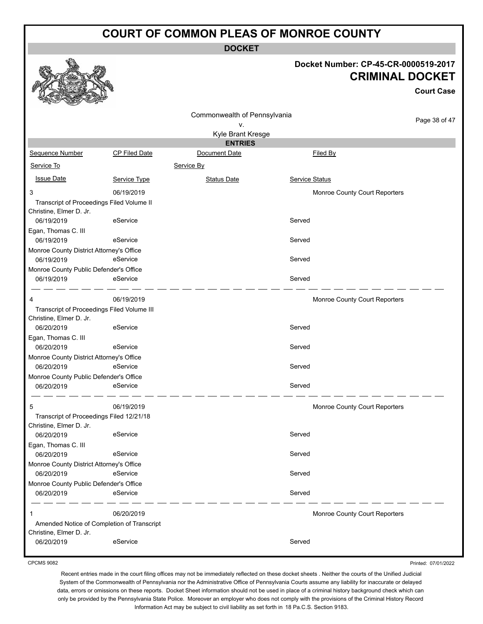**DOCKET**

#### **Docket Number: CP-45-CR-0000519-2017 CRIMINAL DOCKET**

|                                                                      |               |                              | <b>URIMINAL DOUKET</b><br><b>Court Case</b> |                               |               |
|----------------------------------------------------------------------|---------------|------------------------------|---------------------------------------------|-------------------------------|---------------|
|                                                                      |               | Commonwealth of Pennsylvania |                                             |                               |               |
|                                                                      |               | ۷.                           |                                             |                               | Page 38 of 47 |
|                                                                      |               | Kyle Brant Kresge            |                                             |                               |               |
|                                                                      |               | <b>ENTRIES</b>               |                                             |                               |               |
| Sequence Number                                                      | CP Filed Date | Document Date                |                                             | Filed By                      |               |
| Service To                                                           |               | Service By                   |                                             |                               |               |
| <b>Issue Date</b>                                                    | Service Type  | <b>Status Date</b>           | <b>Service Status</b>                       |                               |               |
| 3                                                                    | 06/19/2019    |                              |                                             | Monroe County Court Reporters |               |
| Transcript of Proceedings Filed Volume II<br>Christine, Elmer D. Jr. |               |                              |                                             |                               |               |
| 06/19/2019<br>Egan, Thomas C. III                                    | eService      |                              | Served                                      |                               |               |
| 06/19/2019                                                           | eService      |                              | Served                                      |                               |               |
| Monroe County District Attorney's Office                             |               |                              |                                             |                               |               |
| 06/19/2019                                                           | eService      |                              | Served                                      |                               |               |
| Monroe County Public Defender's Office                               |               |                              |                                             |                               |               |
| 06/19/2019                                                           | eService      |                              | Served                                      |                               |               |
| 4                                                                    | 06/19/2019    |                              |                                             | Monroe County Court Reporters |               |
| Transcript of Proceedings Filed Volume III                           |               |                              |                                             |                               |               |
| Christine, Elmer D. Jr.                                              |               |                              |                                             |                               |               |
| 06/20/2019                                                           | eService      |                              | Served                                      |                               |               |
| Egan, Thomas C. III                                                  |               |                              |                                             |                               |               |
| 06/20/2019                                                           | eService      |                              | Served                                      |                               |               |
| Monroe County District Attorney's Office                             |               |                              |                                             |                               |               |
| 06/20/2019                                                           | eService      |                              | Served                                      |                               |               |
| Monroe County Public Defender's Office                               |               |                              |                                             |                               |               |
| 06/20/2019                                                           | eService      |                              | Served                                      |                               |               |
| 5                                                                    | 06/19/2019    |                              |                                             | Monroe County Court Reporters |               |
| Transcript of Proceedings Filed 12/21/18                             |               |                              |                                             |                               |               |
| Christine, Elmer D. Jr.                                              |               |                              |                                             |                               |               |
| 06/20/2019                                                           | eService      |                              | Served                                      |                               |               |
| Egan, Thomas C. III                                                  |               |                              |                                             |                               |               |
| 06/20/2019                                                           | eService      |                              | Served                                      |                               |               |
| Monroe County District Attorney's Office                             |               |                              |                                             |                               |               |
| 06/20/2019                                                           | eService      |                              | Served                                      |                               |               |
| Monroe County Public Defender's Office                               |               |                              |                                             |                               |               |
| 06/20/2019                                                           | eService      |                              | Served                                      |                               |               |
| 1                                                                    | 06/20/2019    |                              |                                             | Monroe County Court Reporters |               |
| Amended Notice of Completion of Transcript                           |               |                              |                                             |                               |               |
| Christine, Elmer D. Jr.                                              |               |                              |                                             |                               |               |
| 06/20/2019                                                           | eService      |                              | Served                                      |                               |               |

CPCMS 9082

Printed: 07/01/2022

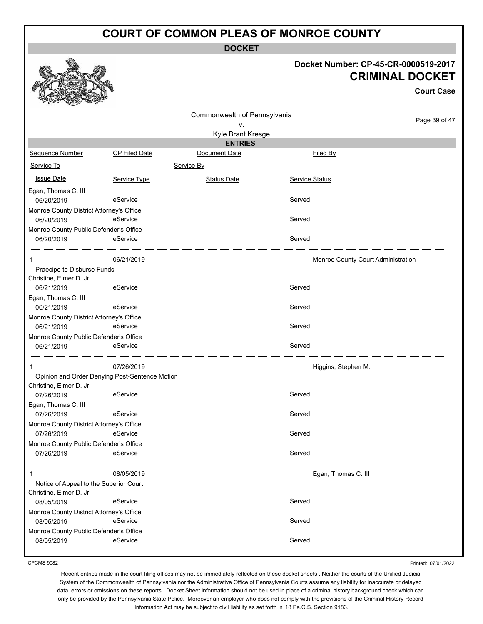**DOCKET**

#### **Docket Number: CP-45-CR-0000519-2017 CRIMINAL DOCKET**

**Court Case**

|                                          |                                                | Commonwealth of Pennsylvania |                                    |               |
|------------------------------------------|------------------------------------------------|------------------------------|------------------------------------|---------------|
|                                          |                                                | ٧.                           |                                    | Page 39 of 47 |
|                                          |                                                | Kyle Brant Kresge            |                                    |               |
|                                          |                                                | <b>ENTRIES</b>               |                                    |               |
| Sequence Number                          | CP Filed Date                                  | Document Date                | Filed By                           |               |
| Service To                               |                                                | Service By                   |                                    |               |
| <b>Issue Date</b>                        | Service Type                                   | <b>Status Date</b>           | Service Status                     |               |
| Egan, Thomas C. III                      |                                                |                              |                                    |               |
| 06/20/2019                               | eService                                       |                              | Served                             |               |
| Monroe County District Attorney's Office |                                                |                              |                                    |               |
| 06/20/2019                               | eService                                       |                              | Served                             |               |
| Monroe County Public Defender's Office   |                                                |                              |                                    |               |
| 06/20/2019                               | eService                                       |                              | Served                             |               |
| 1                                        | 06/21/2019                                     |                              | Monroe County Court Administration |               |
| Praecipe to Disburse Funds               |                                                |                              |                                    |               |
| Christine, Elmer D. Jr.                  |                                                |                              |                                    |               |
| 06/21/2019                               | eService                                       |                              | Served                             |               |
| Egan, Thomas C. III                      |                                                |                              |                                    |               |
| 06/21/2019                               | eService                                       |                              | Served                             |               |
| Monroe County District Attorney's Office |                                                |                              |                                    |               |
| 06/21/2019                               | eService                                       |                              | Served                             |               |
| Monroe County Public Defender's Office   |                                                |                              |                                    |               |
| 06/21/2019                               | eService                                       |                              | Served                             |               |
| 1                                        | 07/26/2019                                     |                              | Higgins, Stephen M.                |               |
|                                          | Opinion and Order Denying Post-Sentence Motion |                              |                                    |               |
| Christine, Elmer D. Jr.                  |                                                |                              |                                    |               |
| 07/26/2019                               | eService                                       |                              | Served                             |               |
| Egan, Thomas C. III                      |                                                |                              |                                    |               |
| 07/26/2019                               | eService                                       |                              | Served                             |               |
| Monroe County District Attorney's Office |                                                |                              |                                    |               |
| 07/26/2019                               | eService                                       |                              | Served                             |               |
| Monroe County Public Defender's Office   |                                                |                              |                                    |               |
| 07/26/2019                               | eService                                       |                              | Served                             |               |
|                                          |                                                |                              |                                    |               |
|                                          | 08/05/2019                                     |                              | Egan, Thomas C. III                |               |
| Notice of Appeal to the Superior Court   |                                                |                              |                                    |               |
| Christine, Elmer D. Jr.<br>08/05/2019    | eService                                       |                              | Served                             |               |
|                                          |                                                |                              |                                    |               |
| Monroe County District Attorney's Office |                                                |                              |                                    |               |
| 08/05/2019                               | eService                                       |                              | Served                             |               |
| Monroe County Public Defender's Office   |                                                |                              |                                    |               |
| 08/05/2019                               | eService                                       |                              | Served                             |               |

CPCMS 9082

Printed: 07/01/2022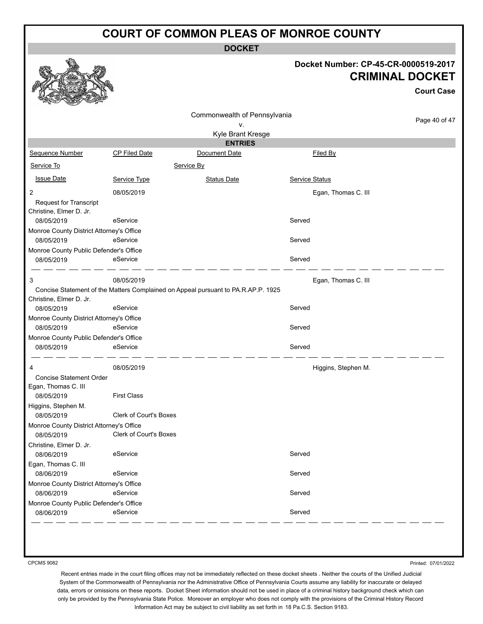**DOCKET**

#### **Docket Number: CP-45-CR-0000519-2017 CRIMINAL DOCKET**

**Court Case**

|                                                          |                               | Commonwealth of Pennsylvania                                                      |                       | Page 40 of 47 |
|----------------------------------------------------------|-------------------------------|-----------------------------------------------------------------------------------|-----------------------|---------------|
|                                                          |                               | ۷.<br>Kyle Brant Kresge                                                           |                       |               |
|                                                          |                               | <b>ENTRIES</b>                                                                    |                       |               |
| <b>Sequence Number</b>                                   | <b>CP Filed Date</b>          | Document Date                                                                     | Filed By              |               |
| Service To                                               |                               | Service By                                                                        |                       |               |
| <b>Issue Date</b>                                        | Service Type                  | <b>Status Date</b>                                                                | <b>Service Status</b> |               |
| $\overline{c}$                                           | 08/05/2019                    |                                                                                   | Egan, Thomas C. III   |               |
| <b>Request for Transcript</b><br>Christine, Elmer D. Jr. |                               |                                                                                   |                       |               |
| 08/05/2019                                               | eService                      |                                                                                   | Served                |               |
| Monroe County District Attorney's Office                 |                               |                                                                                   |                       |               |
| 08/05/2019                                               | eService                      |                                                                                   | Served                |               |
| Monroe County Public Defender's Office                   |                               |                                                                                   |                       |               |
| 08/05/2019                                               | eService                      |                                                                                   | Served                |               |
| 3                                                        | 08/05/2019                    |                                                                                   | Egan, Thomas C. III   |               |
|                                                          |                               | Concise Statement of the Matters Complained on Appeal pursuant to PA.R.AP.P. 1925 |                       |               |
| Christine, Elmer D. Jr.                                  |                               |                                                                                   |                       |               |
| 08/05/2019                                               | eService                      |                                                                                   | Served                |               |
| Monroe County District Attorney's Office                 |                               |                                                                                   |                       |               |
| 08/05/2019                                               | eService                      |                                                                                   | Served                |               |
| Monroe County Public Defender's Office                   |                               |                                                                                   |                       |               |
| 08/05/2019                                               | eService                      |                                                                                   | Served                |               |
| 4                                                        | 08/05/2019                    |                                                                                   | Higgins, Stephen M.   |               |
| <b>Concise Statement Order</b>                           |                               |                                                                                   |                       |               |
| Egan, Thomas C. III                                      |                               |                                                                                   |                       |               |
| 08/05/2019                                               | <b>First Class</b>            |                                                                                   |                       |               |
| Higgins, Stephen M.<br>08/05/2019                        | Clerk of Court's Boxes        |                                                                                   |                       |               |
|                                                          |                               |                                                                                   |                       |               |
| Monroe County District Attorney's Office<br>08/05/2019   | <b>Clerk of Court's Boxes</b> |                                                                                   |                       |               |
|                                                          |                               |                                                                                   |                       |               |
| Christine, Elmer D. Jr.<br>08/06/2019                    | eService                      |                                                                                   | Served                |               |
| Egan, Thomas C. III                                      |                               |                                                                                   |                       |               |
| 08/06/2019                                               | eService                      |                                                                                   | Served                |               |
| Monroe County District Attorney's Office                 |                               |                                                                                   |                       |               |
|                                                          | eService                      |                                                                                   | Served                |               |
|                                                          |                               |                                                                                   |                       |               |
| 08/06/2019<br>Monroe County Public Defender's Office     |                               |                                                                                   |                       |               |

CPCMS 9082

Printed: 07/01/2022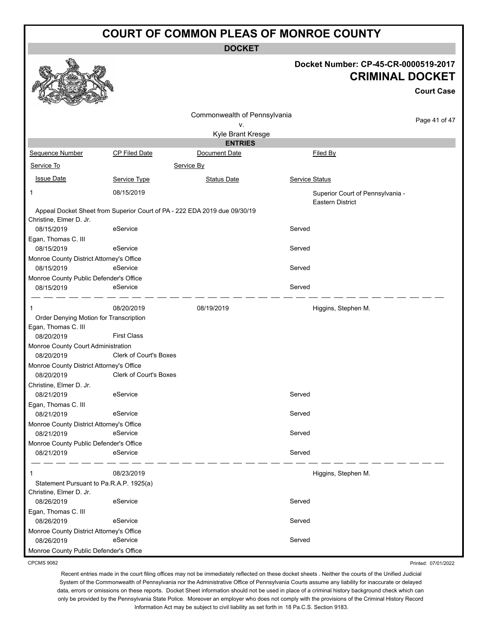**DOCKET**

#### **Docket Number: CP-45-CR-0000519-2017 CRIMINAL DOCKET**

**Court Case**

|                                                        |                               |                                                                           |                                                      | <b>Court Case</b> |
|--------------------------------------------------------|-------------------------------|---------------------------------------------------------------------------|------------------------------------------------------|-------------------|
|                                                        |                               | Commonwealth of Pennsylvania                                              |                                                      | Page 41 of 47     |
|                                                        |                               | ۷.                                                                        |                                                      |                   |
|                                                        |                               | Kyle Brant Kresge                                                         |                                                      |                   |
| Sequence Number                                        | <b>CP Filed Date</b>          | <b>ENTRIES</b><br>Document Date                                           | <b>Filed By</b>                                      |                   |
| Service To                                             |                               | Service By                                                                |                                                      |                   |
| <b>Issue Date</b>                                      | Service Type                  | <b>Status Date</b>                                                        | <b>Service Status</b>                                |                   |
| 1                                                      | 08/15/2019                    |                                                                           | Superior Court of Pennsylvania -<br>Eastern District |                   |
|                                                        |                               | Appeal Docket Sheet from Superior Court of PA - 222 EDA 2019 due 09/30/19 |                                                      |                   |
| Christine, Elmer D. Jr.<br>08/15/2019                  | eService                      |                                                                           | Served                                               |                   |
| Egan, Thomas C. III                                    |                               |                                                                           |                                                      |                   |
| 08/15/2019<br>Monroe County District Attorney's Office | eService                      |                                                                           | Served                                               |                   |
| 08/15/2019                                             | eService                      |                                                                           | Served                                               |                   |
| Monroe County Public Defender's Office                 |                               |                                                                           |                                                      |                   |
| 08/15/2019                                             | eService                      |                                                                           | Served                                               |                   |
| $\mathbf 1$                                            | 08/20/2019                    | 08/19/2019                                                                | Higgins, Stephen M.                                  |                   |
| Order Denying Motion for Transcription                 |                               |                                                                           |                                                      |                   |
| Egan, Thomas C. III<br>08/20/2019                      | <b>First Class</b>            |                                                                           |                                                      |                   |
| Monroe County Court Administration                     |                               |                                                                           |                                                      |                   |
| 08/20/2019                                             | <b>Clerk of Court's Boxes</b> |                                                                           |                                                      |                   |
| Monroe County District Attorney's Office               |                               |                                                                           |                                                      |                   |
| 08/20/2019                                             | Clerk of Court's Boxes        |                                                                           |                                                      |                   |
| Christine, Elmer D. Jr.                                |                               |                                                                           |                                                      |                   |
| 08/21/2019                                             | eService                      |                                                                           | Served                                               |                   |
| Egan, Thomas C. III                                    |                               |                                                                           |                                                      |                   |
| 08/21/2019                                             | eService                      |                                                                           | Served                                               |                   |
| Monroe County District Attorney's Office<br>08/21/2019 | eService                      |                                                                           | Served                                               |                   |
| Monroe County Public Defender's Office                 |                               |                                                                           |                                                      |                   |
| 08/21/2019                                             | eService                      |                                                                           | Served                                               |                   |
| $\mathbf 1$                                            | 08/23/2019                    |                                                                           | Higgins, Stephen M.                                  |                   |
| Statement Pursuant to Pa.R.A.P. 1925(a)                |                               |                                                                           |                                                      |                   |
| Christine, Elmer D. Jr.                                |                               |                                                                           |                                                      |                   |
| 08/26/2019                                             | eService                      |                                                                           | Served                                               |                   |
| Egan, Thomas C. III                                    |                               |                                                                           |                                                      |                   |
| 08/26/2019                                             | eService                      |                                                                           | Served                                               |                   |
| Monroe County District Attorney's Office               |                               |                                                                           |                                                      |                   |
| 08/26/2019                                             | eService                      |                                                                           | Served                                               |                   |
| Monroe County Public Defender's Office                 |                               |                                                                           |                                                      |                   |

CPCMS 9082

Printed: 07/01/2022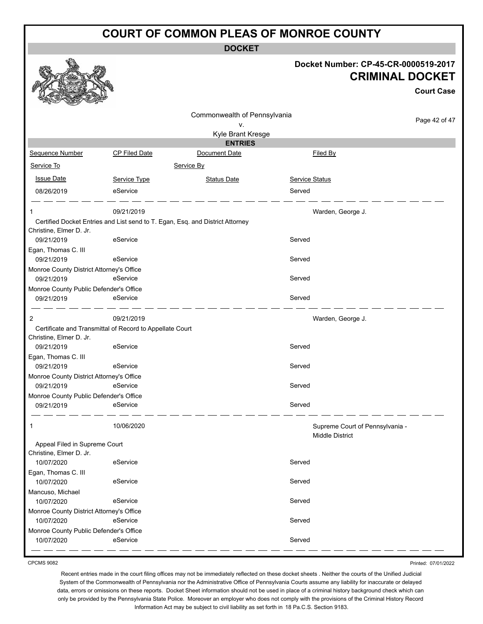**DOCKET**

| Docket Number: CP-45-CR-0000519-2017 |
|--------------------------------------|
| <b>CRIMINAL DOCKET</b>               |

**Court Case**

|                                          |                                                                               | Commonwealth of Pennsylvania |                        |                                 |
|------------------------------------------|-------------------------------------------------------------------------------|------------------------------|------------------------|---------------------------------|
|                                          |                                                                               | ٧.                           |                        | Page 42 of 47                   |
|                                          |                                                                               | Kyle Brant Kresge            |                        |                                 |
|                                          |                                                                               | <b>ENTRIES</b>               |                        |                                 |
| Sequence Number                          | CP Filed Date                                                                 | Document Date                | Filed By               |                                 |
| Service To                               |                                                                               | Service By                   |                        |                                 |
| <b>Issue Date</b>                        | Service Type                                                                  | <b>Status Date</b>           | Service Status         |                                 |
| 08/26/2019                               | eService                                                                      |                              | Served                 |                                 |
| 1                                        | 09/21/2019                                                                    |                              | Warden, George J.      |                                 |
| Christine, Elmer D. Jr.                  | Certified Docket Entries and List send to T. Egan, Esq. and District Attorney |                              |                        |                                 |
| 09/21/2019                               | eService                                                                      |                              | Served                 |                                 |
| Egan, Thomas C. III                      |                                                                               |                              |                        |                                 |
| 09/21/2019                               | eService                                                                      |                              | Served                 |                                 |
| Monroe County District Attorney's Office |                                                                               |                              |                        |                                 |
| 09/21/2019                               | eService                                                                      |                              | Served                 |                                 |
| Monroe County Public Defender's Office   | eService                                                                      |                              |                        |                                 |
| 09/21/2019                               |                                                                               |                              | Served                 |                                 |
| 2                                        | 09/21/2019                                                                    |                              | Warden, George J.      |                                 |
|                                          | Certificate and Transmittal of Record to Appellate Court                      |                              |                        |                                 |
| Christine, Elmer D. Jr.                  |                                                                               |                              |                        |                                 |
| 09/21/2019<br>Egan, Thomas C. III        | eService                                                                      |                              | Served                 |                                 |
| 09/21/2019                               | eService                                                                      |                              | Served                 |                                 |
| Monroe County District Attorney's Office |                                                                               |                              |                        |                                 |
| 09/21/2019                               | eService                                                                      |                              | Served                 |                                 |
| Monroe County Public Defender's Office   |                                                                               |                              |                        |                                 |
| 09/21/2019                               | eService                                                                      |                              | Served                 |                                 |
| 1                                        | 10/06/2020                                                                    |                              | <b>Middle District</b> | Supreme Court of Pennsylvania - |
| Appeal Filed in Supreme Court            |                                                                               |                              |                        |                                 |
| Christine, Elmer D. Jr.                  | eService                                                                      |                              | Served                 |                                 |
| 10/07/2020<br>Egan, Thomas C. III        |                                                                               |                              |                        |                                 |
| 10/07/2020                               | eService                                                                      |                              | Served                 |                                 |
| Mancuso, Michael                         |                                                                               |                              |                        |                                 |
| 10/07/2020                               | eService                                                                      |                              | Served                 |                                 |
| Monroe County District Attorney's Office |                                                                               |                              |                        |                                 |
| 10/07/2020                               | eService                                                                      |                              | Served                 |                                 |
| Monroe County Public Defender's Office   |                                                                               |                              |                        |                                 |
| 10/07/2020                               | eService                                                                      |                              | Served                 |                                 |
|                                          |                                                                               |                              |                        |                                 |

CPCMS 9082

Printed: 07/01/2022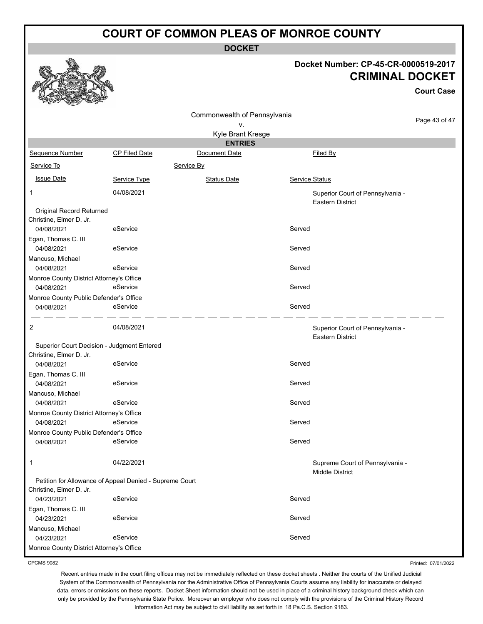**DOCKET**

#### **Docket Number: CP-45-CR-0000519-2017 CRIMINAL DOCKET**

**Court Case**

|                                                         |               | Commonwealth of Pennsylvania |                |                                                             |               |
|---------------------------------------------------------|---------------|------------------------------|----------------|-------------------------------------------------------------|---------------|
|                                                         |               | ۷.                           |                |                                                             | Page 43 of 47 |
|                                                         |               | Kyle Brant Kresge            |                |                                                             |               |
|                                                         |               | <b>ENTRIES</b>               |                |                                                             |               |
| Sequence Number                                         | CP Filed Date | Document Date                |                | Filed By                                                    |               |
| Service To                                              |               | Service By                   |                |                                                             |               |
| <b>Issue Date</b>                                       | Service Type  | <b>Status Date</b>           | Service Status |                                                             |               |
| 1                                                       | 04/08/2021    |                              |                | Superior Court of Pennsylvania -<br><b>Eastern District</b> |               |
| Original Record Returned<br>Christine, Elmer D. Jr.     |               |                              |                |                                                             |               |
| 04/08/2021                                              | eService      |                              | Served         |                                                             |               |
| Egan, Thomas C. III                                     |               |                              |                |                                                             |               |
| 04/08/2021                                              | eService      |                              | Served         |                                                             |               |
| Mancuso, Michael                                        |               |                              |                |                                                             |               |
| 04/08/2021                                              | eService      |                              | Served         |                                                             |               |
| Monroe County District Attorney's Office                |               |                              |                |                                                             |               |
| 04/08/2021                                              | eService      |                              | Served         |                                                             |               |
| Monroe County Public Defender's Office                  |               |                              |                |                                                             |               |
| 04/08/2021                                              | eService      |                              | Served         |                                                             |               |
| 2                                                       | 04/08/2021    |                              |                | Superior Court of Pennsylvania -<br><b>Eastern District</b> |               |
| Superior Court Decision - Judgment Entered              |               |                              |                |                                                             |               |
| Christine, Elmer D. Jr.                                 |               |                              |                |                                                             |               |
| 04/08/2021                                              | eService      |                              | Served         |                                                             |               |
| Egan, Thomas C. III                                     |               |                              |                |                                                             |               |
| 04/08/2021                                              | eService      |                              | Served         |                                                             |               |
| Mancuso, Michael                                        |               |                              |                |                                                             |               |
| 04/08/2021                                              | eService      |                              | Served         |                                                             |               |
| Monroe County District Attorney's Office                |               |                              |                |                                                             |               |
| 04/08/2021                                              | eService      |                              | Served         |                                                             |               |
| Monroe County Public Defender's Office                  |               |                              |                |                                                             |               |
| 04/08/2021                                              | eService      |                              | Served         |                                                             |               |
|                                                         | 04/22/2021    |                              |                | Supreme Court of Pennsylvania -<br><b>Middle District</b>   |               |
| Petition for Allowance of Appeal Denied - Supreme Court |               |                              |                |                                                             |               |
| Christine, Elmer D. Jr.                                 |               |                              |                |                                                             |               |
| 04/23/2021                                              | eService      |                              | Served         |                                                             |               |
| Egan, Thomas C. III                                     |               |                              |                |                                                             |               |
| 04/23/2021                                              | eService      |                              | Served         |                                                             |               |
| Mancuso, Michael                                        |               |                              |                |                                                             |               |
| 04/23/2021                                              | eService      |                              | Served         |                                                             |               |
| Monroe County District Attorney's Office                |               |                              |                |                                                             |               |

CPCMS 9082

Recent entries made in the court filing offices may not be immediately reflected on these docket sheets . Neither the courts of the Unified Judicial System of the Commonwealth of Pennsylvania nor the Administrative Office of Pennsylvania Courts assume any liability for inaccurate or delayed data, errors or omissions on these reports. Docket Sheet information should not be used in place of a criminal history background check which can only be provided by the Pennsylvania State Police. Moreover an employer who does not comply with the provisions of the Criminal History Record Information Act may be subject to civil liability as set forth in 18 Pa.C.S. Section 9183.

Printed: 07/01/2022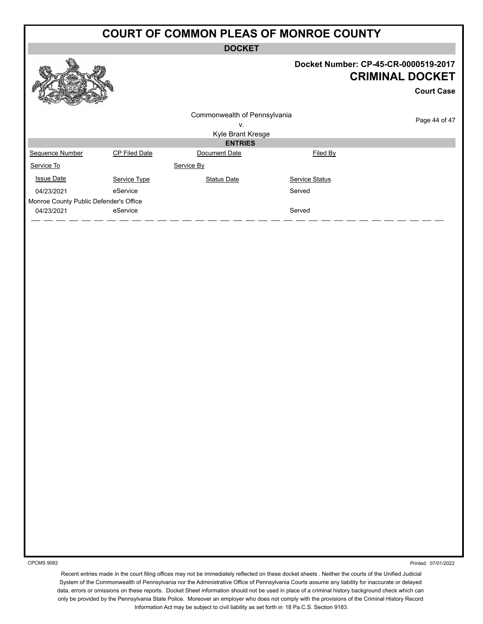**DOCKET**

#### **Docket Number: CP-45-CR-0000519-2017 CRIMINAL DOCKET**

**Court Case**

| SAN CORRECT MAY                        |                      |                              |                |               |
|----------------------------------------|----------------------|------------------------------|----------------|---------------|
|                                        |                      | Commonwealth of Pennsylvania |                |               |
|                                        |                      | ν.                           |                | Page 44 of 47 |
|                                        |                      | Kyle Brant Kresge            |                |               |
|                                        |                      | <b>ENTRIES</b>               |                |               |
| Sequence Number                        | <b>CP Filed Date</b> | Document Date                | Filed By       |               |
| Service To                             |                      | Service By                   |                |               |
| <b>Issue Date</b>                      | Service Type         | <b>Status Date</b>           | Service Status |               |
| 04/23/2021                             | eService             |                              | Served         |               |
| Monroe County Public Defender's Office |                      |                              |                |               |
| 04/23/2021                             | eService             |                              | Served         |               |
|                                        |                      |                              |                |               |

CPCMS 9082

Printed: 07/01/2022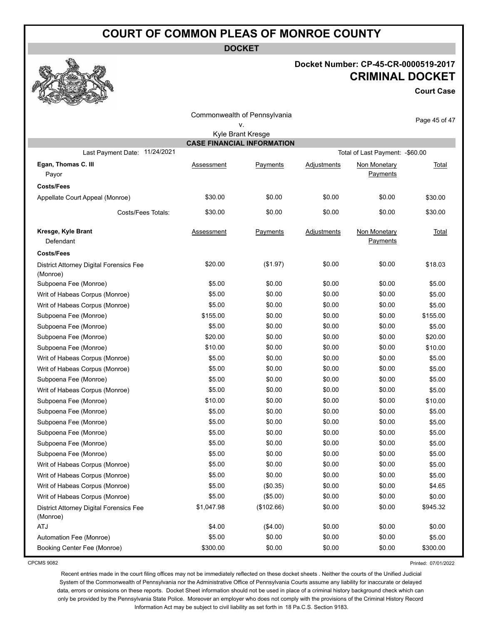**DOCKET**

# **Docket Number: CP-45-CR-0000519-2017 CRIMINAL DOCKET**

**Court Case**

| Commonwealth of Pennsylvania<br>۷.                  |            |                                   |                    | Page 45 of 47                    |          |
|-----------------------------------------------------|------------|-----------------------------------|--------------------|----------------------------------|----------|
|                                                     |            | Kyle Brant Kresge                 |                    |                                  |          |
|                                                     |            | <b>CASE FINANCIAL INFORMATION</b> |                    |                                  |          |
| 11/24/2021<br>Last Payment Date:                    |            |                                   |                    | Total of Last Payment: - \$60.00 |          |
| Egan, Thomas C. III<br>Payor                        | Assessment | Payments                          | <b>Adjustments</b> | Non Monetary<br><b>Payments</b>  | Total    |
| <b>Costs/Fees</b>                                   |            |                                   |                    |                                  |          |
| Appellate Court Appeal (Monroe)                     | \$30.00    | \$0.00                            | \$0.00             | \$0.00                           | \$30.00  |
| Costs/Fees Totals:                                  | \$30.00    | \$0.00                            | \$0.00             | \$0.00                           | \$30.00  |
| Kresge, Kyle Brant<br>Defendant                     | Assessment | Payments                          | Adjustments        | Non Monetary<br>Payments         | Total    |
| <b>Costs/Fees</b>                                   |            |                                   |                    |                                  |          |
| District Attorney Digital Forensics Fee<br>(Monroe) | \$20.00    | (\$1.97)                          | \$0.00             | \$0.00                           | \$18.03  |
| Subpoena Fee (Monroe)                               | \$5.00     | \$0.00                            | \$0.00             | \$0.00                           | \$5.00   |
| Writ of Habeas Corpus (Monroe)                      | \$5.00     | \$0.00                            | \$0.00             | \$0.00                           | \$5.00   |
| Writ of Habeas Corpus (Monroe)                      | \$5.00     | \$0.00                            | \$0.00             | \$0.00                           | \$5.00   |
| Subpoena Fee (Monroe)                               | \$155.00   | \$0.00                            | \$0.00             | \$0.00                           | \$155.00 |
| Subpoena Fee (Monroe)                               | \$5.00     | \$0.00                            | \$0.00             | \$0.00                           | \$5.00   |
| Subpoena Fee (Monroe)                               | \$20.00    | \$0.00                            | \$0.00             | \$0.00                           | \$20.00  |
| Subpoena Fee (Monroe)                               | \$10.00    | \$0.00                            | \$0.00             | \$0.00                           | \$10.00  |
| Writ of Habeas Corpus (Monroe)                      | \$5.00     | \$0.00                            | \$0.00             | \$0.00                           | \$5.00   |
| Writ of Habeas Corpus (Monroe)                      | \$5.00     | \$0.00                            | \$0.00             | \$0.00                           | \$5.00   |
| Subpoena Fee (Monroe)                               | \$5.00     | \$0.00                            | \$0.00             | \$0.00                           | \$5.00   |
| Writ of Habeas Corpus (Monroe)                      | \$5.00     | \$0.00                            | \$0.00             | \$0.00                           | \$5.00   |
| Subpoena Fee (Monroe)                               | \$10.00    | \$0.00                            | \$0.00             | \$0.00                           | \$10.00  |
| Subpoena Fee (Monroe)                               | \$5.00     | \$0.00                            | \$0.00             | \$0.00                           | \$5.00   |
| Subpoena Fee (Monroe)                               | \$5.00     | \$0.00                            | \$0.00             | \$0.00                           | \$5.00   |
| Subpoena Fee (Monroe)                               | \$5.00     | \$0.00                            | \$0.00             | \$0.00                           | \$5.00   |
| Subpoena Fee (Monroe)                               | \$5.00     | \$0.00                            | \$0.00             | \$0.00                           | \$5.00   |
| Subpoena Fee (Monroe)                               | \$5.00     | \$0.00                            | \$0.00             | \$0.00                           | \$5.00   |
| Writ of Habeas Corpus (Monroe)                      | \$5.00     | \$0.00                            | \$0.00             | \$0.00                           | \$5.00   |
| Writ of Habeas Corpus (Monroe)                      | \$5.00     | \$0.00                            | \$0.00             | \$0.00                           | \$5.00   |
| Writ of Habeas Corpus (Monroe)                      | \$5.00     | (\$0.35)                          | \$0.00             | \$0.00                           | \$4.65   |
| Writ of Habeas Corpus (Monroe)                      | \$5.00     | (\$5.00)                          | \$0.00             | \$0.00                           | \$0.00   |
| District Attorney Digital Forensics Fee<br>(Monroe) | \$1,047.98 | (\$102.66)                        | \$0.00             | \$0.00                           | \$945.32 |
| ATJ                                                 | \$4.00     | (\$4.00)                          | \$0.00             | \$0.00                           | \$0.00   |
| Automation Fee (Monroe)                             | \$5.00     | \$0.00                            | \$0.00             | \$0.00                           | \$5.00   |
| Booking Center Fee (Monroe)                         | \$300.00   | \$0.00                            | \$0.00             | \$0.00                           | \$300.00 |

CPCMS 9082

Printed: 07/01/2022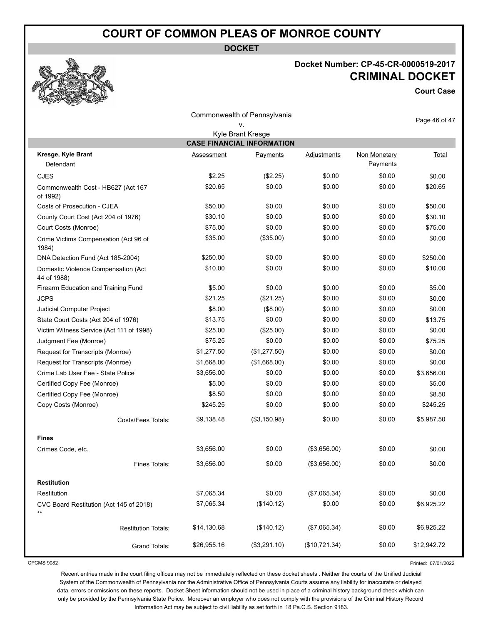**DOCKET**



# **Docket Number: CP-45-CR-0000519-2017 CRIMINAL DOCKET**

**Court Case**

| Commonwealth of Pennsylvania<br>٧.                 |             |              |                    |                          | Page 46 of 47 |
|----------------------------------------------------|-------------|--------------|--------------------|--------------------------|---------------|
| Kyle Brant Kresge                                  |             |              |                    |                          |               |
| <b>CASE FINANCIAL INFORMATION</b>                  |             |              |                    |                          |               |
| Kresge, Kyle Brant<br>Defendant                    | Assessment  | Payments     | <b>Adjustments</b> | Non Monetary<br>Payments | Total         |
| <b>CJES</b>                                        | \$2.25      | (\$2.25)     | \$0.00             | \$0.00                   | \$0.00        |
| Commonwealth Cost - HB627 (Act 167<br>of 1992)     | \$20.65     | \$0.00       | \$0.00             | \$0.00                   | \$20.65       |
| Costs of Prosecution - CJEA                        | \$50.00     | \$0.00       | \$0.00             | \$0.00                   | \$50.00       |
| County Court Cost (Act 204 of 1976)                | \$30.10     | \$0.00       | \$0.00             | \$0.00                   | \$30.10       |
| Court Costs (Monroe)                               | \$75.00     | \$0.00       | \$0.00             | \$0.00                   | \$75.00       |
| Crime Victims Compensation (Act 96 of<br>1984)     | \$35.00     | (\$35.00)    | \$0.00             | \$0.00                   | \$0.00        |
| DNA Detection Fund (Act 185-2004)                  | \$250.00    | \$0.00       | \$0.00             | \$0.00                   | \$250.00      |
| Domestic Violence Compensation (Act<br>44 of 1988) | \$10.00     | \$0.00       | \$0.00             | \$0.00                   | \$10.00       |
| Firearm Education and Training Fund                | \$5.00      | \$0.00       | \$0.00             | \$0.00                   | \$5.00        |
| <b>JCPS</b>                                        | \$21.25     | (\$21.25)    | \$0.00             | \$0.00                   | \$0.00        |
| Judicial Computer Project                          | \$8.00      | (\$8.00)     | \$0.00             | \$0.00                   | \$0.00        |
| State Court Costs (Act 204 of 1976)                | \$13.75     | \$0.00       | \$0.00             | \$0.00                   | \$13.75       |
| Victim Witness Service (Act 111 of 1998)           | \$25.00     | (\$25.00)    | \$0.00             | \$0.00                   | \$0.00        |
| Judgment Fee (Monroe)                              | \$75.25     | \$0.00       | \$0.00             | \$0.00                   | \$75.25       |
| Request for Transcripts (Monroe)                   | \$1,277.50  | (\$1,277.50) | \$0.00             | \$0.00                   | \$0.00        |
| Request for Transcripts (Monroe)                   | \$1,668.00  | (\$1,668.00) | \$0.00             | \$0.00                   | \$0.00        |
| Crime Lab User Fee - State Police                  | \$3,656.00  | \$0.00       | \$0.00             | \$0.00                   | \$3,656.00    |
| Certified Copy Fee (Monroe)                        | \$5.00      | \$0.00       | \$0.00             | \$0.00                   | \$5.00        |
| Certified Copy Fee (Monroe)                        | \$8.50      | \$0.00       | \$0.00             | \$0.00                   | \$8.50        |
| Copy Costs (Monroe)                                | \$245.25    | \$0.00       | \$0.00             | \$0.00                   | \$245.25      |
| Costs/Fees Totals:                                 | \$9,138.48  | (\$3,150.98) | \$0.00             | \$0.00                   | \$5,987.50    |
| <b>Fines</b>                                       |             |              |                    |                          |               |
| Crimes Code, etc.                                  | \$3.656.00  | \$0.00       | (\$3,656.00)       | \$0.00                   | \$0.00        |
| Fines Totals:                                      | \$3,656.00  | \$0.00       | (\$3,656.00)       | \$0.00                   | \$0.00        |
| <b>Restitution</b>                                 |             |              |                    |                          |               |
| Restitution                                        | \$7,065.34  | \$0.00       | (\$7,065.34)       | \$0.00                   | \$0.00        |
| CVC Board Restitution (Act 145 of 2018)<br>$***$   | \$7,065.34  | (\$140.12)   | \$0.00             | \$0.00                   | \$6,925.22    |
| <b>Restitution Totals:</b>                         | \$14,130.68 | (\$140.12)   | (\$7,065.34)       | \$0.00                   | \$6,925.22    |
| Grand Totals:                                      | \$26,955.16 | (\$3,291.10) | (\$10,721.34)      | \$0.00                   | \$12,942.72   |

CPCMS 9082

Printed: 07/01/2022